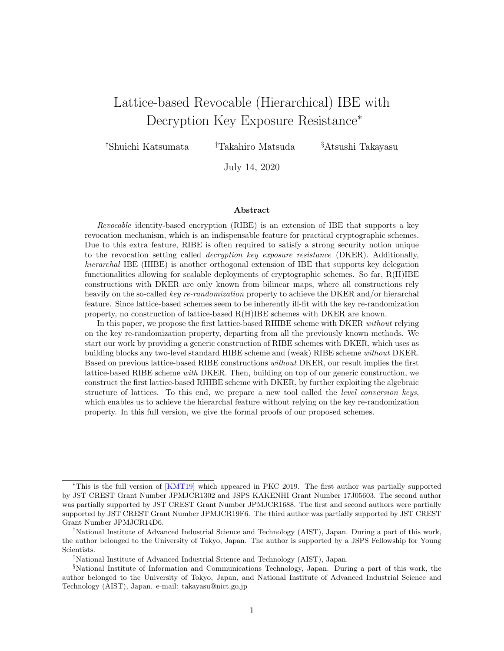# Lattice-based Revocable (Hierarchical) IBE with Decryption Key Exposure Resistance*<sup>∗</sup>*

*†*Shuichi Katsumata *‡*Takahiro Matsuda *§*Atsushi Takayasu

July 14, 2020

#### **Abstract**

*Revocable* identity-based encryption (RIBE) is an extension of IBE that supports a key revocation mechanism, which is an indispensable feature for practical cryptographic schemes. Due to this extra feature, RIBE is often required to satisfy a strong security notion unique to the revocation setting called *decryption key exposure resistance* (DKER). Additionally, *hierarchal* IBE (HIBE) is another orthogonal extension of IBE that supports key delegation functionalities allowing for scalable deployments of cryptographic schemes. So far, R(H)IBE constructions with DKER are only known from bilinear maps, where all constructions rely heavily on the so-called *key re-randomization* property to achieve the DKER and/or hierarchal feature. Since lattice-based schemes seem to be inherently ill-fit with the key re-randomization property, no construction of lattice-based R(H)IBE schemes with DKER are known.

In this paper, we propose the first lattice-based RHIBE scheme with DKER *without* relying on the key re-randomization property, departing from all the previously known methods. We start our work by providing a generic construction of RIBE schemes with DKER, which uses as building blocks any two-level standard HIBE scheme and (weak) RIBE scheme *without* DKER. Based on previous lattice-based RIBE constructions *without* DKER, our result implies the first lattice-based RIBE scheme *with* DKER. Then, building on top of our generic construction, we construct the first lattice-based RHIBE scheme with DKER, by further exploiting the algebraic structure of lattices. To this end, we prepare a new tool called the *level conversion keys*, which enables us to achieve the hierarchal feature without relying on the key re-randomization property. In this full version, we give the formal proofs of our proposed schemes.

*<sup>∗</sup>*This is the full version of [[KMT19](#page-41-0)] which appeared in PKC 2019. The first author was partially supported by JST CREST Grant Number JPMJCR1302 and JSPS KAKENHI Grant Number 17J05603. The second author was partially supported by JST CREST Grant Number JPMJCR1688. The first and second authors were partially supported by JST CREST Grant Number JPMJCR19F6. The third author was partially supported by JST CREST Grant Number JPMJCR14D6.

*<sup>†</sup>*National Institute of Advanced Industrial Science and Technology (AIST), Japan. During a part of this work, the author belonged to the University of Tokyo, Japan. The author is supported by a JSPS Fellowship for Young Scientists.

*<sup>‡</sup>*National Institute of Advanced Industrial Science and Technology (AIST), Japan.

*<sup>§</sup>*National Institute of Information and Communications Technology, Japan. During a part of this work, the author belonged to the University of Tokyo, Japan, and National Institute of Advanced Industrial Science and Technology (AIST), Japan. e-mail: takayasu@nict.go.jp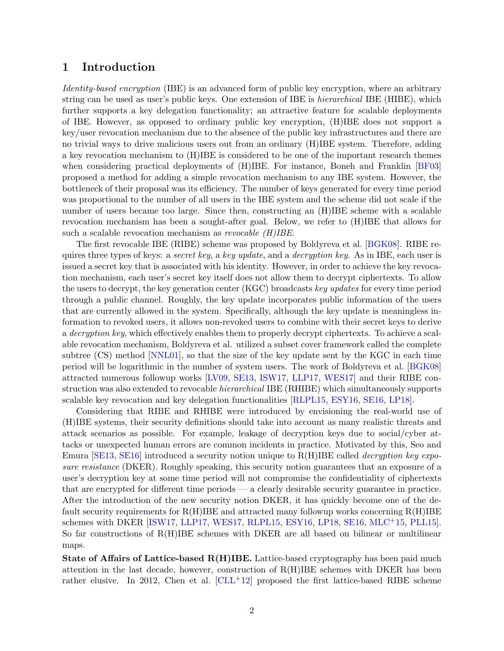### <span id="page-1-0"></span>**1 Introduction**

*Identity-based encryption* (IBE) is an advanced form of public key encryption, where an arbitrary string can be used as user's public keys. One extension of IBE is *hierarchical* IBE (HIBE), which further supports a key delegation functionality; an attractive feature for scalable deployments of IBE. However, as opposed to ordinary public key encryption, (H)IBE does not support a key/user revocation mechanism due to the absence of the public key infrastructures and there are no trivial ways to drive malicious users out from an ordinary (H)IBE system. Therefore, adding a key revocation mechanism to (H)IBE is considered to be one of the important research themes when considering practical deployments of (H)IBE. For instance, Boneh and Franklin [[BF03](#page-40-0)] proposed a method for adding a simple revocation mechanism to any IBE system. However, the bottleneck of their proposal was its efficiency. The number of keys generated for every time period was proportional to the number of all users in the IBE system and the scheme did not scale if the number of users became too large. Since then, constructing an (H)IBE scheme with a scalable revocation mechanism has been a sought-after goal. Below, we refer to (H)IBE that allows for such a scalable revocation mechanism as *revocable (H)IBE*.

The first revocable IBE (RIBE) scheme was proposed by Boldyreva et al. [[BGK08](#page-40-1)]. RIBE requires three types of keys: a *secret key*, a *key update*, and a *decryption key*. As in IBE, each user is issued a secret key that is associated with his identity. However, in order to achieve the key revocation mechanism, each user's secret key itself does not allow them to decrypt ciphertexts. To allow the users to decrypt, the key generation center (KGC) broadcasts *key updates* for every time period through a public channel. Roughly, the key update incorporates public information of the users that are currently allowed in the system. Specifically, although the key update is meaningless information to revoked users, it allows non-revoked users to combine with their secret keys to derive a *decryption key*, which effectively enables them to properly decrypt ciphertexts. To achieve a scalable revocation mechanism, Boldyreva et al. utilized a subset cover framework called the complete subtree (CS) method [[NNL01](#page-42-0)], so that the size of the key update sent by the KGC in each time period will be logarithmic in the number of system users. The work of Boldyreva et al. [[BGK08](#page-40-1)] attracted numerous followup works [[LV09,](#page-42-1) [SE13](#page-43-0), [ISW17,](#page-41-1) [LLP17,](#page-41-2) [WES17\]](#page-43-1) and their RIBE construction was also extended to revocable *hierarchical* IBE (RHIBE) which simultaneously supports scalable key revocation and key delegation functionalities [[RLPL15,](#page-43-2) [ESY16,](#page-41-3) [SE16](#page-43-3), [LP18\]](#page-42-2).

Considering that RIBE and RHIBE were introduced by envisioning the real-world use of (H)IBE systems, their security definitions should take into account as many realistic threats and attack scenarios as possible. For example, leakage of decryption keys due to social/cyber attacks or unexpected human errors are common incidents in practice. Motivated by this, Seo and Emura [\[SE13](#page-43-0), [SE16](#page-43-3)] introduced a security notion unique to R(H)IBE called *decryption key exposure resistance* (DKER). Roughly speaking, this security notion guarantees that an exposure of a user's decryption key at some time period will not compromise the confidentiality of ciphertexts that are encrypted for different time periods — a clearly desirable security guarantee in practice. After the introduction of the new security notion DKER, it has quickly become one of the default security requirements for  $R(H)$ IBE and attracted many followup works concerning  $R(H)$ IBE schemes with DKER [[ISW17](#page-41-1), [LLP17,](#page-41-2) [WES17,](#page-43-1) [RLPL15](#page-43-2), [ESY16,](#page-41-3) [LP18](#page-42-2), [SE16](#page-43-3), [MLC](#page-42-3)+15, [PLL15](#page-42-4)]. So far constructions of R(H)IBE schemes with DKER are all based on bilinear or multilinear maps.

**State of Affairs of Lattice-based R(H)IBE.** Lattice-based cryptography has been paid much attention in the last decade, however, construction of R(H)IBE schemes with DKER has been rather elusive. In 2012, Chen et al.  $\left[CLL+12\right]$  $\left[CLL+12\right]$  $\left[CLL+12\right]$  proposed the first lattice-based RIBE scheme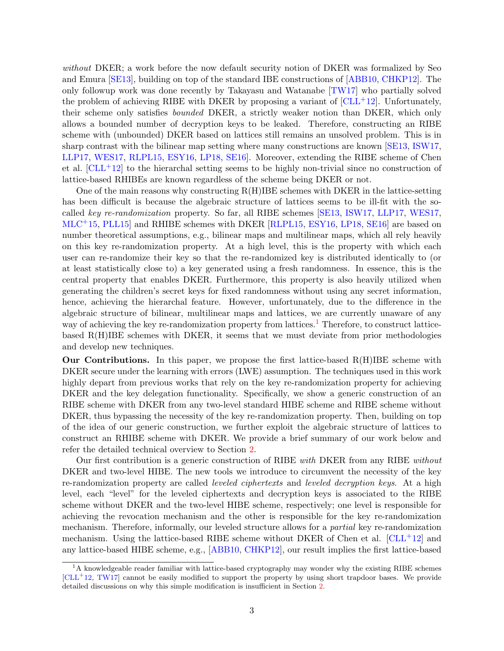*without* DKER; a work before the now default security notion of DKER was formalized by Seo and Emura [[SE13](#page-43-0)], building on top of the standard IBE constructions of [[ABB10,](#page-40-3) [CHKP12\]](#page-40-4). The only followup work was done recently by Takayasu and Watanabe [[TW17](#page-43-4)] who partially solved the problem of achieving RIBE with DKER by proposing a variant of  $\text{[CLL+12]}$  $\text{[CLL+12]}$  $\text{[CLL+12]}$ . Unfortunately, their scheme only satisfies *bounded* DKER, a strictly weaker notion than DKER, which only allows a bounded number of decryption keys to be leaked. Therefore, constructing an RIBE scheme with (unbounded) DKER based on lattices still remains an unsolved problem. This is in sharp contrast with the bilinear map setting where many constructions are known [[SE13,](#page-43-0) [ISW17](#page-41-1), [LLP17,](#page-41-2) [WES17,](#page-43-1) [RLPL15,](#page-43-2) [ESY16](#page-41-3), [LP18](#page-42-2), [SE16](#page-43-3)]. Moreover, extending the RIBE scheme of Chen et al.  $\left[CLL+12\right]$  $\left[CLL+12\right]$  $\left[CLL+12\right]$  to the hierarchal setting seems to be highly non-trivial since no construction of lattice-based RHIBEs are known regardless of the scheme being DKER or not.

One of the main reasons why constructing  $R(H)IBE$  schemes with DKER in the lattice-setting has been difficult is because the algebraic structure of lattices seems to be ill-fit with the socalled *key re-randomization* property. So far, all RIBE schemes [\[SE13,](#page-43-0) [ISW17,](#page-41-1) [LLP17,](#page-41-2) [WES17](#page-43-1), [MLC](#page-42-3)+15, [PLL15\]](#page-42-4) and RHIBE schemes with DKER [\[RLPL15](#page-43-2), [ESY16](#page-41-3), [LP18](#page-42-2), [SE16](#page-43-3)] are based on number theoretical assumptions, e.g., bilinear maps and multilinear maps, which all rely heavily on this key re-randomization property. At a high level, this is the property with which each user can re-randomize their key so that the re-randomized key is distributed identically to (or at least statistically close to) a key generated using a fresh randomness. In essence, this is the central property that enables DKER. Furthermore, this property is also heavily utilized when generating the children's secret keys for fixed randomness without using any secret information, hence, achieving the hierarchal feature. However, unfortunately, due to the difference in the algebraic structure of bilinear, multilinear maps and lattices, we are currently unaware of any way of achieving the key re-randomization property from lattices.<sup>[1](#page-2-0)</sup> Therefore, to construct latticebased R(H)IBE schemes with DKER, it seems that we must deviate from prior methodologies and develop new techniques.

**Our Contributions.** In this paper, we propose the first lattice-based R(H)IBE scheme with DKER secure under the learning with errors (LWE) assumption. The techniques used in this work highly depart from previous works that rely on the key re-randomization property for achieving DKER and the key delegation functionality. Specifically, we show a generic construction of an RIBE scheme with DKER from any two-level standard HIBE scheme and RIBE scheme without DKER, thus bypassing the necessity of the key re-randomization property. Then, building on top of the idea of our generic construction, we further exploit the algebraic structure of lattices to construct an RHIBE scheme with DKER. We provide a brief summary of our work below and refer the detailed technical overview to Section [2](#page-5-0).

Our first contribution is a generic construction of RIBE *with* DKER from any RIBE *without* DKER and two-level HIBE. The new tools we introduce to circumvent the necessity of the key re-randomization property are called *leveled ciphertexts* and *leveled decryption keys*. At a high level, each "level" for the leveled ciphertexts and decryption keys is associated to the RIBE scheme without DKER and the two-level HIBE scheme, respectively; one level is responsible for achieving the revocation mechanism and the other is responsible for the key re-randomization mechanism. Therefore, informally, our leveled structure allows for a *partial* key re-randomization mechanism. Using the lattice-based RIBE scheme without DKER of Chen et al.  $\text{[CLL+12]}$  $\text{[CLL+12]}$  $\text{[CLL+12]}$  and any lattice-based HIBE scheme, e.g., [[ABB10,](#page-40-3) [CHKP12\]](#page-40-4), our result implies the first lattice-based

<span id="page-2-0"></span><sup>&</sup>lt;sup>1</sup>A knowledgeable reader familiar with lattice-based cryptography may wonder why the existing RIBE schemes  $[CLL<sup>+</sup>12, TW17]$  $[CLL<sup>+</sup>12, TW17]$  $[CLL<sup>+</sup>12, TW17]$  $[CLL<sup>+</sup>12, TW17]$  cannot be easily modified to support the property by using short trapdoor bases. We provide detailed discussions on why this simple modification is insufficient in Section [2](#page-5-0).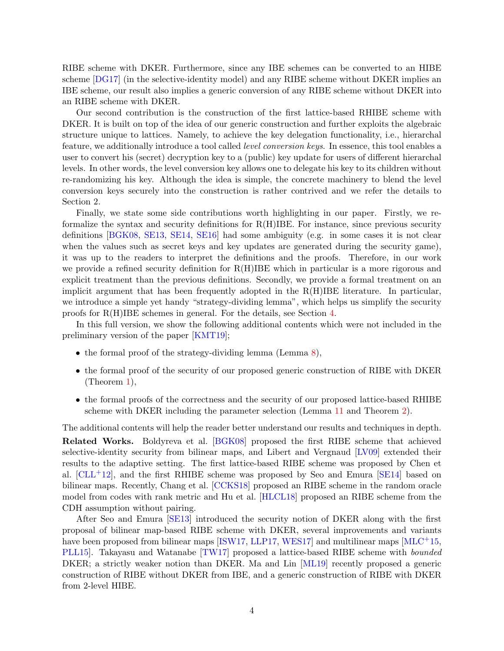RIBE scheme with DKER. Furthermore, since any IBE schemes can be converted to an HIBE scheme [[DG17](#page-41-4)] (in the selective-identity model) and any RIBE scheme without DKER implies an IBE scheme, our result also implies a generic conversion of any RIBE scheme without DKER into an RIBE scheme with DKER.

Our second contribution is the construction of the first lattice-based RHIBE scheme with DKER. It is built on top of the idea of our generic construction and further exploits the algebraic structure unique to lattices. Namely, to achieve the key delegation functionality, i.e., hierarchal feature, we additionally introduce a tool called *level conversion keys*. In essence, this tool enables a user to convert his (secret) decryption key to a (public) key update for users of different hierarchal levels. In other words, the level conversion key allows one to delegate his key to its children without re-randomizing his key. Although the idea is simple, the concrete machinery to blend the level conversion keys securely into the construction is rather contrived and we refer the details to Section 2.

Finally, we state some side contributions worth highlighting in our paper. Firstly, we reformalize the syntax and security definitions for  $R(H)IBE$ . For instance, since previous security definitions [\[BGK08,](#page-40-1) [SE13,](#page-43-0) [SE14,](#page-43-5) [SE16](#page-43-3)] had some ambiguity (e.g. in some cases it is not clear when the values such as secret keys and key updates are generated during the security game), it was up to the readers to interpret the definitions and the proofs. Therefore, in our work we provide a refined security definition for R(H)IBE which in particular is a more rigorous and explicit treatment than the previous definitions. Secondly, we provide a formal treatment on an implicit argument that has been frequently adopted in the  $R(H)IBE$  literature. In particular, we introduce a simple yet handy "strategy-dividing lemma", which helps us simplify the security proofs for R(H)IBE schemes in general. For the details, see Section [4](#page-14-0).

In this full version, we show the following additional contents which were not included in the preliminary version of the paper [[KMT19](#page-41-0)];

- the formal proof of the strategy-dividing lemma (Lemma [8\)](#page-19-0),
- the formal proof of the security of our proposed generic construction of RIBE with DKER (Theorem [1\)](#page-22-0),
- the formal proofs of the correctness and the security of our proposed lattice-based RHIBE scheme with DKER including the parameter selection (Lemma [11](#page-28-0) and Theorem [2\)](#page-30-0).

The additional contents will help the reader better understand our results and techniques in depth. **Related Works.** Boldyreva et al. [\[BGK08\]](#page-40-1) proposed the first RIBE scheme that achieved selective-identity security from bilinear maps, and Libert and Vergnaud [[LV09\]](#page-42-1) extended their results to the adaptive setting. The first lattice-based RIBE scheme was proposed by Chen et al.  $[CLL+12]$  $[CLL+12]$ , and the first RHIBE scheme was proposed by Seo and Emura  $[SE14]$  $[SE14]$  $[SE14]$  based on bilinear maps. Recently, Chang et al. [[CCKS18](#page-40-5)] proposed an RIBE scheme in the random oracle model from codes with rank metric and Hu et al. [[HLCL18\]](#page-41-5) proposed an RIBE scheme from the CDH assumption without pairing.

After Seo and Emura [[SE13](#page-43-0)] introduced the security notion of DKER along with the first proposal of bilinear map-based RIBE scheme with DKER, several improvements and variants have been proposed from bilinear maps  $[ISW17, LLP17, WES17]$  $[ISW17, LLP17, WES17]$  $[ISW17, LLP17, WES17]$  $[ISW17, LLP17, WES17]$  $[ISW17, LLP17, WES17]$  $[ISW17, LLP17, WES17]$  and multilinear maps  $[MLC<sup>+15</sup>,$  $[MLC<sup>+15</sup>,$  $[MLC<sup>+15</sup>,$ [PLL15\]](#page-42-4). Takayasu and Watanabe [[TW17\]](#page-43-4) proposed a lattice-based RIBE scheme with *bounded* DKER; a strictly weaker notion than DKER. Ma and Lin [[ML19\]](#page-42-5) recently proposed a generic construction of RIBE without DKER from IBE, and a generic construction of RIBE with DKER from 2-level HIBE.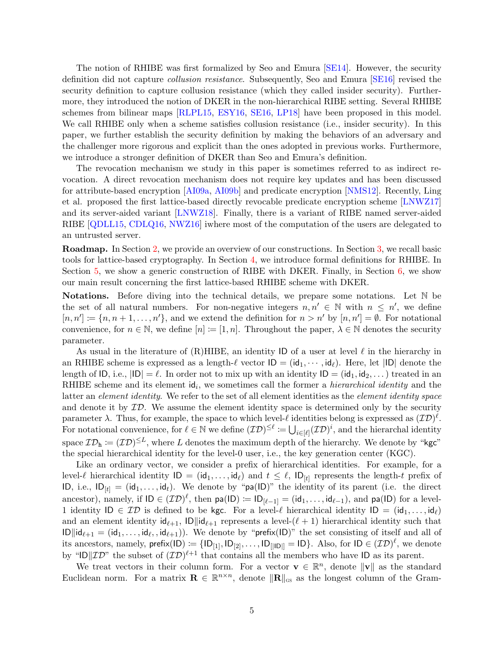The notion of RHIBE was first formalized by Seo and Emura [[SE14\]](#page-43-5). However, the security definition did not capture *collusion resistance*. Subsequently, Seo and Emura [[SE16](#page-43-3)] revised the security definition to capture collusion resistance (which they called insider security). Furthermore, they introduced the notion of DKER in the non-hierarchical RIBE setting. Several RHIBE schemes from bilinear maps [\[RLPL15](#page-43-2), [ESY16](#page-41-3), [SE16](#page-43-3), [LP18\]](#page-42-2) have been proposed in this model. We call RHIBE only when a scheme satisfies collusion resistance (i.e., insider security). In this paper, we further establish the security definition by making the behaviors of an adversary and the challenger more rigorous and explicit than the ones adopted in previous works. Furthermore, we introduce a stronger definition of DKER than Seo and Emura's definition.

The revocation mechanism we study in this paper is sometimes referred to as indirect revocation. A direct revocation mechanism does not require key updates and has been discussed for attribute-based encryption [[AI09a](#page-40-6), [AI09b\]](#page-40-7) and predicate encryption [[NMS12](#page-42-6)]. Recently, Ling et al. proposed the first lattice-based directly revocable predicate encryption scheme [[LNWZ17](#page-41-6)] and its server-aided variant [\[LNWZ18](#page-41-7)]. Finally, there is a variant of RIBE named server-aided RIBE [\[QDLL15](#page-42-7), [CDLQ16](#page-40-8), [NWZ16](#page-42-8)] iwhere most of the computation of the users are delegated to an untrusted server.

**Roadmap.** In Section [2](#page-5-0), we provide an overview of our constructions. In Section [3,](#page-12-0) we recall basic tools for lattice-based cryptography. In Section [4,](#page-14-0) we introduce formal definitions for RHIBE. In Section [5,](#page-20-0) we show a generic construction of RIBE with DKER. Finally, in Section [6,](#page-25-0) we show our main result concerning the first lattice-based RHIBE scheme with DKER.

**Notations.** Before diving into the technical details, we prepare some notations. Let N be the set of all natural numbers. For non-negative integers  $n, n' \in \mathbb{N}$  with  $n \leq n'$ , we define  $[n, n'] \coloneqq \{n, n+1, \ldots, n'\},$  and we extend the definition for  $n > n'$  by  $[n, n'] = \emptyset$ . For notational convenience, for  $n \in \mathbb{N}$ , we define  $[n] := [1, n]$ . Throughout the paper,  $\lambda \in \mathbb{N}$  denotes the security parameter.

As usual in the literature of (R)HIBE, an identity ID of a user at level *ℓ* in the hierarchy in an RHIBE scheme is expressed as a length- $\ell$  vector  $ID = (id_1, \dots, id_\ell)$ . Here, let  $|ID|$  denote the length of  $|D, i.e., |D| = \ell$ . In order not to mix up with an identity  $|D| = (id_1, id_2, \ldots)$  treated in an RHIBE scheme and its element id*<sup>i</sup>* , we sometimes call the former a *hierarchical identity* and the latter an *element identity*. We refer to the set of all element identities as the *element identity space* and denote it by  $ID$ . We assume the element identity space is determined only by the security parameter  $\lambda$ . Thus, for example, the space to which level- $\ell$  identities belong is expressed as  $(\mathcal{ID})^{\ell}$ . For notational convenience, for  $\ell \in \mathbb{N}$  we define  $(\mathcal{ID})^{\leq \ell} := \bigcup_{i \in [\ell]} (\mathcal{ID})^i$ , and the hierarchal identity space  $\mathcal{ID}_h \coloneqq (\mathcal{ID})^{\leq L}$ , where *L* denotes the maximum depth of the hierarchy. We denote by "kgc" the special hierarchical identity for the level-0 user, i.e., the key generation center (KGC).

Like an ordinary vector, we consider a prefix of hierarchical identities. For example, for a level- $\ell$  hierarchical identity  $ID = (id_1, \ldots, id_{\ell})$  and  $t \leq \ell$ ,  $ID_{[t]}$  represents the length-t prefix of ID, i.e.,  $ID_{[t]} = (id_1, \ldots, id_t)$ . We denote by "pa(ID)" the identity of its parent (i.e. the direct ancestor), namely, if  $ID \in (ID)^{\ell}$ , then  $pa(ID) := ID_{[\ell-1]} = (id_1, \ldots, id_{\ell-1})$ , and  $pa(ID)$  for a level-1 identity  $ID \in \mathcal{ID}$  is defined to be kgc. For a level- $\ell$  hierarchical identity  $ID = (id_1, \ldots, id_{\ell})$ and an element identity  $\text{id}_{\ell+1}$ ,  $\text{ID} \|\text{id}_{\ell+1}$  represents a level- $(\ell+1)$  hierarchical identity such that  $ID||id_{\ell+1} = (id_1, \ldots, id_{\ell}, id_{\ell+1})$ . We denote by "prefix(ID)" the set consisting of itself and all of its ancestors, namely,  $\mathsf{prefix}(\mathsf{ID}) \coloneqq \{ \mathsf{ID}_{[1]}, \mathsf{ID}_{[2]}, \dots, \mathsf{ID}_{[|\mathsf{ID}|]} = \mathsf{ID} \}$ . Also, for  $\mathsf{ID} \in (\mathcal{ID})^{\ell}$ , we denote by " $D||\mathcal{ID}$ " the subset of  $(\mathcal{ID})^{\ell+1}$  that contains all the members who have ID as its parent.

We treat vectors in their column form. For a vector  $\mathbf{v} \in \mathbb{R}^n$ , denote  $\|\mathbf{v}\|$  as the standard Euclidean norm. For a matrix  $\mathbf{R} \in \mathbb{R}^{n \times n}$ , denote  $\|\mathbf{R}\|_{\text{cs}}$  as the longest column of the Gram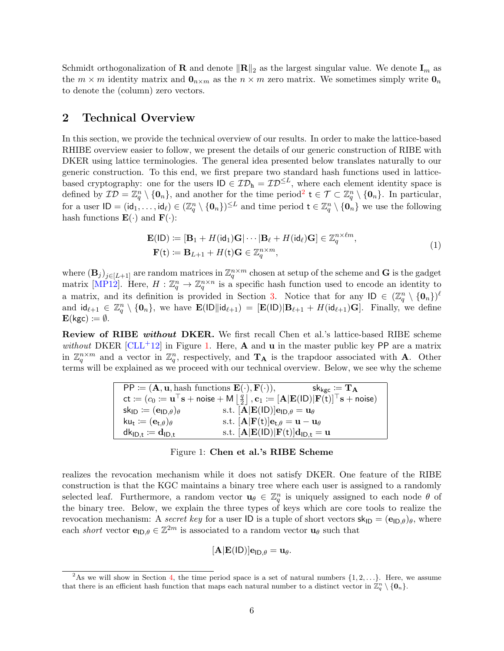Schmidt orthogonalization of **R** and denote  $\|\mathbf{R}\|_2$  as the largest singular value. We denote  $\mathbf{I}_m$  as the  $m \times m$  identity matrix and  $\mathbf{0}_{n \times m}$  as the  $n \times m$  zero matrix. We sometimes simply write  $\mathbf{0}_n$ to denote the (column) zero vectors.

### <span id="page-5-0"></span>**2 Technical Overview**

In this section, we provide the technical overview of our results. In order to make the lattice-based RHIBE overview easier to follow, we present the details of our generic construction of RIBE with DKER using lattice terminologies. The general idea presented below translates naturally to our generic construction. To this end, we first prepare two standard hash functions used in latticebased cryptography: one for the users  $ID \in \mathcal{ID}_h = \mathcal{ID}^{\leq L}$ , where each element identity space is defined by  $\mathcal{ID} = \mathbb{Z}_q^n \setminus \{\mathbf{0}_n\}$ , and another for the time period<sup>[2](#page-5-1)</sup>  $\mathsf{t} \in \mathcal{T} \subset \mathbb{Z}_q^n \setminus \{\mathbf{0}_n\}$ . In particular, for a user  $\mathsf{ID} = (\mathsf{id}_1, \ldots, \mathsf{id}_\ell) \in (\mathbb{Z}_q^n \setminus \{\mathbf{0}_n\})^{\leq L}$  and time period  $\mathsf{t} \in \mathbb{Z}_q^n \setminus \{\mathbf{0}_n\}$  we use the following hash functions  $\mathbf{E}(\cdot)$  and  $\mathbf{F}(\cdot)$ :

<span id="page-5-3"></span>
$$
\mathbf{E}(\mathsf{ID}) \coloneqq [\mathbf{B}_1 + H(\mathsf{id}_1)\mathbf{G} | \cdots | \mathbf{B}_\ell + H(\mathsf{id}_\ell)\mathbf{G}] \in \mathbb{Z}_q^{n \times \ell m}, \n\mathbf{F}(\mathsf{t}) \coloneqq \mathbf{B}_{L+1} + H(\mathsf{t})\mathbf{G} \in \mathbb{Z}_q^{n \times m},
$$
\n(1)

where  $(\mathbf{B}_j)_{j\in[L+1]}$  are random matrices in  $\mathbb{Z}_q^{n\times m}$  chosen at setup of the scheme and  $\mathbf{G}$  is the gadget matrix [[MP12\]](#page-42-9). Here,  $H: \mathbb{Z}_q^n \to \mathbb{Z}_q^{n \times n}$  is a specific hash function used to encode an identity to a matrix, and its definition is provided in Section [3.](#page-12-0) Notice that for any  $\mathsf{ID} \in (\mathbb{Z}_q^n \setminus \{\mathbf{0}_n\})^{\ell}$ and  $\mathbf{id}_{\ell+1} \in \mathbb{Z}_q^n \setminus \{\mathbf{0}_n\}$ , we have  $\mathbf{E}(\mathsf{ID}||\mathbf{id}_{\ell+1}) = [\mathbf{E}(\mathsf{ID})|\mathbf{B}_{\ell+1} + H(\mathsf{id}_{\ell+1})\mathbf{G}].$  Finally, we define  $\mathbf{E}(\mathsf{kgc}) \coloneqq \emptyset$ .

<span id="page-5-2"></span>**Review of RIBE** *without* **DKER.** We first recall Chen et al.'s lattice-based RIBE scheme *without* DKER  $[CLL+12]$  $[CLL+12]$  $[CLL+12]$  $[CLL+12]$  $[CLL+12]$  in Figure 1. Here, **A** and **u** in the master public key PP are a matrix in  $\mathbb{Z}_q^{n \times m}$  and a vector in  $\mathbb{Z}_q^n$ , respectively, and  $\mathbf{T}_A$  is the trapdoor associated with A. Other terms will be explained as we proceed with our technical overview. Below, we see why the scheme

| $PP := (\mathbf{A}, \mathbf{u}, \text{hash functions } \mathbf{E}(\cdot), \mathbf{F}(\cdot)),$                                                                                                                 |                                                                                                             | sk $_{\mathsf{kgc}} \coloneqq \mathbf{T_A}$ |
|----------------------------------------------------------------------------------------------------------------------------------------------------------------------------------------------------------------|-------------------------------------------------------------------------------------------------------------|---------------------------------------------|
| $ct := (c_0 := \mathbf{u}^\top \mathbf{s} + \text{noise} + \mathsf{M} \left  \frac{q}{2} \right , \mathbf{c}_1 := [\mathbf{A} \mathbf{E}(\mathsf{ID}) \mathbf{F}(\mathsf{t})]^\top \mathbf{s} + \text{noise})$ |                                                                                                             |                                             |
| $\mathsf{sk}_{\mathsf{ID}} \coloneqq (\mathbf{e}_{\mathsf{ID}, \theta})_\theta$                                                                                                                                | s.t. $[\mathbf{A} \mathbf{E}(\mathsf{ID})]$ e <sub>ID.<math>\theta = \mathbf{u}_{\theta}</math></sub>       |                                             |
| $ku_t := (\mathbf{e}_{t,\theta})_{\theta}$                                                                                                                                                                     | s.t. $[\mathbf{A} \mathbf{F}(\mathsf{t})]\mathbf{e}_{\mathsf{t},\theta} = \mathbf{u} - \mathbf{u}_{\theta}$ |                                             |
| $dk_{\text{ID.t}} \coloneqq d_{\text{ID.t}}$                                                                                                                                                                   | s.t. $[\mathbf{A} \mathbf{E}(\mathsf{ID}) \mathbf{F}(\mathsf{t})]\mathbf{d}_{\mathsf{ID.t}} = \mathbf{u}$   |                                             |

| Figure 1: Chen et al.'s RIBE Scheme |  |  |  |  |  |
|-------------------------------------|--|--|--|--|--|
|-------------------------------------|--|--|--|--|--|

realizes the revocation mechanism while it does not satisfy DKER. One feature of the RIBE construction is that the KGC maintains a binary tree where each user is assigned to a randomly selected leaf. Furthermore, a random vector  $\mathbf{u}_{\theta} \in \mathbb{Z}_q^n$  is uniquely assigned to each node  $\theta$  of the binary tree. Below, we explain the three types of keys which are core tools to realize the revocation mechanism: A *secret key* for a user ID is a tuple of short vectors  $\mathsf{sk}_{\mathsf{ID}} = (\mathsf{e}_{\mathsf{ID}, \theta})_{\theta}$ , where each *short* vector  $\mathbf{e}_{\mathsf{ID},\theta} \in \mathbb{Z}^{2m}$  is associated to a random vector  $\mathbf{u}_{\theta}$  such that

$$
[\mathbf{A}|\mathbf{E}(\mathsf{ID})]\mathbf{e}_{\mathsf{ID},\theta}=\mathbf{u}_{\theta}.
$$

<span id="page-5-1"></span><sup>&</sup>lt;sup>2</sup>As we will show in Section [4](#page-14-0), the time period space is a set of natural numbers  $\{1, 2, \ldots\}$ . Here, we assume that there is an efficient hash function that maps each natural number to a distinct vector in  $\mathbb{Z}_q^n \setminus \{\mathbf{0}_n\}$ .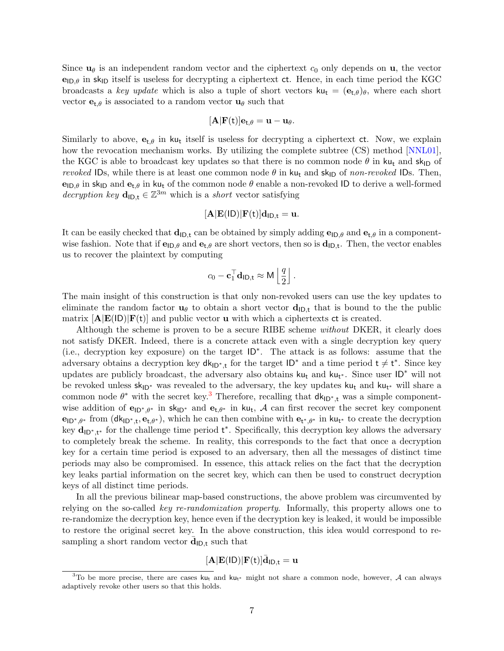Since  $\mathbf{u}_{\theta}$  is an independent random vector and the ciphertext  $c_0$  only depends on **u**, the vector  $e_{ID,\theta}$  in sk<sub>ID</sub> itself is useless for decrypting a ciphertext ct. Hence, in each time period the KGC broadcasts a *key update* which is also a tuple of short vectors  $ku_t = (e_{t,\theta})_\theta$ , where each short vector  $\mathbf{e}_{t,\theta}$  is associated to a random vector  $\mathbf{u}_{\theta}$  such that

$$
[\mathbf{A}|\mathbf{F}(t)]\mathbf{e}_{t,\theta} = \mathbf{u} - \mathbf{u}_{\theta}.
$$

Similarly to above,  $e_{t,\theta}$  in ku<sub>t</sub> itself is useless for decrypting a ciphertext ct. Now, we explain how the revocation mechanism works. By utilizing the complete subtree (CS) method [[NNL01](#page-42-0)], the KGC is able to broadcast key updates so that there is no common node  $\theta$  in ku<sub>t</sub> and sk<sub>ID</sub> of *revoked* IDs, while there is at least one common node  $\theta$  in ku<sub>t</sub> and sk<sub>ID</sub> of *non-revoked* IDs. Then, **e**<sub>ID</sub> $\theta$  in sk<sub>ID</sub> and **e**<sub>t</sub> $\theta$  in ku<sub>t</sub> of the common node  $\theta$  enable a non-revoked ID to derive a well-formed *decryption key*  $\mathbf{d}_{\mathsf{ID},\mathsf{t}} \in \mathbb{Z}^{3m}$  which is a *short* vector satisfying

$$
[\mathbf{A}|\mathbf{E}(ID)|\mathbf{F}(t)]\mathbf{d}_{ID,t} = \mathbf{u}.
$$

It can be easily checked that  $\mathbf{d}_{\mathsf{ID},t}$  can be obtained by simply adding  $\mathbf{e}_{\mathsf{ID},\theta}$  and  $\mathbf{e}_{t,\theta}$  in a componentwise fashion. Note that if  $e_{\text{ID},\theta}$  and  $e_{\text{t},\theta}$  are short vectors, then so is  $d_{\text{ID},\text{t}}$ . Then, the vector enables us to recover the plaintext by computing

$$
c_0 - \mathbf{c}_1^\top \mathbf{d}_{\mathsf{ID},\mathsf{t}} \approx \mathsf{M} \left\lfloor \frac{q}{2} \right\rfloor.
$$

The main insight of this construction is that only non-revoked users can use the key updates to eliminate the random factor  $\mathbf{u}_{\theta}$  to obtain a short vector  $\mathbf{d}_{\theta}$ , that is bound to the the public matrix  $[\mathbf{A}|\mathbf{E}(\mathbf{I}\mathbf{D})|\mathbf{F}(\mathbf{t})]$  and public vector **u** with which a ciphertexts **ct** is created.

Although the scheme is proven to be a secure RIBE scheme *without* DKER, it clearly does not satisfy DKER. Indeed, there is a concrete attack even with a single decryption key query (i.e., decryption key exposure) on the target ID*<sup>∗</sup>* . The attack is as follows: assume that the adversary obtains a decryption key  $dk_{D^*,t}$  for the target  $ID^*$  and a time period  $t \neq t^*$ . Since key updates are publicly broadcast, the adversary also obtains  $ku_t$  and  $ku_{t^*}$ . Since user ID<sup>\*</sup> will not be revoked unless sk<sub>ID<sup>∗</sup></sub> was revealed to the adversary, the key updates ku<sub>t</sub> and ku<sub>t<sup>∗</sub></sup> will share a</sub> common node  $\theta^*$  with the secret key.<sup>[3](#page-6-0)</sup> Therefore, recalling that  $d\mathsf{k}_{\mathsf{ID}^*,t}$  was a simple componentwise addition of  $e_{ID^*,\theta^*}$  in sk<sub>ID<sup>∗</sup></sub> and  $e_{t,\theta^*}$  in ku<sub>t</sub>, *A* can first recover the secret key component  $e_{\text{ID}^*,\theta^*}$  from  $(dk_{\text{ID}^*,t},e_{t,\theta^*})$ , which he can then combine with  $e_{t^*,\theta^*}$  in  $ku_{t^*}$  to create the decryption key  $\mathbf{d}_{\mathsf{ID}^*,t^*}$  for the challenge time period  $t^*$ . Specifically, this decryption key allows the adversary to completely break the scheme. In reality, this corresponds to the fact that once a decryption key for a certain time period is exposed to an adversary, then all the messages of distinct time periods may also be compromised. In essence, this attack relies on the fact that the decryption key leaks partial information on the secret key, which can then be used to construct decryption keys of all distinct time periods.

In all the previous bilinear map-based constructions, the above problem was circumvented by relying on the so-called *key re-randomization property*. Informally, this property allows one to re-randomize the decryption key, hence even if the decryption key is leaked, it would be impossible to restore the original secret key. In the above construction, this idea would correspond to resampling a short random vector  $\bar{d}_{ID,t}$  such that

$$
[\mathbf{A}|\mathbf{E}(\mathsf{ID})|\mathbf{F}(t)]\bar{\mathbf{d}}_{\mathsf{ID},t}=\mathbf{u}
$$

<span id="page-6-0"></span><sup>3</sup>To be more precise, there are cases ku<sup>t</sup> and ku<sup>t</sup>*<sup>∗</sup>* might not share a common node, however, *A* can always adaptively revoke other users so that this holds.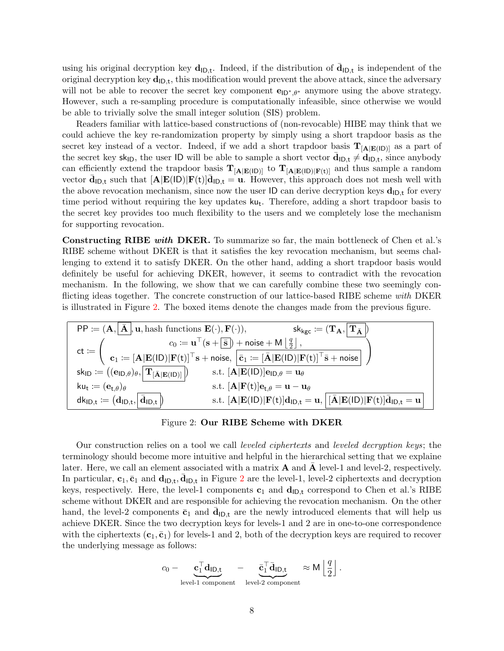using his original decryption key  $d_{\text{ID},t}$ . Indeed, if the distribution of  $\bar{d}_{\text{ID},t}$  is independent of the original decryption key  $\mathbf{d}_{\mathsf{ID},t}$ , this modification would prevent the above attack, since the adversary will not be able to recover the secret key component **e**<sub>ID<sup>*∗*</sup>,*θ*<sup>*∗*</sup> anymore using the above strategy.</sub> However, such a re-sampling procedure is computationally infeasible, since otherwise we would be able to trivially solve the small integer solution (SIS) problem.

Readers familiar with lattice-based constructions of (non-revocable) HIBE may think that we could achieve the key re-randomization property by simply using a short trapdoor basis as the secret key instead of a vector. Indeed, if we add a short trapdoor basis  $T_{[A|E(ID)]}$  as a part of the secret key sk<sub>ID</sub>, the user ID will be able to sample a short vector  $\bar{d}_{ID,t} \neq d_{ID,t}$ , since anybody can efficiently extend the trapdoor basis  $T_{[A|E(ID)]}$  to  $T_{[A|E(ID)|F(t)]}$  and thus sample a random vector  $\bar{\mathbf{d}}_{\mathsf{ID},t}$  such that  $[\mathbf{A}|\mathbf{E}(\mathsf{ID})|\mathbf{F}(t)]\bar{\mathbf{d}}_{\mathsf{ID},t} = \mathbf{u}$ . However, this approach does not mesh well with the above revocation mechanism, since now the user ID can derive decryption keys  $\mathbf{d}_{\mathsf{ID},t}$  for every time period without requiring the key updates  $ku_t$ . Therefore, adding a short trapdoor basis to the secret key provides too much flexibility to the users and we completely lose the mechanism for supporting revocation.

**Constructing RIBE** *with* **DKER.** To summarize so far, the main bottleneck of Chen et al.'s RIBE scheme without DKER is that it satisfies the key revocation mechanism, but seems challenging to extend it to satisfy DKER. On the other hand, adding a short trapdoor basis would definitely be useful for achieving DKER, however, it seems to contradict with the revocation mechanism. In the following, we show that we can carefully combine these two seemingly conflicting ideas together. The concrete construction of our lattice-based RIBE scheme *with* DKER is illustrated in Figure [2](#page-7-0). The boxed items denote the changes made from the previous figure.

<span id="page-7-0"></span>PP := (**A***,* **<sup>A</sup>**¯ *,* **<sup>u</sup>***,* hash functions **<sup>E</sup>**(*·*)*,* **<sup>F</sup>**(*·*))*,* skkgc := (**TA***,* **<sup>T</sup>A**¯ ) ct := *c*<sup>0</sup> := **u** *<sup>⊤</sup>*(**s** + ¯**s** ) + noise + M *q* 2 *,* **<sup>c</sup>**<sup>1</sup> := [**A***|***E**(ID)*|***F**(t)]*⊤***<sup>s</sup>** <sup>+</sup> noise*,* **<sup>c</sup>**¯<sup>1</sup> := [**A**¯ *<sup>|</sup>***E**(ID)*|***F**(t)]*⊤*¯**<sup>s</sup>** <sup>+</sup> noise ! skID := (**e**ID*,θ*)*θ,* **T**[**A**¯ *<sup>|</sup>***E**(ID)] s.t. [**A***|***E**(ID)]**e**ID*,θ* = **u***<sup>θ</sup>* ku<sup>t</sup> := (**e**t*,θ*)*<sup>θ</sup>* s.t. [**A***|***F**(t)]**e**t*,θ* = **u** *−* **u***<sup>θ</sup>* dkID*,*<sup>t</sup> := **d**ID*,*<sup>t</sup> *,* **d**¯ ID*,*t s.t. [**A***|***E**(ID)*|***F**(t)]**d**ID*,*<sup>t</sup> = **u**, [**A**¯ *|***E**(ID)*|***F**(t)]**d**¯ ID*,*<sup>t</sup> = **u**

Figure 2: **Our RIBE Scheme with DKER**

Our construction relies on a tool we call *leveled ciphertexts* and *leveled decryption keys*; the terminology should become more intuitive and helpful in the hierarchical setting that we explaine later. Here, we call an element associated with a matrix  $\bf{A}$  and  $\bf{A}$  level-1 and level-2, respectively. In particular,  $c_1$ ,  $\bar{c}_1$  and  $d_{ID,t}$ ,  $\bar{d}_{ID,t}$  in Figure [2](#page-7-0) are the level-1, level-2 ciphertexts and decryption keys, respectively. Here, the level-1 components  $c_1$  and  $d_{ID,t}$  correspond to Chen et al.'s RIBE scheme without DKER and are responsible for achieving the revocation mechanism. On the other hand, the level-2 components  $\bar{c}_1$  and  $\bar{d}_{\text{ID},t}$  are the newly introduced elements that will help us achieve DKER. Since the two decryption keys for levels-1 and 2 are in one-to-one correspondence with the ciphertexts  $(c_1, \bar{c}_1)$  for levels-1 and 2, both of the decryption keys are required to recover the underlying message as follows:

$$
c_0 - \underbrace{\mathbf{c}_1^\top \mathbf{d}_{\mathsf{ID},\mathsf{t}}}_{\text{level-1 component}} - \underbrace{\bar{\mathbf{c}}_1^\top \bar{\mathbf{d}}_{\mathsf{ID},\mathsf{t}}}{\text{level-2 component}} \approx \mathsf{M} \left\lfloor \frac{q}{2} \right\rfloor.
$$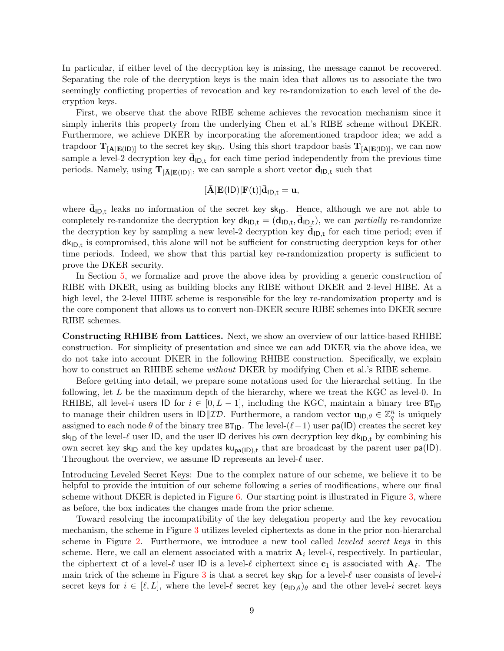In particular, if either level of the decryption key is missing, the message cannot be recovered. Separating the role of the decryption keys is the main idea that allows us to associate the two seemingly conflicting properties of revocation and key re-randomization to each level of the decryption keys.

First, we observe that the above RIBE scheme achieves the revocation mechanism since it simply inherits this property from the underlying Chen et al.'s RIBE scheme without DKER. Furthermore, we achieve DKER by incorporating the aforementioned trapdoor idea; we add a trapdoor  $T_{\tilde{A}|\mathbf{E}(|D)|}$  to the secret key sk<sub>ID</sub>. Using this short trapdoor basis  $T_{\tilde{A}|\mathbf{E}(|D)|}$ , we can now sample a level-2 decryption key  $\bar{d}_{ID,t}$  for each time period independently from the previous time periods. Namely, using  $T_{\bar{A}|\mathbf{E}(|D)|}$ , we can sample a short vector  $\bar{d}_{\text{ID},t}$  such that

$$
[\bar{\mathbf{A}}|\mathbf{E}(\mathsf{ID})|\mathbf{F}(t)]\bar{\mathbf{d}}_{\mathsf{ID},t}=\mathbf{u},
$$

where  $\bar{d}_{ID,t}$  leaks no information of the secret key  $skID$ . Hence, although we are not able to completely re-randomize the decryption key  $d\mathbf{k}_{\text{ID},t} = (\mathbf{d}_{\text{ID},t}, \bar{\mathbf{d}}_{\text{ID},t})$ , we can *partially* re-randomize the decryption key by sampling a new level-2 decryption key  $\frac{1}{d}I_{D,t}$  for each time period; even if dk<sub>ID,t</sub> is compromised, this alone will not be sufficient for constructing decryption keys for other time periods. Indeed, we show that this partial key re-randomization property is sufficient to prove the DKER security.

In Section [5](#page-20-0), we formalize and prove the above idea by providing a generic construction of RIBE with DKER, using as building blocks any RIBE without DKER and 2-level HIBE. At a high level, the 2-level HIBE scheme is responsible for the key re-randomization property and is the core component that allows us to convert non-DKER secure RIBE schemes into DKER secure RIBE schemes.

**Constructing RHIBE from Lattices.** Next, we show an overview of our lattice-based RHIBE construction. For simplicity of presentation and since we can add DKER via the above idea, we do not take into account DKER in the following RHIBE construction. Specifically, we explain how to construct an RHIBE scheme *without* DKER by modifying Chen et al.'s RIBE scheme.

Before getting into detail, we prepare some notations used for the hierarchal setting. In the following, let *L* be the maximum depth of the hierarchy, where we treat the KGC as level-0. In RHIBE, all level-*i* users ID for  $i \in [0, L - 1]$ , including the KGC, maintain a binary tree BT<sub>ID</sub> to manage their children users in  $\mathsf{ID} \parallel \mathcal{ID}$ . Furthermore, a random vector  $\mathbf{u}_{\mathsf{ID},\theta} \in \mathbb{Z}_q^n$  is uniquely assigned to each node  $\theta$  of the binary tree BT<sub>ID</sub>. The level- $(\ell-1)$  user  $pa(ID)$  creates the secret key sk<sub>ID</sub> of the level-*ℓ* user ID, and the user ID derives his own decryption key dk<sub>ID,t</sub> by combining his own secret key  $sk_{ID}$  and the key updates  $ku_{pa(ID),t}$  that are broadcast by the parent user  $pa(ID).$ Throughout the overview, we assume ID represents an level-*ℓ* user.

Introducing Leveled Secret Keys: Due to the complex nature of our scheme, we believe it to be helpful to provide the intuition of our scheme following a series of modifications, where our final scheme without DKER is depicted in Figure [6.](#page-12-1) Our starting point is illustrated in Figure [3](#page-9-0), where as before, the box indicates the changes made from the prior scheme.

Toward resolving the incompatibility of the key delegation property and the key revocation mechanism, the scheme in Figure [3](#page-9-0) utilizes leveled ciphertexts as done in the prior non-hierarchal scheme in Figure [2](#page-7-0). Furthermore, we introduce a new tool called *leveled secret keys* in this scheme. Here, we call an element associated with a matrix  $A_i$  level-*i*, respectively. In particular, the ciphertext ct of a level-*ℓ* user ID is a level-*ℓ* ciphertext since **c**<sup>1</sup> is associated with **A***<sup>ℓ</sup>* . The main trick of the scheme in Figure [3](#page-9-0) is that a secret key  $sk_{\text{ID}}$  for a level- $\ell$  user consists of level-*i* secret keys for  $i \in [\ell, L]$ , where the level- $\ell$  secret key  $(e_{\mathsf{ID}, \theta})_{\theta}$  and the other level-*i* secret keys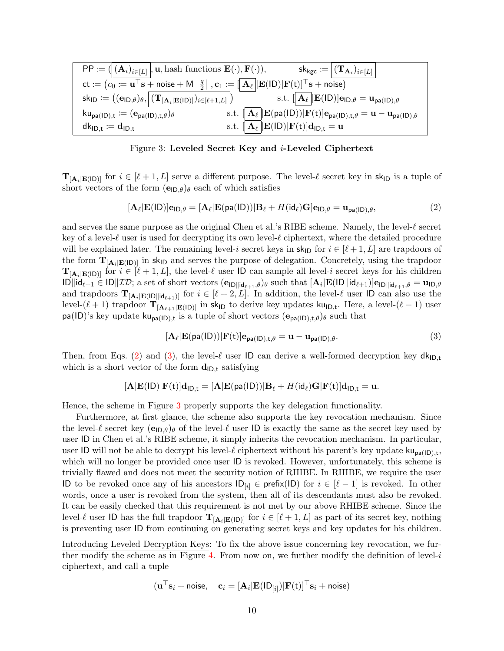<span id="page-9-0"></span>
$$
\begin{aligned} \mathsf{PP} &\coloneqq \left(\!\!\big(\mathbf{A}_i\big)_{i\in[L]}\!\!\right)\!,\mathbf{u},\text{hash functions }\mathbf{E}(\cdot),\mathbf{F}(\cdot)),\qquad \mathsf{sk}_{\mathsf{Kgc}}\coloneqq\!\!\!\Big[\!\!\big(\mathbf{T}_{\mathbf{A}_i}\big)_{i\in[L]}\!\!\Big] \\ \mathsf{ct} &\coloneqq \left(\mathsf{c}_0\coloneqq \mathbf{u}^\top \mathbf{s} + \mathsf{noise} + \mathsf{M}\left\lfloor\frac{q}{2}\right\rfloor\!,\mathbf{c}_1\coloneqq\!\!\!\Big[\!\!\big(\mathbf{A}_\ell\big|\mathbf{E}(\mathsf{ID})\big|\mathbf{F}(\mathsf{t})\big]^\top \mathbf{s} + \mathsf{noise}\!\!\Big) \\ \mathsf{sk}_{\mathsf{ID}} &\coloneqq \left((\mathsf{e}_{\mathsf{ID},\theta})_\theta, \overline{\big(\mathbf{T}_{\left[\mathbf{A}_i\middle|\mathbf{E}(\mathsf{ID})\right]}\big)_{i\in[\ell+1,L]}}\big) } \right) \qquad \qquad \text{s.t. }\big[\overline{\mathbf{A}_\ell}\big|\mathbf{E}(\mathsf{ID})\big|\mathsf{e}_{\mathsf{ID},\theta} = \mathbf{u}_{\mathsf{pa}(\mathsf{ID}),\theta} \\ \mathsf{ku}_{\mathsf{pa}(\mathsf{ID}),\mathsf{t}} &\coloneqq \big(\mathsf{e}_{\mathsf{pa}(\mathsf{ID}),\mathsf{t},\theta}\big)_{\theta} \qquad \qquad \text{s.t. }\big[\overline{\mathbf{A}_\ell}\big|\mathbf{E}(\mathsf{pa}(\mathsf{ID})\big|\mathbf{F}(\mathsf{t})\big|\mathbf{e}_{\mathsf{pa}(\mathsf{ID}),\mathsf{t},\theta} = \mathbf{u} - \mathbf{u}_{\mathsf{pa}(\mathsf{ID}),\theta} \\ \mathsf{dk}_{\mathsf{ID},\mathsf{t}} &\coloneqq \mathsf{d}_{\mathsf{ID},\mathsf{t}} \qquad \qquad \text{s.t. }\big[\overline{\mathbf{A}_\ell}\big|\mathbf{E}(\mathsf{ID})\big|\mathbf{F}(\mathsf{t})\big|\mathbf{d}_{\mathsf{ID},\mathsf{t}} = \mathbf{u} \end{aligned}
$$

Figure 3: **Leveled Secret Key and** *i***-Leveled Ciphertext**

 $\mathbf{T}_{\left[\mathbf{A}_i\right]\mathbf{E}(\left[\mathbf{D}\right)]}$  for  $i \in [\ell+1, L]$  serve a different purpose. The level- $\ell$  secret key in sk<sub>ID</sub> is a tuple of short vectors of the form  $(\mathbf{e}_{\mathsf{ID},\theta})_\theta$  each of which satisfies

$$
[\mathbf{A}_{\ell}|\mathbf{E}(\mathsf{ID})]\mathbf{e}_{\mathsf{ID},\theta} = [\mathbf{A}_{\ell}|\mathbf{E}(\mathsf{pa}(\mathsf{ID}))|\mathbf{B}_{\ell} + H(\mathsf{id}_{\ell})\mathbf{G}]\mathbf{e}_{\mathsf{ID},\theta} = \mathbf{u}_{\mathsf{pa}(\mathsf{ID}),\theta},\tag{2}
$$

and serves the same purpose as the original Chen et al.'s RIBE scheme. Namely, the level-*ℓ* secret key of a level-*ℓ* user is used for decrypting its own level-*ℓ* ciphertext, where the detailed procedure will be explained later. The remaining level-*i* secret keys in  $\mathsf{sk}_{\mathsf{ID}}$  for  $i \in [\ell+1, L]$  are trapdoors of the form  $T_{[A_i|E(|D)]}$  in sk<sub>ID</sub> and serves the purpose of delegation. Concretely, using the trapdoor  $\mathbf{T}_{\left[\mathbf{A}_i\right]\mathbf{E}(\left[\mathbf{D}\right)]}$  for  $i \in [\ell+1, L]$ , the level- $\ell$  user ID can sample all level-*i* secret keys for his children  $\textsf{ID} \| \textsf{id}_{\ell+1} \in \textsf{ID} \| \mathcal{ID}; \text{ a set of short vectors } (\mathbf{e}_{\textsf{ID} \| \textsf{id}_{\ell+1}, \theta})_\theta \text{ such that } [\mathbf{A}_i | \mathbf{E}(\textsf{ID} \| \textsf{id}_{\ell+1})] \mathbf{e}_{\textsf{ID} \| \textsf{id}_{\ell+1}, \theta} = \mathbf{u}_{\textsf{ID}, \theta}$ and trapdoors  $\mathbf{T}_{\lbrack \mathbf{A}_i \rbrack \mathbf{E}(\lbrack 0 \rbrack \rbrack \rbrack d_{\ell+1})}$  for  $i \in [\ell+2, L]$ . In addition, the level- $\ell$  user ID can also use the  $\text{level-}(\ell+1)$  trapdoor  $\mathbf{T}_{[\mathbf{A}_{\ell+1}|\mathbf{E}(\mathsf{ID})]}$  in sk<sub>ID</sub> to derive key updates ku<sub>ID,t</sub>. Here, a level- $(\ell-1)$  user  $pa(ID)*$  key update  $ku_{pa(ID),t}$  is a tuple of short vectors  $(e_{pa(ID),t,\theta})_{\theta}$  such that

<span id="page-9-2"></span><span id="page-9-1"></span>
$$
[\mathbf{A}_{\ell}|\mathbf{E}(\mathsf{pa}(\mathsf{ID}))|\mathbf{F}(\mathsf{t})]\mathbf{e}_{\mathsf{pa}(\mathsf{ID}),\mathsf{t},\theta} = \mathbf{u} - \mathbf{u}_{\mathsf{pa}(\mathsf{ID}),\theta}.\tag{3}
$$

Then, from Eqs. [\(2\)](#page-9-1) and ([3](#page-9-2)), the level- $\ell$  user ID can derive a well-formed decryption key dk<sub>ID<sub>t</sub></sub> which is a short vector of the form  $\mathbf{d}_{\mathsf{ID},t}$  satisfying

$$
[\mathbf{A}|\mathbf{E}(\mathsf{ID})|\mathbf{F}(\mathsf{t})]\mathbf{d}_{\mathsf{ID},\mathsf{t}} = [\mathbf{A}|\mathbf{E}(\mathsf{pa}(\mathsf{ID}))|\mathbf{B}_{\ell} + H(\mathsf{id}_{\ell})\mathbf{G}|\mathbf{F}(\mathsf{t})]\mathbf{d}_{\mathsf{ID},\mathsf{t}} = \mathbf{u}.
$$

Hence, the scheme in Figure [3](#page-9-0) properly supports the key delegation functionality.

Furthermore, at first glance, the scheme also supports the key revocation mechanism. Since the level- $\ell$  secret key  $(e_{\text{ID},\theta})_\theta$  of the level- $\ell$  user ID is exactly the same as the secret key used by user ID in Chen et al.'s RIBE scheme, it simply inherits the revocation mechanism. In particular, user ID will not be able to decrypt his level- $\ell$  ciphertext without his parent's key update ku<sub>pa(ID),t</sub>, which will no longer be provided once user  $ID$  is revoked. However, unfortunately, this scheme is trivially flawed and does not meet the security notion of RHIBE. In RHIBE, we require the user ID to be revoked once any of his ancestors  $|D_{[i]} \text{ ∈ prefix}(ID)$  for  $i \text{ ∈ } [\ell - 1]$  is revoked. In other words, once a user is revoked from the system, then all of its descendants must also be revoked. It can be easily checked that this requirement is not met by our above RHIBE scheme. Since the level- $\ell$  user ID has the full trapdoor  $\mathbf{T}_{\lbrack \mathbf{A}_i \rbrack \mathbf{E}(\lbrack D) \rbrack}$  for  $i \in [\ell+1, L]$  as part of its secret key, nothing is preventing user ID from continuing on generating secret keys and key updates for his children.

Introducing Leveled Decryption Keys: To fix the above issue concerning key revocation, we further modify the scheme as in Figure [4.](#page-10-0) From now on, we further modify the definition of level-*i* ciphertext, and call a tuple

$$
(\mathbf{u}^\top \mathbf{s}_i + \text{noise}, \quad \mathbf{c}_i = [\mathbf{A}_i] \mathbf{E}(\mathsf{ID}_{[i]}) |\mathbf{F}(\mathsf{t})]^\top \mathbf{s}_i + \text{noise})
$$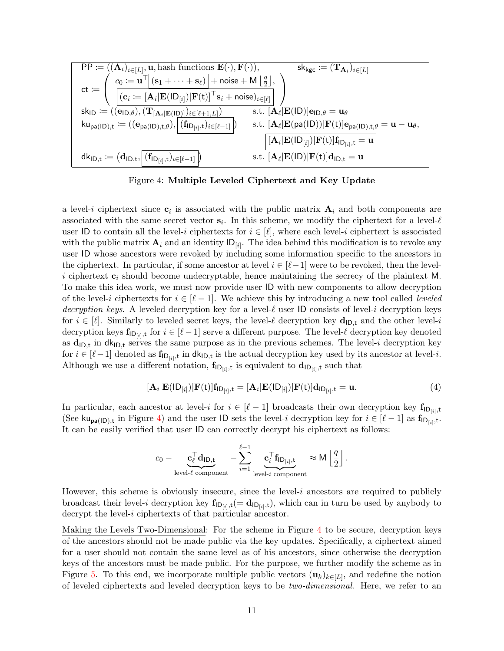<span id="page-10-0"></span>
$$
\begin{aligned} &\text{PP} \coloneqq ((\mathbf{A}_i)_{i \in [L]}, \mathbf{u}, \text{hash functions } \mathbf{E}(\cdot), \mathbf{F}(\cdot)), &\text{sk}_{\text{kgc}} \coloneqq (\mathbf{T}_{\mathbf{A}_i})_{i \in [L]} \\ &\text{ct} \coloneqq \left( \begin{matrix} c_0 \coloneqq \mathbf{u}^\top \big[\mathbf{s}_1 + \cdots + \mathbf{s}_\ell\big] + \text{noise} + \mathsf{M} \big\lfloor \frac{q}{2} \big\rfloor, \\ \big[\mathbf{c}_i \coloneqq [\mathbf{A}_i | \mathbf{E}(\mathbf{D}_{[i]}) | \mathbf{F}(t)]^\top \mathbf{s}_i + \text{noise} \big\rfloor_{i \in [\ell]} \big] \\ \text{skn} \coloneqq ((\mathbf{e}_{\mathsf{ID}, \theta}), (\mathbf{T}_{[\mathbf{A}_i | \mathbf{E}(\mathsf{ID})} )_{i \in [\ell+1, L]}) & \text{s.t. } [\mathbf{A}_\ell | \mathbf{E}(\mathsf{ID})] \mathbf{e}_{\mathsf{ID}, \theta} = \mathbf{u}_\theta \\ \text{ku}_{\mathsf{pa}(\mathsf{ID}), t} \coloneqq ((\mathbf{e}_{\mathsf{pa}(\mathsf{ID}), t, \theta}), \big[\mathbf{f}_{\mathsf{ID}_{[i]}, t} )_{i \in [\ell-1]}] ) & \text{s.t. } [\mathbf{A}_\ell | \mathbf{E}(\mathsf{pa}(\mathsf{ID}) ) | \mathbf{F}(t) ] \mathbf{e}_{\mathsf{pa}(\mathsf{ID}), t, \theta} = \mathbf{u} - \mathbf{u}_\theta, \\ \big[\mathbf{A}_i | \mathbf{E}(\mathsf{ID}_{[i]}) | \mathbf{F}(t) ] \mathbf{f}_{\mathsf{ID}_{[i]}, t} = \mathbf{u} \big] \\ \text{dk}_{\mathsf{ID}, t} \coloneqq (\mathbf{d}_{\mathsf{ID}, t}, \big[\mathbf{f}_{\mathsf{ID}_{[i]}, t} )_{i \in [\ell-1]}] ) & \text{s.t. } [\mathbf{A}_\ell | \mathbf{E}(\mathsf{ID}) | \mathbf{F}(t) ] \mathbf{d}_{\mathsf{ID}, t} = \mathbf{u} \end{matrix} \end{aligned}
$$

Figure 4: **Multiple Leveled Ciphertext and Key Update**

a level-*i* ciphertext since  $\mathbf{c}_i$  is associated with the public matrix  $\mathbf{A}_i$  and both components are associated with the same secret vector  $s_i$ . In this scheme, we modify the ciphertext for a level- $\ell$ user ID to contain all the level-*i* ciphertexts for  $i \in [\ell]$ , where each level-*i* ciphertext is associated with the public matrix  $\mathbf{A}_i$  and an identity  $\mathsf{ID}_{[i]}$ . The idea behind this modification is to revoke any user ID whose ancestors were revoked by including some information specific to the ancestors in the ciphertext. In particular, if some ancestor at level  $i \in [\ell-1]$  were to be revoked, then the level*i* ciphertext **c***<sup>i</sup>* should become undecryptable, hence maintaining the secrecy of the plaintext M. To make this idea work, we must now provide user ID with new components to allow decryption of the level-*i* ciphertexts for  $i \in [\ell-1]$ . We achieve this by introducing a new tool called *leveled decryption keys*. A leveled decryption key for a level-*ℓ* user ID consists of level-*i* decryption keys for  $i \in [\ell]$ . Similarly to leveled secret keys, the level- $\ell$  decryption key  $\mathbf{d}_{\mathsf{ID},t}$  and the other level-*i* decryption keys  $f_{|D_{[i]},t}$  for  $i \in [\ell-1]$  serve a different purpose. The level- $\ell$  decryption key denoted as  $d_{\text{ID},t}$  in  $dk_{\text{ID},t}$  serves the same purpose as in the previous schemes. The level-*i* decryption key for  $i \in [\ell-1]$  denoted as  $\mathbf{f}_{\mathsf{ID}_{[i]},\mathsf{t}}$  in  $\mathsf{dk}_{\mathsf{ID},\mathsf{t}}$  is the actual decryption key used by its ancestor at level-*i*. Although we use a different notation,  $f_{|D_{[i]},t}$  is equivalent to  $d_{|D_{[i]},t}$  such that

<span id="page-10-1"></span>
$$
[\mathbf{A}_i|\mathbf{E}(\mathsf{ID}_{[i]})|\mathbf{F}(t)]\mathbf{f}_{\mathsf{ID}_{[i]},t} = [\mathbf{A}_i|\mathbf{E}(\mathsf{ID}_{[i]})|\mathbf{F}(t)]\mathbf{d}_{\mathsf{ID}_{[i]},t} = \mathbf{u}.
$$
\n(4)

In particular, each ancestor at level-*i* for  $i \in [\ell-1]$  broadcasts their own decryption key  $f_{\text{ID}_{[i]},t}$ (See ku<sub>pa(ID),t</sub> in Figure [4\)](#page-10-0) and the user ID sets the level-*i* decryption key for  $i \in [\ell - 1]$  as  $\mathbf{f}_{\text{ID}_{[i]}$ ,t. It can be easily verified that user ID can correctly decrypt his ciphertext as follows:

$$
c_0 - \underbrace{\mathbf{c}_\ell^\top \mathbf{d}_{\mathsf{ID},\mathbf{t}}}_{\text{level-}\ell \text{ component}} - \sum_{i=1}^{\ell-1} \underbrace{\mathbf{c}_i^\top \mathbf{f}_{\mathsf{ID}_{[i]},\mathbf{t}}}_{\text{level-}\ell \text{ component}} \approx \mathsf{M} \left\lfloor \frac{q}{2} \right\rfloor.
$$

However, this scheme is obviously insecure, since the level-*i* ancestors are required to publicly broadcast their level-*i* decryption key  $f_{|D_{[i]},t} (= d_{|D_{[i]},t})$ , which can in turn be used by anybody to decrypt the level-*i* ciphertexts of that particular ancestor.

Making the Levels Two-Dimensional: For the scheme in Figure [4](#page-10-0) to be secure, decryption keys of the ancestors should not be made public via the key updates. Specifically, a ciphertext aimed for a user should not contain the same level as of his ancestors, since otherwise the decryption keys of the ancestors must be made public. For the purpose, we further modify the scheme as in Figure [5.](#page-11-0) To this end, we incorporate multiple public vectors  $(\mathbf{u}_k)_{k \in [L]}$ , and redefine the notion of leveled ciphertexts and leveled decryption keys to be *two-dimensional*. Here, we refer to an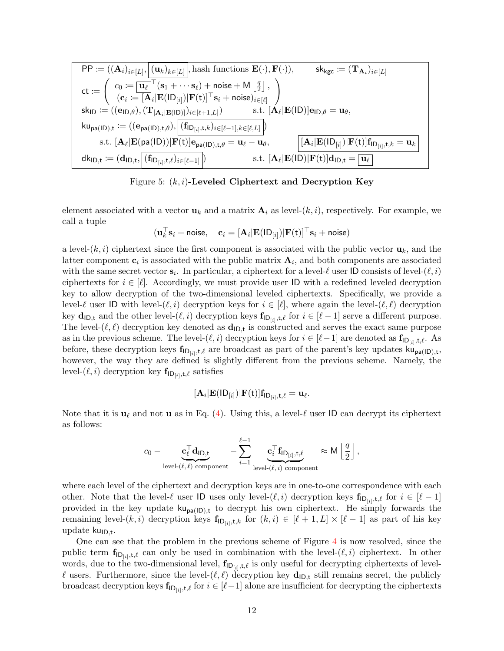<span id="page-11-0"></span>
$$
\begin{aligned} &\text{PP} := ((\mathbf{A}_i)_{i \in [L]}, \boxed{(\mathbf{u}_k)_{k \in [L]}}, \text{hash functions } \mathbf{E}(\cdot), \mathbf{F}(\cdot)), \qquad \mathsf{sk}_{\mathsf{Kgc}} := (\mathbf{T}_{\mathbf{A}_i})_{i \in [L]} \\ &\text{ct} := \left( \begin{array}{c} c_0 := \boxed{\mathbf{u}_\ell}^\top (\mathbf{s}_1 + \cdots \mathbf{s}_\ell) + \text{noise} + \mathsf{M} \left\lfloor \frac{q}{2} \right\rfloor, \\ (\mathbf{c}_i := [\mathbf{A}_i] \mathbf{E} (\mathsf{ID}_{[i]}) |\mathbf{F}(\mathsf{t})]^\top \mathbf{s}_i + \text{noise} \right)_{i \in [\ell]} \\ \mathsf{sk}_{\mathsf{ID}} := ((\mathbf{e}_{\mathsf{ID}, \theta}), (\mathbf{T}_{[\mathbf{A}_i] \mathbf{E} (\mathsf{ID})]})_{i \in [\ell+1, L]}) \qquad \text{s.t. } [\mathbf{A}_\ell] \mathbf{E} (\mathsf{ID})] \mathbf{e}_{\mathsf{ID}, \theta} = \mathbf{u}_\theta, \\ &\text{ku}_{\mathsf{pa}(\mathsf{ID}), \mathsf{t}} := ((\mathbf{e}_{\mathsf{pa}(\mathsf{ID}), \mathsf{t}, \theta}) , \boxed{(\mathbf{f}_{\mathsf{ID}_{[i]}, \mathsf{t}, k})_{i \in [\ell-1], k \in [\ell, L]} ) \\ &\text{s.t. } [\mathbf{A}_\ell] \mathbf{E} (\mathsf{pa}(\mathsf{ID})) |\mathbf{F}(\mathsf{t})] \mathbf{e}_{\mathsf{pa}(\mathsf{ID}), \mathsf{t}, \theta} = \mathbf{u}_\ell - \mathbf{u}_\theta, \qquad \boxed{[\mathbf{A}_i] \mathbf{E} (\mathsf{ID}_{[i]}) |\mathbf{F}(\mathsf{t})] \mathbf{f}_{\mathsf{ID}_{[i]}, \mathsf{t}, k} = \mathbf{u}_k \\ \mathsf{dk}_{\mathsf{ID}, \mathsf{t}} := (\mathbf{d}_{\mathsf{ID}, \mathsf{t}}, \boxed{(\mathbf{f}_{\mathsf{ID}_{[i]}, \mathsf{t}, \ell})_{i \in [\ell-1]}}) \qquad \qquad \text{s.t. } [\mathbf{A}_\ell] \mathbf{E} (\mathsf
$$

Figure 5: (*k, i*)**-Leveled Ciphertext and Decryption Key**

element associated with a vector  $\mathbf{u}_k$  and a matrix  $\mathbf{A}_i$  as level- $(k, i)$ , respectively. For example, we call a tuple

$$
(\mathbf{u}_k^{\top} \mathbf{s}_i + \text{noise}, \quad \mathbf{c}_i = [\mathbf{A}_i] \mathbf{E}(\mathsf{ID}_{[i]}) |\mathbf{F}(\mathsf{t})]^{\top} \mathbf{s}_i + \text{noise})
$$

a level- $(k, i)$  ciphertext since the first component is associated with the public vector  $\mathbf{u}_k$ , and the latter component  $c_i$  is associated with the public matrix  $A_i$ , and both components are associated with the same secret vector  $\mathbf{s}_i$ . In particular, a ciphertext for a level- $\ell$  user ID consists of level- $(\ell, i)$ ciphertexts for  $i \in [\ell]$ . Accordingly, we must provide user ID with a redefined leveled decryption key to allow decryption of the two-dimensional leveled ciphertexts. Specifically, we provide a level- $\ell$  user ID with level- $(\ell, i)$  decryption keys for  $i \in [\ell]$ , where again the level- $(\ell, \ell)$  decryption key  $\mathbf{d}_{\mathsf{ID},t}$  and the other level- $(\ell, i)$  decryption keys  $\mathbf{f}_{\mathsf{ID}_{[i]},t,\ell}$  for  $i \in [\ell-1]$  serve a different purpose. The level- $(\ell, \ell)$  decryption key denoted as  $\mathbf{d}_{\mathsf{ID},t}$  is constructed and serves the exact same purpose as in the previous scheme. The level- $(\ell, i)$  decryption keys for  $i \in [\ell-1]$  are denoted as  $\mathbf{f}_{\mathsf{ID}_{[i]}, \mathsf{t}, \ell}$ . As before, these decryption keys  $f_{|D_{[i]},t,\ell}$  are broadcast as part of the parent's key updates  $ku_{pa(ID),t}$ , however, the way they are defined is slightly different from the previous scheme. Namely, the level- $(\ell, i)$  decryption key  $\mathbf{f}_{|\mathsf{D}_{[i]}, \mathsf{t}, \ell}$  satisfies

$$
[\mathbf{A}_i | \mathbf{E}(\mathsf{ID}_{[i]}) | \mathbf{F}(\mathsf{t})] \mathbf{f}_{\mathsf{ID}_{[i]}, \mathsf{t}, \ell} = \mathbf{u}_{\ell}.
$$

Note that it is  $\mathbf{u}_{\ell}$  and not **u** as in Eq. [\(4\)](#page-10-1). Using this, a level- $\ell$  user ID can decrypt its ciphertext as follows:

$$
c_0 - \underbrace{\mathbf{c}_{\ell}^{\top} \mathbf{d}_{\mid D, t}}_{\text{level-}(\ell, \ell) \text{ component}} - \sum_{i=1}^{\ell-1} \underbrace{\mathbf{c}_{i}^{\top} \mathbf{f}_{\mid D_{[i]}, t, \ell}}_{\text{level-}(\ell, i) \text{ component}} \approx \mathsf{M} \left\lfloor \frac{q}{2} \right\rfloor,
$$

where each level of the ciphertext and decryption keys are in one-to-one correspondence with each other. Note that the level- $\ell$  user ID uses only level- $(\ell, i)$  decryption keys  $\mathbf{f}_{|\mathsf{D}_{[i]},\mathsf{t},\ell}$  for  $i \in [\ell-1]$ provided in the key update  $\mathsf{ku}_{\mathsf{pa}(\mathsf{ID}),\mathsf{t}}$  to decrypt his own ciphertext. He simply forwards the remaining level- $(k, i)$  decryption keys  $f_{\text{ID}_{[i]},t,k}$  for  $(k, i) \in [\ell+1, L] \times [\ell-1]$  as part of his key update ku<sub>ID,t</sub>.

One can see that the problem in the previous scheme of Figure [4](#page-10-0) is now resolved, since the public term  $f_{\text{ID}_{[i]},t,\ell}$  can only be used in combination with the level- $(\ell,i)$  ciphertext. In other words, due to the two-dimensional level,  $f_{\text{ID}_{[i]},t,\ell}$  is only useful for decrypting ciphertexts of level- $\ell$  users. Furthermore, since the level- $(\ell, \ell)$  decryption key  $\mathbf{d}_{\mathsf{ID},t}$  still remains secret, the publicly broadcast decryption keys  $f_{\text{ID}_{[i]},t,\ell}$  for  $i \in [\ell-1]$  alone are insufficient for decrypting the ciphertexts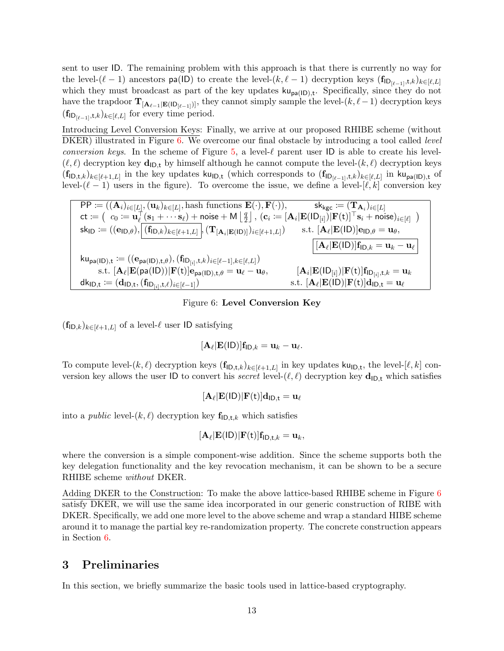sent to user ID. The remaining problem with this approach is that there is currently no way for the level-( $\ell$  − 1) ancestors pa(ID) to create the level-( $k, \ell$  − 1) decryption keys  $(\mathbf{f}_{\mathsf{ID}_{\ell-1}, \mathsf{t}, k})_{k \in [\ell, L]}$ which they must broadcast as part of the key updates  $\mathsf{ku}_{\mathsf{pa}(\mathsf{ID}),\mathsf{t}}$ . Specifically, since they do not have the trapdoor  $\mathbf{T}_{\left[\mathbf{A}_{\ell-1}|\mathbf{E}(\mathbf{ID}_{\left[\ell-1\right]})\right]}$ , they cannot simply sample the level- $(k, \ell-1)$  decryption keys  $(\mathbf{f}_{\mathsf{ID}_{[\ell-1]},\mathsf{t},k})_{k\in[\ell,L]}$  for every time period.

Introducing Level Conversion Keys: Finally, we arrive at our proposed RHIBE scheme (without DKER) illustrated in Figure [6.](#page-12-1) We overcome our final obstacle by introducing a tool called *level conversion keys.* In the scheme of Figure [5](#page-11-0), a level- $\ell$  parent user ID is able to create his level- $(\ell, \ell)$  decryption key  $\mathbf{d}_{\mathsf{ID},t}$  by himself although he cannot compute the level- $(k, \ell)$  decryption keys  $(\mathbf{f}_{\mathsf{ID},t,k})_{k\in[\ell+1,L]}$  in the key updates ku<sub>ID</sub>,t (which corresponds to  $(\mathbf{f}_{\mathsf{ID}}_{[\ell-1]},t,k)_{k\in[\ell,L]}$  in ku<sub>pa(ID)</sub>,t of level-(*ℓ −* 1) users in the figure). To overcome the issue, we define a level-[*ℓ, k*] conversion key

<span id="page-12-1"></span>PP := ((**A***i*)*i∈*[*L*] *,*(**u***k*)*k∈*[*L*] *,* hash functions **E**(*·*)*,* **F**(*·*))*,* skkgc := (**TA***<sup>i</sup>* )*i∈*[*L*] ct := *c*<sup>0</sup> := **u** *⊤ ℓ* (**s**<sup>1</sup> + *· · ·* **s***ℓ*) + noise + M *q* 2 *,* (**c***<sup>i</sup>* := [**A***<sup>i</sup> |***E**(ID[*i*] )*|***F**(t)]*⊤***s***<sup>i</sup>* + noise)*i∈*[*ℓ*] skID := ((**e**ID*,θ*)*,* (**f**ID*,k*)*k∈*[*ℓ*+1*,L*] *,*(**T**[**A***i|***E**(ID)])*i∈*[*ℓ*+1*,L*] ) s.t. [**A***<sup>ℓ</sup> |***E**(ID)]**e**ID*,θ* = **u***θ,* [**A***<sup>ℓ</sup> |***E**(ID)]**f**ID*,k* = **u***<sup>k</sup> −* **u***<sup>ℓ</sup>* kupa(ID)*,*<sup>t</sup> := ((**e**pa(ID)*,*t*,θ*)*,*(**f**ID[*i*] *,*t*,k*)*i∈*[*ℓ−*1]*,k∈*[*ℓ,L*] ) s.t. [**A***<sup>ℓ</sup> |***E**(pa(ID))*|***F**(t)]**e**pa(ID)*,*t*,θ* = **u***<sup>ℓ</sup> −* **u***θ,* [**A***<sup>i</sup> |***E**(ID[*i*] )*|***F**(t)]**f**ID[*i*] *,*t*,k* = **u***<sup>k</sup>* dkID*,*<sup>t</sup> := (**d**ID*,*<sup>t</sup> *,*(**f**ID[*i*] *,*t*,ℓ*)*i∈*[*ℓ−*1]) s.t. [**A***<sup>ℓ</sup> |***E**(ID)*|***F**(t)]**d**ID*,*<sup>t</sup> = **u***<sup>ℓ</sup>*

### Figure 6: **Level Conversion Key**

 $(\mathbf{f}_{\mathsf{ID},k})_{k\in[\ell+1,L]}$  of a level- $\ell$  user ID satisfying

$$
[\mathbf{A}_{\ell}|\mathbf{E}(\mathsf{ID})]\mathbf{f}_{\mathsf{ID},k}=\mathbf{u}_k-\mathbf{u}_{\ell}.
$$

To compute level- $(k, \ell)$  decryption keys  $(\mathbf{f}_{\mathsf{ID}, \mathsf{t},k})_{k \in [\ell+1,L]}$  in key updates ku<sub>ID,t</sub>, the level- $[\ell, k]$  conversion key allows the user ID to convert his *secret* level- $(\ell, \ell)$  decryption key  $\mathbf{d}_{\mathsf{ID},t}$  which satisfies

$$
[\mathbf{A}_{\ell}|\mathbf{E}(\mathsf{ID})|\mathbf{F}(\mathsf{t})]\mathbf{d}_{\mathsf{ID},\mathsf{t}} = \mathbf{u}_{\ell}
$$

into a *public* level- $(k, \ell)$  decryption key  $f_{\vert D, t, k}$  which satisfies

$$
[\mathbf{A}_{\ell}|\mathbf{E}(\mathsf{ID})|\mathbf{F}(\mathsf{t})]\mathbf{f}_{\mathsf{ID},\mathsf{t},k}=\mathbf{u}_k,
$$

where the conversion is a simple component-wise addition. Since the scheme supports both the key delegation functionality and the key revocation mechanism, it can be shown to be a secure RHIBE scheme *without* DKER.

Adding DKER to the Construction: To make the above lattice-based RHIBE scheme in Figure [6](#page-12-1) satisfy DKER, we will use the same idea incorporated in our generic construction of RIBE with DKER. Specifically, we add one more level to the above scheme and wrap a standard HIBE scheme around it to manage the partial key re-randomization property. The concrete construction appears in Section [6.](#page-25-0)

### <span id="page-12-0"></span>**3 Preliminaries**

In this section, we briefly summarize the basic tools used in lattice-based cryptography.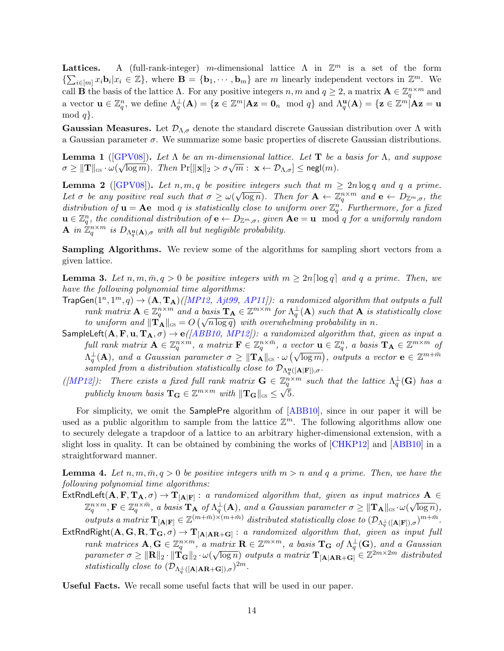**Lattices.** A (full-rank-integer) *m*-dimensional lattice  $\Lambda$  in  $\mathbb{Z}^m$  is a set of the form  $\{\sum_{i\in[m]} x_i \mathbf{b}_i | x_i \in \mathbb{Z}\}\$ , where  $\mathbf{B} = \{\mathbf{b}_1, \cdots, \mathbf{b}_m\}$  are m linearly independent vectors in  $\mathbb{Z}^m$ . We call **B** the basis of the lattice  $\Lambda$ . For any positive integers  $n, m$  and  $q \geq 2$ , a matrix  $\mathbf{A} \in \mathbb{Z}_q^{n \times m}$  and a vector  $\mathbf{u} \in \mathbb{Z}_q^n$ , we define  $\Lambda_q^{\perp}(\mathbf{A}) = \{ \mathbf{z} \in \mathbb{Z}^m | \mathbf{A}\mathbf{z} = \mathbf{0}_n \mod q \}$  and  $\Lambda_q^{\mathbf{u}}(\mathbf{A}) = \{ \mathbf{z} \in \mathbb{Z}^m | \mathbf{A}\mathbf{z} = \mathbf{u} \}$ mod *q}.*

**Gaussian Measures.** Let *D*Λ*,σ* denote the standard discrete Gaussian distribution over Λ with a Gaussian parameter  $\sigma$ . We summarize some basic properties of discrete Gaussian distributions.

<span id="page-13-0"></span>**Lemma 1** ( $[GPV08]$  $[GPV08]$ ). Let  $\Lambda$  be an *m*-dimensional lattice. Let **T** be a basis for  $\Lambda$ , and suppose  $\sigma \geq ||\mathbf{T}||_{\text{cs}} \cdot \omega(\sqrt{\log m})$ *. Then* **Pr[** $||\mathbf{x}||_2 > \sigma \sqrt{m}$ **:**  $\mathbf{x} \leftarrow \mathcal{D}_{\Lambda, \sigma}] \leq \text{negl}(m)$ **.** 

<span id="page-13-3"></span>**Lemma 2** ([[GPV08\]](#page-41-8)). Let  $n, m, q$  be positive integers such that  $m \geq 2n \log q$  and  $q$  a prime. Let  $\sigma$  be any positive real such that  $\sigma \geq \omega(\sqrt{\log n})$ . Then for  $\mathbf{A} \leftarrow \mathbb{Z}_q^{n \times m}$  and  $\mathbf{e} \leftarrow D_{\mathbb{Z}^m, \sigma}$ , the distribution of  $\mathbf{u} = \mathbf{A}\mathbf{e}$  mod *q* is statistically close to uniform over  $\mathbb{Z}_q^n$ . Furthermore, for a fixed  $\mathbf{u} \in \mathbb{Z}_q^n$ , the conditional distribution of  $\mathbf{e} \leftarrow D_{\mathbb{Z}^m,\sigma}$ , given  $\mathbf{A}\mathbf{e} = \mathbf{u} \mod q$  for a uniformly random **A** *in*  $\mathbb{Z}_q^{n \times m}$  *is*  $D_{\Lambda_q^{\mathbf{u}}}(\mathbf{A})$ *,σ with all but negligible probability.* 

**Sampling Algorithms.** We review some of the algorithms for sampling short vectors from a given lattice.

<span id="page-13-1"></span>**Lemma 3.** Let  $n, m, \bar{m}, q > 0$  be positive integers with  $m \geq 2n \lceil \log q \rceil$  and q a prime. Then, we *have the following polynomial time algorithms:*

- $\text{TrapGen}(1^n, 1^m, q) \rightarrow (\mathbf{A}, \mathbf{T_A}) \left( \frac{[MP12, Ajt99, AP11]}{[MP12, Ajt99, AP11]} \right)$  $\text{TrapGen}(1^n, 1^m, q) \rightarrow (\mathbf{A}, \mathbf{T_A}) \left( \frac{[MP12, Ajt99, AP11]}{[MP12, Ajt99, AP11]} \right)$  $\text{TrapGen}(1^n, 1^m, q) \rightarrow (\mathbf{A}, \mathbf{T_A}) \left( \frac{[MP12, Ajt99, AP11]}{[MP12, Ajt99, AP11]} \right)$  $\text{TrapGen}(1^n, 1^m, q) \rightarrow (\mathbf{A}, \mathbf{T_A}) \left( \frac{[MP12, Ajt99, AP11]}{[MP12, Ajt99, AP11]} \right)$  $\text{TrapGen}(1^n, 1^m, q) \rightarrow (\mathbf{A}, \mathbf{T_A}) \left( \frac{[MP12, Ajt99, AP11]}{[MP12, Ajt99, AP11]} \right)$  $\text{TrapGen}(1^n, 1^m, q) \rightarrow (\mathbf{A}, \mathbf{T_A}) \left( \frac{[MP12, Ajt99, AP11]}{[MP12, Ajt99, AP11]} \right)$  $\text{TrapGen}(1^n, 1^m, q) \rightarrow (\mathbf{A}, \mathbf{T_A}) \left( \frac{[MP12, Ajt99, AP11]}{[MP12, Ajt99, AP11]} \right)$ : a randomized algorithm that outputs a full rank matrix  $\mathbf{A} \in \mathbb{Z}_q^{n \times m}$  and a basis  $\mathbf{T_A} \in \mathbb{Z}^{m \times m}$  for  $\Lambda_q^{\perp}(\mathbf{A})$  such that  $\mathbf{A}$  is statistically close *to uniform and*  $||{\bf T_A}||_{cs} = O(\sqrt{n \log q})$  with overwhelming probability in *n*.
- SampleLeft( $\mathbf{A}, \mathbf{F}, \mathbf{u}, \mathbf{T_A}, \sigma$ )  $\rightarrow$  **e**([[ABB10](#page-40-3), [MP12\]](#page-42-9)): *a randomized algorithm that, given as input a* full rank matrix  $A \in \mathbb{Z}_q^{n \times m}$ , a matrix  $F \in \mathbb{Z}_q^{n \times \bar{m}}$ , a vector  $\mathbf{u} \in \mathbb{Z}_q^n$ , a basis  $\mathbf{T}_A \in \mathbb{Z}^{m \times m}$  of  $\Lambda_q^{\perp}(\mathbf{A})$ , and a Gaussian parameter  $\sigma \geq ||\mathbf{T}_{\mathbf{A}}||_{\text{cs}} \cdot \omega \left(\sqrt{\log m}\right)$ , outputs a vector  $\mathbf{e} \in \mathbb{Z}^{m+\bar{m}}$ *sampled from a distribution statistically close to*  $\mathcal{D}_{\Lambda_q^{\mathbf{u}}([\mathbf{A}|\mathbf{F}]),\sigma}$ .
- $([MP12])$  $([MP12])$  $([MP12])$ : There exists a fixed full rank matrix  $\mathbf{G} \in \mathbb{Z}_q^{n \times m}$  such that the lattice  $\Lambda_q^{\perp}(\mathbf{G})$  has a *publicly known basis*  $\mathbf{T_G} \in \mathbb{Z}^{m \times m}$  *with*  $||\mathbf{T_G}||_{\text{cs}} \leq \sqrt{5}$ *.*

For simplicity, we omit the SamplePre algorithm of [\[ABB10\]](#page-40-3), since in our paper it will be used as a public algorithm to sample from the lattice  $\mathbb{Z}^m$ . The following algorithms allow one to securely delegate a trapdoor of a lattice to an arbitrary higher-dimensional extension, with a slight loss in quality. It can be obtained by combining the works of [[CHKP12](#page-40-4)] and [[ABB10\]](#page-40-3) in a straightforward manner.

<span id="page-13-2"></span>**Lemma 4.** Let  $n, m, \overline{n}, q > 0$  be positive integers with  $m > n$  and q a prime. Then, we have the *following polynomial time algorithms:*

- $\mathsf{ExtRndLeft}( \mathbf{A}, \mathbf{F}, \mathbf{T_A}, \sigma) \rightarrow \mathbf{T_{[A|F]}}: a \text{ randomized algorithm that, given as input matrices } \mathbf{A} \in \mathbb{R}$  $\mathbb{Z}_q^{n \times m}$ ,  $\mathbf{F} \in \mathbb{Z}_q^{n \times \overline{m}}$ , a basis  $\mathbf{T}_A$  of  $\Lambda_q^{\perp}(A)$ , and a Gaussian parameter  $\sigma \geq ||\mathbf{T}_A||_{\text{cs}} \cdot \omega(\sqrt{\log n})$ , outputs a matrix  $\mathbf{T}_{[\mathbf{A}|\mathbf{F}]} \in \mathbb{Z}^{(m+\bar{m}) \times (m+\bar{m})}$  distributed statistically close to  $(\mathcal{D}_{\Lambda_q^{\perp}([\mathbf{A}|\mathbf{F}]),\sigma})^{m+\bar{m}}$ .
- $\textsf{ExtRndRight}(\mathbf{A},\mathbf{G},\mathbf{R},\mathbf{T_G},\sigma)\rightarrow \mathbf{T_{[A|AR+G]}}:\ a\ \ \textit{randomized algorithm that, given as input full}$ rank matrices  $\mathbf{A}, \mathbf{G} \in \mathbb{Z}_q^{n \times m}$ , a matrix  $\mathbf{R} \in \mathbb{Z}^{m \times m}$ , a basis  $\mathbf{T_G}$  of  $\Lambda_q^{\perp}(\mathbf{G})$ , and a Gaussian parameter  $\sigma \geq ||\mathbf{R}||_2 \cdot ||\mathbf{T_G}||_2 \cdot \omega(\sqrt{\log n})$  outputs a matrix  $\mathbf{T}_{[\mathbf{A}|\mathbf{A}\mathbf{R}+\mathbf{G}]} \in \mathbb{Z}^{2m \times 2m}$  distributed *statistically close to*  $(\mathcal{D}_{\Lambda_q^{\perp}}([{\bf A}|{\bf A}{\bf R}+{\bf G}]), \sigma)^{2m}$ *.*

**Useful Facts.** We recall some useful facts that will be used in our paper.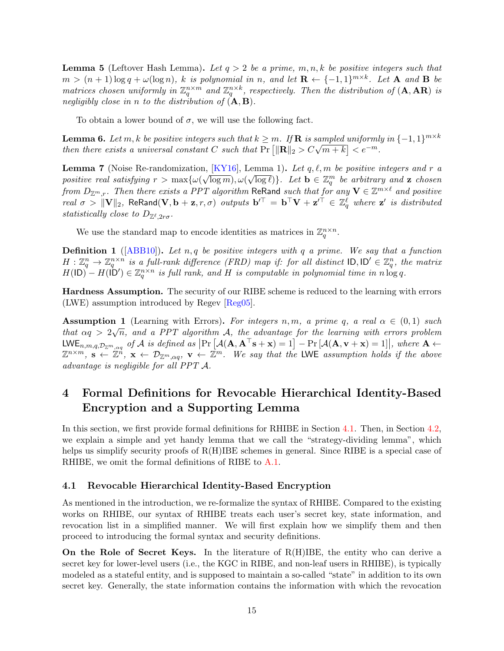<span id="page-14-4"></span>**Lemma 5** (Leftover Hash Lemma). Let  $q > 2$  be a prime,  $m, n, k$  be positive integers such that  $m > (n+1)\log q + \omega(\log n)$ , k is polynomial in n, and let  $\mathbf{R} \leftarrow \{-1,1\}^{m \times k}$ . Let A and B be *matrices chosen uniformly in*  $\mathbb{Z}_q^{n \times m}$  *and*  $\mathbb{Z}_q^{n \times k}$ *, respectively. Then the distribution of*  $(A, AR)$  *is negligibly close in n to the distribution of* (**A***,* **B**)*.*

To obtain a lower bound of  $\sigma$ , we will use the following fact.

<span id="page-14-2"></span>**Lemma 6.** Let  $m, k$  be positive integers such that  $k \geq m$ . If  $\mathbb{R}$  is sampled uniformly in  $\{-1, 1\}^{m \times k}$ *then there exists a universal constant*  $C$  *such that*  $Pr$  $\|\mathbf{R}\|_2 > C\sqrt{m+k} < e^{-m}$ .

<span id="page-14-3"></span>**Lemma 7** (Noise Re-randomization, [[KY16](#page-41-9)], Lemma 1). Let  $q, \ell, m$  be positive integers and  $r$  a *positive real satisfying*  $r > \max\{\omega(\sqrt{\log m}), \omega(\sqrt{\log \ell})\}$ *. Let*  $\mathbf{b} \in \mathbb{Z}_q^m$  *be arbitrary and* **z** *chosen from*  $D_{\mathbb{Z}^m,r}$ *. Then there exists a PPT algorithm* ReRand *such that for any*  $\mathbf{V} \in \mathbb{Z}^{m \times \ell}$  and positive  $\mathit{real} \; \sigma \, > \, \|\mathbf{V}\|_2, \; \mathsf{ReRand}(\mathbf{V}, \mathbf{b}+\mathbf{z}, r, \sigma) \;\; \mathit{outputs} \; \mathbf{b'}^\top \, = \, \mathbf{b}^\top \mathbf{V} + \mathbf{z'}^\top \, \in \, \mathbb{Z}_q^\ell \; \; \mathit{where} \; \; \mathbf{z'} \; \; \mathit{is} \; \; \mathit{distributed}$ *statistically close to*  $D_{\mathbb{Z}^{\ell},2r\sigma}$ *.* 

We use the standard map to encode identities as matrices in  $\mathbb{Z}_q^{n \times n}$ .

**Definition 1** ([[ABB10](#page-40-3)])**.** *Let n, q be positive integers with q a prime. We say that a function*  $H: \mathbb{Z}_q^n \to \mathbb{Z}_q^{n \times n}$  is a full-rank difference (FRD) map if: for all distinct  $ID, ID' \in \mathbb{Z}_q^n$ , the matrix  $H(\text{ID}) - H(\text{ID'}) \in \mathbb{Z}_q^{n \times n}$  *is full rank, and H is computable in polynomial time in*  $n \log q$ .

**Hardness Assumption.** The security of our RIBE scheme is reduced to the learning with errors (LWE) assumption introduced by Regev [[Reg05](#page-42-10)].

**Assumption 1** (Learning with Errors). For integers  $n, m$ , a prime  $q$ , a real  $\alpha \in (0, 1)$  such *that*  $\alpha q > 2\sqrt{n}$ , and a PPT algorithm A, the advantage for the learning with errors problem  $LWE_{n,m,q,\mathcal{D}_{\mathbb{Z}^m, \alpha q}}$  of A is defined as  $\left| \Pr\left[ \mathcal{A}(\mathbf{A}, \mathbf{A}^T \mathbf{s} + \mathbf{x}) = 1 \right] - \Pr\left[ \mathcal{A}(\mathbf{A}, \mathbf{v} + \mathbf{x}) = 1 \right] \right|$ , where  $\mathbf{A} \leftarrow$  $\mathbb{Z}^{n \times m}$ ,  $\mathbf{s} \leftarrow \mathbb{Z}^n$ ,  $\mathbf{x} \leftarrow \mathcal{D}_{\mathbb{Z}^m, \alpha q}$ ,  $\mathbf{v} \leftarrow \mathbb{Z}^m$ . We say that the LWE assumption holds if the above *advantage is negligible for all PPT A.*

## <span id="page-14-0"></span>**4 Formal Definitions for Revocable Hierarchical Identity-Based Encryption and a Supporting Lemma**

In this section, we first provide formal definitions for RHIBE in Section [4.1](#page-14-1). Then, in Section [4.2](#page-19-1), we explain a simple and yet handy lemma that we call the "strategy-dividing lemma", which helps us simplify security proofs of  $R(H)$ IBE schemes in general. Since RIBE is a special case of RHIBE, we omit the formal definitions of RIBE to [A.1](#page-43-6).

### <span id="page-14-1"></span>**4.1 Revocable Hierarchical Identity-Based Encryption**

As mentioned in the introduction, we re-formalize the syntax of RHIBE. Compared to the existing works on RHIBE, our syntax of RHIBE treats each user's secret key, state information, and revocation list in a simplified manner. We will first explain how we simplify them and then proceed to introducing the formal syntax and security definitions.

**On the Role of Secret Keys.** In the literature of R(H)IBE, the entity who can derive a secret key for lower-level users (i.e., the KGC in RIBE, and non-leaf users in RHIBE), is typically modeled as a stateful entity, and is supposed to maintain a so-called "state" in addition to its own secret key. Generally, the state information contains the information with which the revocation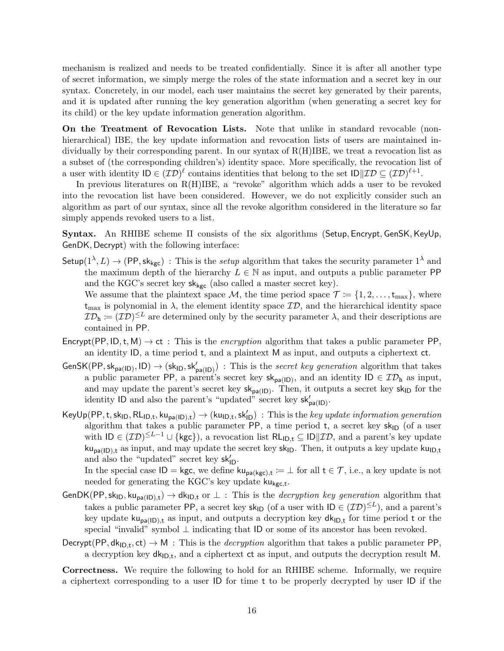mechanism is realized and needs to be treated confidentially. Since it is after all another type of secret information, we simply merge the roles of the state information and a secret key in our syntax. Concretely, in our model, each user maintains the secret key generated by their parents, and it is updated after running the key generation algorithm (when generating a secret key for its child) or the key update information generation algorithm.

**On the Treatment of Revocation Lists.** Note that unlike in standard revocable (nonhierarchical) IBE, the key update information and revocation lists of users are maintained individually by their corresponding parent. In our syntax of  $R(H)IBE$ , we treat a revocation list as a subset of (the corresponding children's) identity space. More specifically, the revocation list of a user with identity  $\mathsf{ID} \in (\mathcal{ID})^{\ell}$  contains identities that belong to the set  $\mathsf{ID} \|\mathcal{ID} \subseteq (\mathcal{ID})^{\ell+1}$ .

In previous literatures on  $R(H)IBE$ , a "revoke" algorithm which adds a user to be revoked into the revocation list have been considered. However, we do not explicitly consider such an algorithm as part of our syntax, since all the revoke algorithm considered in the literature so far simply appends revoked users to a list.

**Syntax.** An RHIBE scheme Π consists of the six algorithms (Setup*,* Encrypt*,* GenSK*,*KeyUp*,* GenDK*,* Decrypt) with the following interface:

Setup( $1^{\lambda}, L$ )  $\rightarrow$  (PP, sk<sub>kgc</sub>) : This is the *setup* algorithm that takes the security parameter  $1^{\lambda}$  and the maximum depth of the hierarchy  $L \in \mathbb{N}$  as input, and outputs a public parameter PP and the KGC's secret key  $sk_{\text{kgc}}$  (also called a master secret key).

We assume that the plaintext space  $M$ , the time period space  $\mathcal{T} := \{1, 2, \ldots, \mathbf{t}_{\text{max}}\}$ , where  $t_{\text{max}}$  is polynomial in  $\lambda$ , the element identity space  $\mathcal{ID}$ , and the hierarchical identity space  $\mathcal{ID}_{h} \coloneqq (\mathcal{ID})^{\leq L}$  are determined only by the security parameter  $\lambda$ , and their descriptions are contained in PP.

- Encrypt(PP, ID, t, M)  $\rightarrow$  ct : This is the *encryption* algorithm that takes a public parameter PP, an identity ID, a time period t, and a plaintext M as input, and outputs a ciphertext ct.
- $GenSK(PP, sk_{pa(ID)}, ID) \rightarrow (sk_{ID}, sk'_{pa(ID)})$ : This is the *secret key generation* algorithm that takes a public parameter PP, a parent's secret key  $sk_{pa(1D)}$ , and an identity  $ID \in \mathcal{ID}_h$  as input, and may update the parent's secret key  $sk_{pa(1D)}$ . Then, it outputs a secret key  $sk_{1D}$  for the identity ID and also the parent's "updated" secret key  $sk'_{pa(ID)}$ .
- $KeyUp(PP, t, skID, RLID, t, ku_{pa(ID), t}) \rightarrow (kuID, t, sk'ID)$ : This is the *key update information generation* algorithm that takes a public parameter  $PP$ , a time period t, a secret key  $sk_{ID}$  (of a user with ID *∈* (*ID*) *<sup>≤</sup>L−*<sup>1</sup> *∪ {*kgc*}*), a revocation list RLID*,*<sup>t</sup> *⊆* ID*∥ID*, and a parent's key update  $ku_{pa(1D),t}$  as input, and may update the secret key  $sk_{1D}$ . Then, it outputs a key update  $ku_{1D,t}$ and also the "updated" secret key  $sk'_{ID}$ .

In the special case  $ID = \mathsf{kgc}$ , we define  $\mathsf{ku}_{\mathsf{pa}(\mathsf{kgc})}, \mathsf{t} \coloneqq \bot$  for all  $\mathsf{t} \in \mathcal{T}$ , i.e., a key update is not needed for generating the KGC's key update  $ku_{\text{kgc},t}$ .

- GenDK(PP, sk<sub>ID</sub>, ku<sub>pa(ID),t</sub>)  $\to$  dk<sub>ID,t</sub> or  $\perp$ : This is the *decryption key generation* algorithm that takes a public parameter PP, a secret key  $\mathsf{sk}_{\mathsf{ID}}$  (of a user with  $\mathsf{ID} \in (\mathcal{ID})^{\leq L}$ ), and a parent's key update  $ku_{pa(1D),t}$  as input, and outputs a decryption key  $dk_{1D,t}$  for time period t or the special "invalid" symbol *⊥* indicating that ID or some of its ancestor has been revoked.
- Decrypt(PP,  $dk_{ID,t}$ , ct)  $\rightarrow$  M : This is the *decryption* algorithm that takes a public parameter PP, a decryption key  $dk_{\text{ID},t}$ , and a ciphertext ct as input, and outputs the decryption result M.

**Correctness.** We require the following to hold for an RHIBE scheme. Informally, we require a ciphertext corresponding to a user ID for time t to be properly decrypted by user ID if the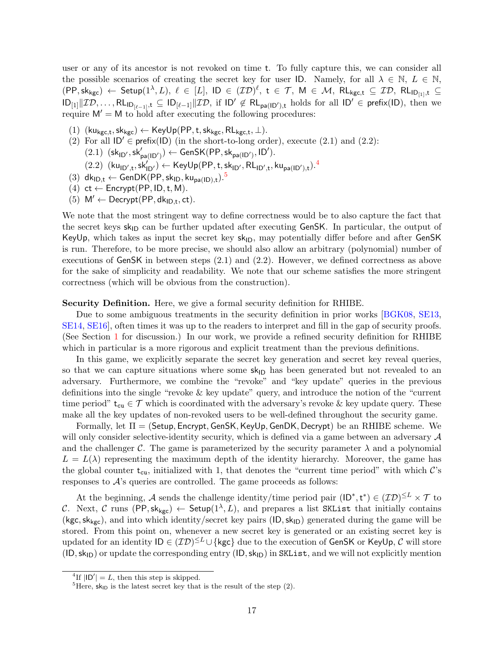user or any of its ancestor is not revoked on time t. To fully capture this, we can consider all the possible scenarios of creating the secret key for user ID. Namely, for all  $\lambda \in \mathbb{N}, L \in \mathbb{N}$ ,  $(PP, sk_{kgc}) \leftarrow$  Setup $(1^{\lambda}, L), \ell \in [L], \text{ ID } \in (\mathcal{ID})^{\ell}, \text{ t } \in \mathcal{T}, \text{ M } \in \mathcal{M}, \text{ RL}_{kgc,t} \subseteq \mathcal{ID}, \text{ RL}_{ID_{[1]},t} \subseteq \mathcal{T}_{[1]},$  $ID_{[1]}$   $||ID, \ldots, RL_{ID_{[\ell-1]},t} ⊆ ID_{[\ell-1]}$   $||ID,$  if  $ID' \notin RL_{pa(ID'),t}$  holds for all  $ID' ∈ prefix(ID),$  then we require  $M' = M$  to hold after executing the following procedures:

- $(1)$   $(ku_{\text{kgc},t}, sk_{\text{kgc}}) \leftarrow \text{KeyUp}(\text{PP}, t, sk_{\text{kgc}}, \text{RL}_{\text{kgc},t}, \perp).$
- (2) For all  $ID' \in prefix(ID)$  (in the short-to-long order), execute (2.1) and (2.2):  $(2.1)$   $(\mathsf{sk}_{\mathsf{ID}'},\mathsf{sk}'_{\mathsf{pa}(\mathsf{ID}')}) \leftarrow \mathsf{GenSK}(\mathsf{PP},\mathsf{sk}_{\mathsf{pa}(\mathsf{ID}')},\mathsf{ID}').$ 
	- $(2.2)$   $(ku<sub>ID',t</sub>, sk'<sub>ID'</sub>) \leftarrow KeyUp(PP, t, sk<sub>ID'</sub>, RL<sub>ID',t</sub>, ku<sub>pa(ID'),t</sub>)$ .<sup>[4](#page-16-0)</sup>
- $(3)$  dk<sub>ID,t</sub> ← GenDK(PP, sk<sub>ID</sub>, ku<sub>pa(ID),t</sub>).<sup>[5](#page-16-1)</sup>
- $(4)$  ct  $\leftarrow$  Encrypt(PP, ID, t, M).
- $(5)$   $M' \leftarrow$  Decrypt(PP, dk<sub>ID,t</sub>, ct).

We note that the most stringent way to define correctness would be to also capture the fact that the secret keys  $s_{\text{ID}}$  can be further updated after executing GenSK. In particular, the output of KeyUp, which takes as input the secret key  $sk_{ID}$ , may potentially differ before and after GenSK is run. Therefore, to be more precise, we should also allow an arbitrary (polynomial) number of executions of GenSK in between steps  $(2.1)$  and  $(2.2)$ . However, we defined correctness as above for the sake of simplicity and readability. We note that our scheme satisfies the more stringent correctness (which will be obvious from the construction).

#### **Security Definition.** Here, we give a formal security definition for RHIBE.

Due to some ambiguous treatments in the security definition in prior works [[BGK08,](#page-40-1) [SE13](#page-43-0), [SE14,](#page-43-5) [SE16](#page-43-3)], often times it was up to the readers to interpret and fill in the gap of security proofs. (See Section [1](#page-1-0) for discussion.) In our work, we provide a refined security definition for RHIBE which in particular is a more rigorous and explicit treatment than the previous definitions.

In this game, we explicitly separate the secret key generation and secret key reveal queries, so that we can capture situations where some  $s_{\text{ND}}$  has been generated but not revealed to an adversary. Furthermore, we combine the "revoke" and "key update" queries in the previous definitions into the single "revoke & key update" query, and introduce the notion of the "current time period"  $t_{cu} \in \mathcal{T}$  which is coordinated with the adversary's revoke & key update query. These make all the key updates of non-revoked users to be well-defined throughout the security game.

Formally, let Π = (Setup*,* Encrypt*,* GenSK*,*KeyUp*,* GenDK*,* Decrypt) be an RHIBE scheme. We will only consider selective-identity security, which is defined via a game between an adversary *A* and the challenger  $\mathcal C$ . The game is parameterized by the security parameter  $\lambda$  and a polynomial  $L = L(\lambda)$  representing the maximum depth of the identity hierarchy. Moreover, the game has the global counter  $t_{cu}$ , initialized with 1, that denotes the "current time period" with which  $\mathcal{C}$ 's responses to  $A$ 's queries are controlled. The game proceeds as follows:

At the beginning, A sends the challenge identity/time period pair  $(\text{ID}^*, \text{t}^*) \in (\mathcal{ID})^{\leq L} \times \mathcal{T}$  to *C*. Next, *C* runs (PP, sk<sub>kgc</sub>) ← Setup(1<sup> $λ$ </sup>, *L*), and prepares a list SKList that initially contains (kgc,  $sk_{\text{kgc}}$ ), and into which identity/secret key pairs (ID,  $sk_{\text{ID}}$ ) generated during the game will be stored. From this point on, whenever a new secret key is generated or an existing secret key is updated for an identity ID *∈* (*ID*) *<sup>≤</sup><sup>L</sup> ∪ {*kgc*}* due to the execution of GenSK or KeyUp, *C* will store  $(ID, sk<sub>ID</sub>)$  or update the corresponding entry  $(ID, sk<sub>ID</sub>)$  in SKList, and we will not explicitly mention

<span id="page-16-0"></span><sup>&</sup>lt;sup>4</sup>If  $|ID'| = L$ , then this step is skipped.

<span id="page-16-1"></span><sup>&</sup>lt;sup>5</sup>Here,  $sk_{ID}$  is the latest secret key that is the result of the step (2).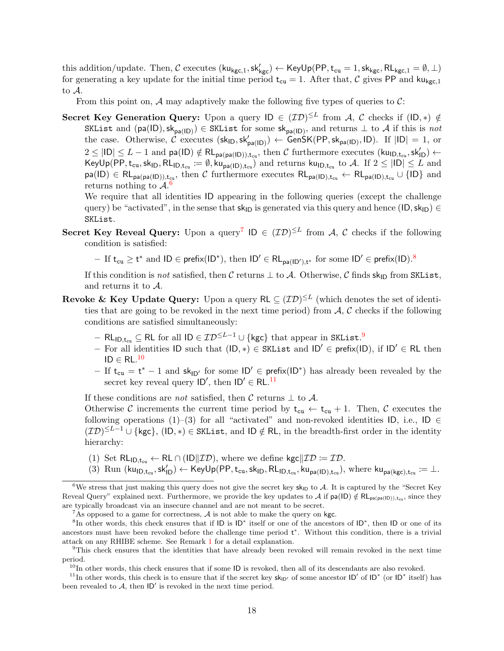$\mathcal{L}$  this addition/update. Then,  $\mathcal{C}$  executes  $(\mathsf{ku}_{\mathsf{kgc},1},\mathsf{sk}'_{\mathsf{kgc}}) \leftarrow \mathsf{KeyUp}(\mathsf{PP},\mathsf{t}_{\mathsf{cu}}=1,\mathsf{sk}_{\mathsf{kgc}},\mathsf{RL}_{\mathsf{kgc},1}=\emptyset,\bot)$ for generating a key update for the initial time period  $t_{cu} = 1$ . After that, *C* gives PP and ku<sub>kgc</sub>*,*1 to *A*.

From this point on,  $A$  may adaptively make the following five types of queries to  $C$ :

**Secret Key Generation Query:** Upon a query  $\mathsf{ID} \in (\mathcal{ID})^{\leq L}$  from A, C checks if  $(\mathsf{ID}, *) \notin$  $\texttt{SKList} \text{ and } (\textsf{pa}(\textsf{ID}), \textsf{sk}_{\textsf{pa}(\textsf{ID})}) \in \texttt{SKList} \text{ for some } \textsf{sk}_{\textsf{pa}(\textsf{ID})}, \text{ and returns } \bot \text{ to } \mathcal{A} \text{ if this is } \textit{not}$ the case. Otherwise,  $\hat{C}$  executes  $(\text{sk}_{\text{ID}},\text{sk}'_{\text{pa}(\text{ID})}) \leftarrow \hat{\text{GenSK}}(\text{PP},\text{sk}_{\text{pa}(\text{ID})},\text{ID})$ . If  $|\text{ID}| = 1$ , or  $2 \leq |ID| \leq L - 1$  and  $pa(ID) \notin RL_{pa(pa(ID)),t_{cu}}$ , then *C* furthermore executes  $(ku_{ID,t_{cu}}, sk'_{ID}) \leftarrow$  $\mathsf{KeyUp}(\mathsf{PP},\mathsf{t}_{\mathsf{cu}},\mathsf{sk}_{\mathsf{ID}},\mathsf{RL}_{\mathsf{ID},\mathsf{t}_{\mathsf{cu}}}\coloneqq \emptyset,\mathsf{ku}_{\mathsf{pa}(\mathsf{ID}),\mathsf{t}_{\mathsf{cu}}})\text{ and returns } \mathsf{ku}_{\mathsf{ID},\mathsf{t}_{\mathsf{cu}}} \text{ to } \mathcal{A}. \ \text{ If } 2\leq |\mathsf{ID}|\leq L \text{ and } \mathsf{Du}(\mathsf{D})\leq L.$  $\mathsf{pa}(\mathsf{ID}) \in \mathsf{RL}_{\mathsf{pa}(\mathsf{pa}(\mathsf{ID})), \mathsf{t}_{\mathsf{cu}}}, \text{ then } \mathcal{C} \text{ furthermore executes } \mathsf{RL}_{\mathsf{pa}(\mathsf{ID}), \mathsf{t}_{\mathsf{cu}}} \leftarrow \mathsf{RL}_{\mathsf{pa}(\mathsf{ID}), \mathsf{t}_{\mathsf{cu}}} \cup \{\mathsf{ID}\} \text{ and } \mathsf{da}(\mathsf{ID}) \in \mathsf{pa}(\mathsf{ID}) \text{ and } \mathsf{da}(\mathsf{ID}) \in \mathsf{pa}(\mathsf{ID}) \text{ and } \mathsf{da}(\mathsf{ID$ returns nothing to *A*. [6](#page-17-0)

We require that all identities **ID** appearing in the following queries (except the challenge query) be "activated", in the sense that  $sk_{ID}$  is generated via this query and hence  $(ID, sk_{ID}) \in$ SKList.

**Secret Key Reveal Query:** Upon a query<sup>[7](#page-17-1)</sup>  $\mathsf{ID} \in (\mathcal{ID})^{\leq L}$  from A, C checks if the following condition is satisfied:

*–* If  $t_{cu} ≥ t^*$  and  $ID ∈ prefix(ID^*),$  then  $ID' ∈ RL_{pa(ID'),t^*}$  for some  $ID' ∈ prefix(ID).$ <sup>[8](#page-17-2)</sup>

If this condition is *not* satisfied, then  $C$  returns  $\perp$  to  $\mathcal{A}$ . Otherwise,  $C$  finds  $sk_{\text{ID}}$  from SKList, and returns it to *A*.

- **Revoke & Key Update Query:** Upon a query  $\mathsf{RL} \subseteq (\mathcal{ID})^{\leq L}$  (which denotes the set of identities that are going to be revoked in the next time period) from  $A, C$  checks if the following conditions are satisfied simultaneously:
	- **–** RLID*,*tcu *⊆* RL for all ID *∈ ID≤L−*<sup>1</sup> *∪ {*kgc*}* that appear in SKList. [9](#page-17-3)
	- **–** For all identities ID such that (ID*, ∗*) *∈* SKList and ID*′ ∈* prefix(ID), if ID*′ ∈* RL then ID *∈* RL. [10](#page-17-4)
	- *−* If  $t_{cu} = t^* 1$  and  $sk_{ID'}$  for some  $ID' \in prefix(ID^*)$  has already been revealed by the secret key reveal query  $ID'$ , then  $ID' \in RL$ .<sup>[11](#page-17-5)</sup>

If these conditions are *not* satisfied, then  $\mathcal{C}$  returns  $\perp$  to  $\mathcal{A}$ .

Otherwise C increments the current time period by  $t_{cu} \leftarrow t_{cu} + 1$ . Then, C executes the following operations (1)–(3) for all "activated" and non-revoked identities ID, i.e., ID *∈* (*ID*) *<sup>≤</sup>L−*<sup>1</sup> *∪ {*kgc*}*, (ID*, ∗*) *∈* SKList, and ID *∈/* RL, in the breadth-first order in the identity hierarchy:

- (1) Set  $\text{RL}_{\text{ID},t_{\text{cu}}} \leftarrow \text{RL} \cap (\text{ID} | \mathcal{ID}),$  where we define kgc $| \mathcal{ID} := \mathcal{ID}.$
- $(3)$   $\text{Run } (\mathsf{ku}_{\mathsf{ID},\mathsf{t}_{\text{cu}}},\mathsf{sk}_{\mathsf{ID}}') \leftarrow \mathsf{KeyUp}(\mathsf{PP},\mathsf{t}_{\text{cu}},\mathsf{sk}_{\mathsf{ID}},\mathsf{RL}_{\mathsf{ID},\mathsf{t}_{\text{cu}}},\mathsf{ku}_{\mathsf{pa}(\mathsf{ID}),\mathsf{t}_{\text{cu}}}), \text{ where } \mathsf{ku}_{\mathsf{pa}(\mathsf{kgc}),\mathsf{t}_{\text{cu}}} \coloneqq \bot.$

<span id="page-17-0"></span><sup>&</sup>lt;sup>6</sup>We stress that just making this query does not give the secret key  $sk_{ID}$  to  $A$ . It is captured by the "Secret Key Reveal Query" explained next. Furthermore, we provide the key updates to *A* if  $pa(ID) \notin RL_{pa(pa(ID)),t_{cu}}$ , since they are typically broadcast via an insecure channel and are not meant to be secret.

<span id="page-17-2"></span><span id="page-17-1"></span><sup>&</sup>lt;sup>7</sup>As opposed to a game for correctness,  $A$  is not able to make the query on kgc.

<sup>&</sup>lt;sup>8</sup>In other words, this check ensures that if ID is ID<sup>∗</sup> itself or one of the ancestors of ID<sup>∗</sup>, then ID or one of its ancestors must have been revoked before the challenge time period t *∗* . Without this condition, there is a trivial attack on any RHIBE scheme. See Remark [1](#page-18-0) for a detail explanation.

<span id="page-17-3"></span><sup>9</sup>This check ensures that the identities that have already been revoked will remain revoked in the next time period.

<span id="page-17-5"></span><span id="page-17-4"></span><sup>&</sup>lt;sup>10</sup>In other words, this check ensures that if some ID is revoked, then all of its descendants are also revoked.

<sup>&</sup>lt;sup>11</sup>In other words, this check is to ensure that if the secret key sk<sub>ID<sup>*'*</sup></sub> of some ancestor ID<sup>'</sup> of ID<sup>\*</sup> (or ID<sup>\*</sup> itself) has been revealed to *A*, then ID*′* is revoked in the next time period.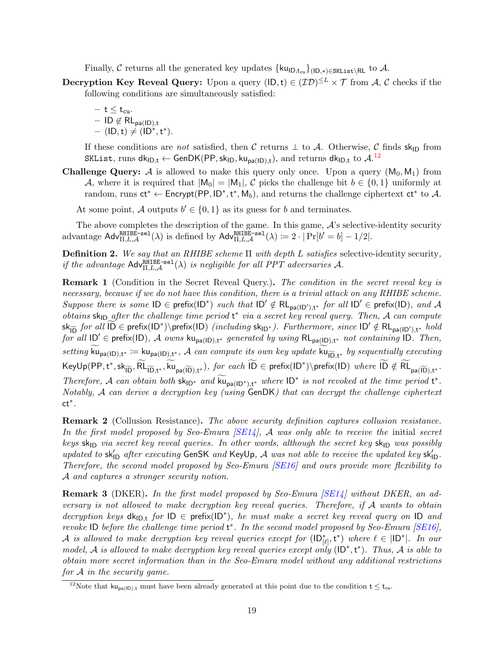Finally,  $C$  returns all the generated key updates  $\{ \text{ku}_{\text{ID,tcu}} \}_{(\text{ID},*) \in \text{SKList} \setminus \text{RL}}$  to  $\mathcal{A}$ .

**Decryption Key Reveal Query:** Upon a query  $(ID, t) \in (ID)^{\leq L} \times T$  from *A*, *C* checks if the following conditions are simultaneously satisfied:

$$
\begin{array}{l} -\;t\leq t_{cu} .\\ -\;\text{ID}\not\in\text{RL}_{\text{pa}(\text{ID}),t}\\ -\;(\text{ID},t)\not=(\text{ID}^*,t^*). \end{array}
$$

If these conditions are *not* satisfied, then  $C$  returns  $\perp$  to  $\mathcal{A}$ . Otherwise,  $C$  finds  $sk_{ID}$  from SKList, runs dk<sub>ID,t</sub>  $\leftarrow$  GenDK(PP,sk<sub>ID</sub>,ku<sub>pa(ID),t</sub>), and returns dk<sub>ID,t</sub> to  $\mathcal{A}.^{12}$  $\mathcal{A}.^{12}$  $\mathcal{A}.^{12}$ 

**Challenge Query:** *A* is allowed to make this query only once. Upon a query  $(M_0, M_1)$  from *A*, where it is required that  $|M_0| = |M_1|$ , *C* picks the challenge bit  $b \in \{0, 1\}$  uniformly at random, runs  $ct^* \leftarrow$  Encrypt(PP, ID<sup>\*</sup>,  $t^*$ , M<sub>b</sub>), and returns the challenge ciphertext  $ct^*$  to A.

At some point, *A* outputs  $b' \in \{0, 1\}$  as its guess for *b* and terminates.

The above completes the description of the game. In this game,  $\mathcal{A}$ 's selective-identity security  $\text{advantage Adv}_{\Pi, L, \mathcal{A}}^{\text{RHIBE-sel}}(\lambda)$  is defined by  $\text{Adv}_{\Pi, L, \mathcal{A}}^{\text{RHIBE-sel}}(\lambda) \coloneqq 2 \cdot |\Pr[b' = b] - 1/2|$ .

**Definition 2.** *We say that an RHIBE scheme* Π *with depth L satisfies* selective-identity security*, if the advantage*  $\text{Adv}^{\text{RHIBE-sel}}_{\Pi, L, \mathcal{A}}(\lambda)$  *is negligible for all PPT adversaries*  $\mathcal{A}$ *.* 

<span id="page-18-0"></span>**Remark 1** (Condition in the Secret Reveal Query.)**.** *The condition in the secret reveal key is necessary, because if we do not have this condition, there is a trivial attack on any RHIBE scheme. Suppose there is some*  $ID \in prefix(ID^*)$  *such that*  $ID' \notin RL_{pa(ID'),t^*}$  *for all*  $ID' \in prefix(ID),$  *and A obtains*  $sk_{1D}$  *after the challenge time period*  $t^*$  *via a secret key reveal query. Then, A can compute*  $\mathsf{sk}_{\mathsf{ID}}$  *for all*  $\mathsf{ID} \in \mathsf{prefix}(\mathsf{ID}^*) \setminus \mathsf{prefix}(\mathsf{ID})$  *(including*  $\mathsf{sk}_{\mathsf{ID}^*}$ *). Furthermore, since*  $\mathsf{ID}' \notin \mathsf{RL}_{\mathsf{pa}(\mathsf{ID}')}, \mathsf{true}$  $f$ *or* all  $ID' \in \text{prefix}(ID)$ , *A owns*  $ku_{pa(ID),t^*}$  *generated by using*  $RL_{pa(ID),t^*}$  *not containing*  $ID'$ . *Then, setting* kufpa(ID)*,*<sup>t</sup> *<sup>∗</sup>* := kupa(ID)*,*<sup>t</sup> *<sup>∗</sup> , <sup>A</sup> can compute its own key update* kuffID*,*<sup>t</sup> *<sup>∗</sup> by sequentially executing*  $KeyUp(PP, t^*, sk_{\widetilde{ID}}, \widetilde{RL}_{\widetilde{ID},t^*}, \widetilde{kw}_{pa(\widetilde{ID}),t^*}), for each \ \widetilde{ID} \in prefix(ID^*)\perp prefix(ID) \ where \ \widetilde{ID} \notin \widetilde{RL}_{pa(\widetilde{ID}),t^*}.$ *Therefore, A* can obtain both  $sk_{ID^*}$  *and*  $k_{ID^*}$  *where*  $ID^*$  *is not revoked at the time period*  $t^*$ *. Notably, A can derive a decryption key (using* GenDK*) that can decrypt the challenge ciphertext* ct*<sup>∗</sup> .*

**Remark 2** (Collusion Resistance)**.** *The above security definition captures collusion resistance. In the first model proposed by Seo-Emura [\[SE14](#page-43-5)], A was only able to receive the* initial *secret keys* sk<sub>ID</sub> *via secret key reveal queries. In other words, although the secret key* sk<sub>ID</sub> *was possibly updated to*  $sk'_{ID}$  *after executing* GenSK *and* KeyUp, *A was not able to receive the updated key*  $sk'_{ID}$ *. Therefore, the second model proposed by Seo-Emura [[SE16](#page-43-3)] and ours provide more flexibility to A and captures a stronger security notion.*

**Remark 3** (DKER)**.** *In the first model proposed by Seo-Emura [\[SE14\]](#page-43-5) without DKER, an adversary is not allowed to make decryption key reveal queries. Therefore, if A wants to obtain*  $decription \; keys \; d\mathbf{k}_{\mathsf{ID},t} \; for \; \mathsf{ID} \; \in \; \mathsf{prefix}(\mathsf{ID}^*)$ , he must make a secret key reveal query on  $\mathsf{ID}$  and *revoke* ID *before the challenge time period*  $t^*$ . In the second model proposed by Seo-Emura [*SE16*], *A is allowed to make decryption key reveal queries except for*  $(\text{ID}_{[l]}^*, \text{t}^*)$  *where*  $\ell \in |\text{ID}^*|$ *. In our model, A is allowed to make decryption key reveal queries except only* (ID*<sup>∗</sup> ,*t *∗* )*. Thus, A is able to obtain more secret information than in the Seo-Emura model without any additional restrictions for A in the security game.*

<span id="page-18-1"></span><sup>&</sup>lt;sup>12</sup>Note that  $ku_{pa(ID),t}$  must have been already generated at this point due to the condition  $t \leq t_{cu}$ .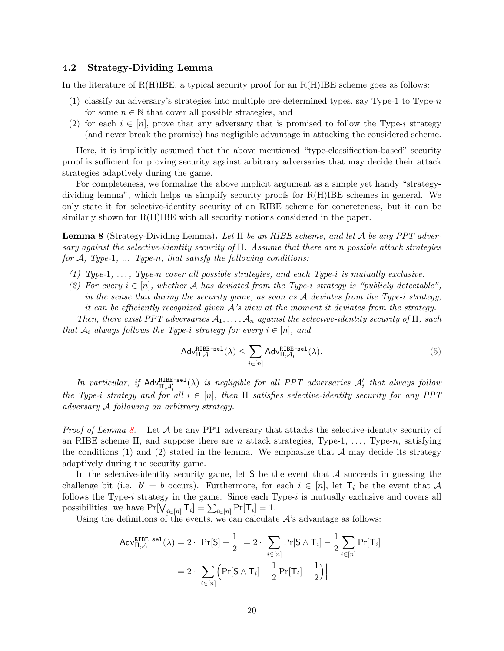#### <span id="page-19-1"></span>**4.2 Strategy-Dividing Lemma**

In the literature of  $R(H)IBE$ , a typical security proof for an  $R(H)IBE$  scheme goes as follows:

- (1) classify an adversary's strategies into multiple pre-determined types, say Type-1 to Type-*n* for some  $n \in \mathbb{N}$  that cover all possible strategies, and
- (2) for each  $i \in [n]$ , prove that any adversary that is promised to follow the Type-*i* strategy (and never break the promise) has negligible advantage in attacking the considered scheme.

Here, it is implicitly assumed that the above mentioned "type-classification-based" security proof is sufficient for proving security against arbitrary adversaries that may decide their attack strategies adaptively during the game.

For completeness, we formalize the above implicit argument as a simple yet handy "strategydividing lemma", which helps us simplify security proofs for R(H)IBE schemes in general. We only state it for selective-identity security of an RIBE scheme for concreteness, but it can be similarly shown for  $R(H)$ IBE with all security notions considered in the paper.

<span id="page-19-0"></span>**Lemma 8** (Strategy-Dividing Lemma)**.** *Let* Π *be an RIBE scheme, and let A be any PPT adversary against the selective-identity security of* Π*. Assume that there are n possible attack strategies for A, Type-*1*, ... Type-n, that satisfy the following conditions:*

- *(1) Type-*1*, . . . , Type-n cover all possible strategies, and each Type-i is mutually exclusive.*
- (2) For every  $i \in [n]$ , whether A has deviated from the Type-*i* strategy is "publicly detectable". *in the sense that during the security game, as soon as A deviates from the Type-i strategy, it can be efficiently recognized given A's view at the moment it deviates from the strategy.*

*Then, there exist PPT adversaries A*1*, . . . , A<sup>n</sup> against the selective-identity security of* Π*, such that*  $A_i$  *always follows the Type-i strategy for every*  $i \in [n]$ *, and* 

<span id="page-19-2"></span>
$$
\mathsf{Adv}_{\Pi,\mathcal{A}}^{\mathsf{RIEE-sel}}(\lambda) \le \sum_{i \in [n]} \mathsf{Adv}_{\Pi,\mathcal{A}_i}^{\mathsf{RIEE-sel}}(\lambda). \tag{5}
$$

*In particular, if*  $\mathsf{Adv}_{\Pi,\mathcal{A}'_i}^{\text{RIBE-sel}}(\lambda)$  *is negligible for all PPT adversaries*  $\mathcal{A}'_i$  *that always follow the Type-i strategy and for all*  $i \in [n]$ *, then*  $\Pi$  *satisfies selective-identity security for any PPT adversary A following an arbitrary strategy.*

*Proof of Lemma [8](#page-19-0).* Let A be any PPT adversary that attacks the selective-identity security of an RIBE scheme Π, and suppose there are *n* attack strategies, Type-1, *. . .* , Type-*n*, satisfying the conditions  $(1)$  and  $(2)$  stated in the lemma. We emphasize that  $A$  may decide its strategy adaptively during the security game.

In the selective-identity security game, let S be the event that *A* succeeds in guessing the challenge bit (i.e.  $b' = b$  occurs). Furthermore, for each  $i \in [n]$ , let  $\mathsf{T}_i$  be the event that *A* follows the Type-*i* strategy in the game. Since each Type-*i* is mutually exclusive and covers all possibilities, we have  $Pr[\bigvee_{i \in [n]} \mathsf{T}_i] = \sum_{i \in [n]} Pr[\mathsf{T}_i] = 1.$ 

Using the definitions of the events, we can calculate  $A$ 's advantage as follows:

$$
\begin{aligned} \mathsf{Adv}_{\Pi,\mathcal{A}}^{\texttt{RIEE-sel}}(\lambda) &= 2 \cdot \left| \Pr[\mathsf{S}] - \frac{1}{2} \right| = 2 \cdot \left| \sum_{i \in [n]} \Pr[\mathsf{S} \wedge \mathsf{T}_i] - \frac{1}{2} \sum_{i \in [n]} \Pr[\mathsf{T}_i] \right| \\ &= 2 \cdot \left| \sum_{i \in [n]} \left( \Pr[\mathsf{S} \wedge \mathsf{T}_i] + \frac{1}{2} \Pr[\mathsf{T}_i] - \frac{1}{2} \right) \right| \end{aligned}
$$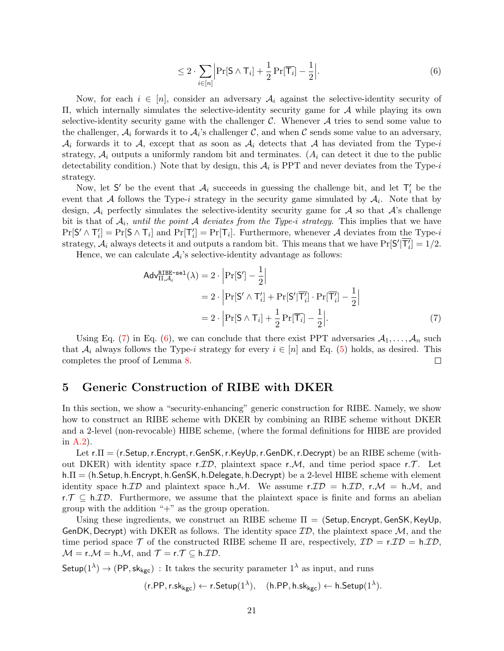<span id="page-20-2"></span>
$$
\leq 2 \cdot \sum_{i \in [n]} \left| \Pr[\mathsf{S} \land \mathsf{T}_i] + \frac{1}{2} \Pr[\overline{\mathsf{T}_i}] - \frac{1}{2} \right|.
$$
 (6)

Now, for each  $i \in [n]$ , consider an adversary  $A_i$  against the selective-identity security of Π, which internally simulates the selective-identity security game for *A* while playing its own selective-identity security game with the challenger  $\mathcal{C}$ . Whenever  $\mathcal{A}$  tries to send some value to the challenger,  $A_i$  forwards it to  $A_i$ 's challenger  $C$ , and when  $C$  sends some value to an adversary,  $A_i$  forwards it to  $A_i$ , except that as soon as  $A_i$  detects that  $A$  has deviated from the Type-*i* strategy,  $A_i$  outputs a uniformly random bit and terminates.  $(A_i$  can detect it due to the public detectability condition.) Note that by design, this  $A_i$  is PPT and never deviates from the Type-*i* strategy.

Now, let S' be the event that  $A_i$  succeeds in guessing the challenge bit, and let  $T_i'$  be the event that A follows the Type-*i* strategy in the security game simulated by  $A_i$ . Note that by design, *A<sup>i</sup>* perfectly simulates the selective-identity security game for *A* so that *A*'s challenge bit is that of  $A_i$ , *until the point*  $A$  *deviates from the Type-i strategy*. This implies that we have  $Pr[S' \wedge T'_{i}] = Pr[S \wedge T_{i}]$  and  $Pr[T'_{i}] = Pr[T_{i}]$ . Furthermore, whenever *A* deviates from the Type-*i* strategy,  $A_i$  always detects it and outputs a random bit. This means that we have  $Pr[S'|\overline{T'_i}] = 1/2$ .

Hence, we can calculate  $A_i$ 's selective-identity advantage as follows:

<span id="page-20-1"></span>
$$
\begin{aligned} \mathsf{Adv}_{\Pi,\mathcal{A}_i}^{\text{RIBE-sel}}(\lambda) &= 2 \cdot \left| \Pr[\mathsf{S'}] - \frac{1}{2} \right| \\ &= 2 \cdot \left| \Pr[\mathsf{S'} \wedge \mathsf{T}_i'] + \Pr[\mathsf{S'} | \overline{\mathsf{T}_i'}] \cdot \Pr[\overline{\mathsf{T}_i'}] - \frac{1}{2} \right| \\ &= 2 \cdot \left| \Pr[\mathsf{S} \wedge \mathsf{T}_i] + \frac{1}{2} \Pr[\overline{\mathsf{T}_i}] - \frac{1}{2} \right|. \end{aligned} \tag{7}
$$

Using Eq. ([7](#page-20-1)) in Eq. [\(6\)](#page-20-2), we can conclude that there exist PPT adversaries  $A_1, \ldots, A_n$  such that  $A_i$  always follows the Type-*i* strategy for every  $i \in [n]$  and Eq. ([5](#page-19-2)) holds, as desired. This completes the proof of Lemma [8](#page-19-0).  $\Box$ 

### <span id="page-20-0"></span>**5 Generic Construction of RIBE with DKER**

In this section, we show a "security-enhancing" generic construction for RIBE. Namely, we show how to construct an RIBE scheme with DKER by combining an RIBE scheme without DKER and a 2-level (non-revocable) HIBE scheme, (where the formal definitions for HIBE are provided in [A.2\)](#page-46-0).

Let r*.*Π = (r*.*Setup*,*r*.*Encrypt*,*r*.*GenSK*,*r*.*KeyUp*,*r*.*GenDK*,*r*.*Decrypt) be an RIBE scheme (without DKER) with identity space  $r.\mathcal{ID}$ , plaintext space  $r.\mathcal{M}$ , and time period space  $r.\mathcal{T}$ . Let h*.*Π = (h*.*Setup*,* h*.*Encrypt*,* h*.*GenSK*,* h*.*Delegate*,* h*.*Decrypt) be a 2-level HIBE scheme with element identity space  $h.\mathcal{ID}$  and plaintext space  $h.\mathcal{M}$ . We assume  $r.\mathcal{ID} = h.\mathcal{ID}$ ,  $r.\mathcal{M} = h.\mathcal{M}$ , and r*.T ⊆* h*.ID*. Furthermore, we assume that the plaintext space is finite and forms an abelian group with the addition " $+$ " as the group operation.

Using these ingredients, we construct an RIBE scheme Π = (Setup*,* Encrypt*,* GenSK*,*KeyUp*,* GenDK*,* Decrypt) with DKER as follows. The identity space *ID*, the plaintext space *M*, and the time period space  $\mathcal T$  of the constructed RIBE scheme  $\Pi$  are, respectively,  $\mathcal I \mathcal D = r \mathcal I \mathcal D = h \mathcal I \mathcal D$ ,  $M = r.M = h.M$ , and  $T = r.T \subseteq h.D$ .

Setup( $1^{\lambda}$ )  $\rightarrow$  (PP, sk<sub>kgc</sub>) : It takes the security parameter  $1^{\lambda}$  as input, and runs

$$
(\textsf{r}.PP, \textsf{r}.{\sf sk}_{\sf kgc}) \leftarrow \textsf{r}.\mathsf{Setup}(1^{\lambda}), \quad (\textsf{h}.PP, \textsf{h}.{\sf sk}_{\sf kgc}) \leftarrow \textsf{h}.\mathsf{Setup}(1^{\lambda}).
$$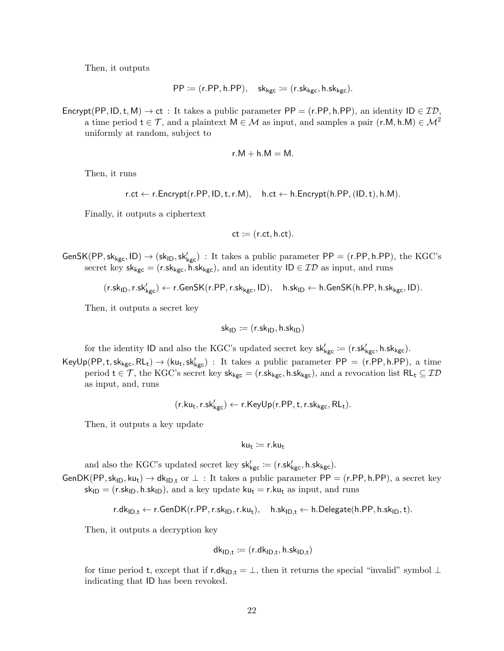Then, it outputs

$$
\mathsf{PP} \coloneqq (r.\mathsf{PP}, h.\mathsf{PP}), \quad \mathsf{sk}_{\mathsf{kgc}} \coloneqq (r.\mathsf{sk}_{\mathsf{kgc}}, h.\mathsf{sk}_{\mathsf{kgc}}).
$$

Encrypt(PP, ID, t, M)  $\rightarrow$  ct : It takes a public parameter PP = (r.PP, h.PP), an identity ID  $\in \mathcal{ID}$ , a time period  $t \in \mathcal{T}$ , and a plaintext  $M \in \mathcal{M}$  as input, and samples a pair  $(r.M, h.M) \in \mathcal{M}^2$ uniformly at random, subject to

$$
r.M + h.M = M.
$$

Then, it runs

$$
r.ct \leftarrow r. \mathsf{Encrypt}(r. \mathsf{PP}, \mathsf{ID}, t, r.M), \quad h.ct \leftarrow h. \mathsf{Encrypt}(h. \mathsf{PP}, (\mathsf{ID}, t), h.M)
$$

Finally, it outputs a ciphertext

$$
\mathsf{ct} \coloneqq (\mathsf{r}.\mathsf{ct}, \mathsf{h}.\mathsf{ct}).
$$

 $GenSK(PP, sk_{\text{kgc}}, ID) \rightarrow (sk_{ID}, sk'_{\text{kgc}})$ : It takes a public parameter  $PP = (r. PP, h. PP)$ , the KGC's secret key  $sk_{\text{kgc}} = (r.\text{sk}_{\text{kgc}}$ , h.sk<sub>kgc</sub>), and an identity  $ID \in \mathcal{ID}$  as input, and runs

$$
(\mathsf{r}.\mathsf{sk}_{\mathsf{ID}},\mathsf{r}.\mathsf{sk}'_\mathsf{g c}) \leftarrow \mathsf{r}.\mathsf{GenSK}(\mathsf{r}. \mathsf{PP},\mathsf{r}.\mathsf{sk}_\mathsf{kg c}, \mathsf{ID}), \quad \mathsf{h}.\mathsf{sk}_{\mathsf{ID}} \leftarrow \mathsf{h}.\mathsf{GenSK}(\mathsf{h}.\mathsf{PP},\mathsf{h}.\mathsf{sk}_\mathsf{kg c}, \mathsf{ID}).
$$

Then, it outputs a secret key

$$
\mathsf{sk}_{\mathsf{ID}}\coloneqq(\mathsf{r}.\mathsf{sk}_{\mathsf{ID}},\mathsf{h}.\mathsf{sk}_{\mathsf{ID}})
$$

for the identity ID and also the KGC's updated secret key  $sk'_{\text{kgc}} := (r.sk'_{\text{kgc}}, h.sk_{\text{kgc}})$ .

 $KeyUp(PP, t, sk_{kgc}, RL_t) \rightarrow (ku_t, sk'_{kgc})$ : It takes a public parameter  $PP = (r.PP, h.PP)$ , a time period  $t \in \mathcal{T}$ , the KGC's secret key  $sk_{\text{kgc}} = (r.\text{sk}_{\text{kgc}}, h.\text{sk}_{\text{kgc}})$ , and a revocation list  $\text{RL}_{t} \subseteq \mathcal{ID}$ as input, and, runs

$$
(r.ku_t, r.sk'_{\text{kgc}}) \leftarrow r.KeyUp(r.PP, t, r.sk_{\text{kgc}}, RL_t).
$$

Then, it outputs a key update

$$
\mathsf{k} \mathsf{u}_t \coloneqq \mathsf{r}.\mathsf{k} \mathsf{u}_t
$$

and also the KGC's updated secret key  $sk'_{\text{kgc}} := (r.\text{sk}'_{\text{kgc}}, h.\text{sk}_{\text{kgc}})$ .

GenDK(PP,  $sk_{ID}$ ,  $ku_t$ )  $\rightarrow$   $dk_{ID,t}$  or  $\perp$ : It takes a public parameter PP = (r.PP, h.PP), a secret key  $sk_{ID} = (r, sk_{ID}, h, sk_{ID})$ , and a key update  $ku_t = r. ku_t$  as input, and runs

$$
r.dk_{ID,t} \leftarrow r.GenDK(r.PP,r.st_{ID},r.ku_t), \quad h.st_{ID,t} \leftarrow h.Delegate(h.PP,h.st_{ID},t).
$$

Then, it outputs a decryption key

$$
\mathsf{dk}_{\mathsf{ID},\mathsf{t}}\coloneqq(\mathsf{r}.\mathsf{dk}_{\mathsf{ID},\mathsf{t}},\mathsf{h}.\mathsf{sk}_{\mathsf{ID},\mathsf{t}})
$$

for time period t, except that if  $r.dk<sub>1D,t</sub> = \perp$ , then it returns the special "invalid" symbol  $\perp$ indicating that ID has been revoked.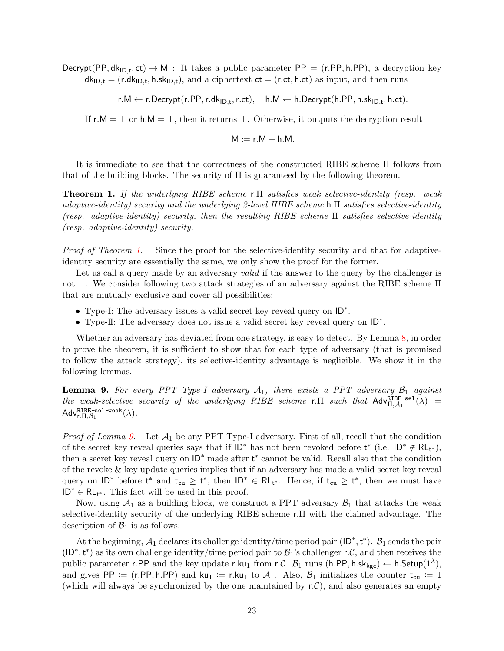Decrypt(PP,  $dk_{ID,t}$ , ct)  $\rightarrow$  M : It takes a public parameter PP = (r.PP, h.PP), a decryption key  $d\mathsf{k}_{\mathsf{ID},\mathsf{t}} = (\mathsf{r}.d\mathsf{k}_{\mathsf{ID},\mathsf{t}},\mathsf{h}.\mathsf{sk}_{\mathsf{ID},\mathsf{t}})$ , and a ciphertext  $\mathsf{ct} = (\mathsf{r}.\mathsf{ct},\mathsf{h}.\mathsf{ct})$  as input, and then runs

 $r.M \leftarrow r.Decrypt(r.PP, r.dk_{ID,t}, r.ct), \quad h.M \leftarrow h.Decrypt(h.PP, h.sk_{ID,t}, h.ct).$ 

If  $r.M = \perp$  or  $h.M = \perp$ , then it returns  $\perp$ . Otherwise, it outputs the decryption result

$$
\mathsf{M} \coloneqq \mathsf{r}.\mathsf{M} + \mathsf{h}.\mathsf{M}.
$$

It is immediate to see that the correctness of the constructed RIBE scheme Π follows from that of the building blocks. The security of Π is guaranteed by the following theorem.

<span id="page-22-0"></span>**Theorem 1.** *If the underlying RIBE scheme* r*.*Π *satisfies weak selective-identity (resp. weak adaptive-identity) security and the underlying 2-level HIBE scheme* h*.*Π *satisfies selective-identity (resp. adaptive-identity) security, then the resulting RIBE scheme* Π *satisfies selective-identity (resp. adaptive-identity) security.*

*Proof of Theorem [1](#page-22-0).* Since the proof for the selective-identity security and that for adaptiveidentity security are essentially the same, we only show the proof for the former.

Let us call a query made by an adversary *valid* if the answer to the query by the challenger is not *⊥*. We consider following two attack strategies of an adversary against the RIBE scheme Π that are mutually exclusive and cover all possibilities:

- *•* Type-I: The adversary issues a valid secret key reveal query on ID*<sup>∗</sup>* .
- *•* Type-II: The adversary does not issue a valid secret key reveal query on ID*<sup>∗</sup>* .

Whether an adversary has deviated from one strategy, is easy to detect. By Lemma [8](#page-19-0), in order to prove the theorem, it is sufficient to show that for each type of adversary (that is promised to follow the attack strategy), its selective-identity advantage is negligible. We show it in the following lemmas.

<span id="page-22-1"></span>**Lemma 9.** For every PPT Type-I adversary  $A_1$ , there exists a PPT adversary  $B_1$  against *the weak-selective security of the underlying RIBE scheme* r. II such that  $\mathsf{Adv}_{\Pi,\mathcal{A}_1}^{\text{RIBE-sel}}(\lambda)$  =  $\mathsf{Adv}^{\mathsf{RIBE}-\mathsf{sel}-\mathsf{weak}}_{r,\Pi,\mathcal{B}_1}(\lambda)$ .

*Proof of Lemma [9.](#page-22-1)* Let *A*<sup>1</sup> be any PPT Type-I adversary. First of all, recall that the condition of the secret key reveal queries says that if  $ID^*$  has not been revoked before  $t^*$  (i.e.  $ID^* \notin RL_{t^*}$ ), then a secret key reveal query on ID*<sup>∗</sup>* made after t *∗* cannot be valid. Recall also that the condition of the revoke & key update queries implies that if an adversary has made a valid secret key reveal query on  $ID^*$  before  $t^*$  and  $t_{cu} \geq t^*$ , then  $ID^* \in RL_{t^*}$ . Hence, if  $t_{cu} \geq t^*$ , then we must have  $ID^* \in \mathsf{RL}_{t^*}$ . This fact will be used in this proof.

Now, using  $A_1$  as a building block, we construct a PPT adversary  $B_1$  that attacks the weak selective-identity security of the underlying RIBE scheme r*.*Π with the claimed advantage. The description of  $B_1$  is as follows:

At the beginning,  $A_1$  declares its challenge identity/time period pair ( $ID^*, t^*$ ).  $B_1$  sends the pair  $(D^*, t^*)$  as its own challenge identity/time period pair to  $B_1$ 's challenger r.*C*, and then receives the public parameter r*.*PP and the key update r*.ku*<sub>1</sub> from r*.C.*  $B_1$  runs (h.PP, h.sk<sub>kgc</sub>)  $\leftarrow$  h.Setup(1<sup> $\lambda$ </sup>), and gives PP := (r.PP, h.PP) and ku<sub>1</sub> := r.ku<sub>1</sub> to  $A_1$ . Also,  $B_1$  initializes the counter  $t_{cu}$  := 1 (which will always be synchronized by the one maintained by r*.C*), and also generates an empty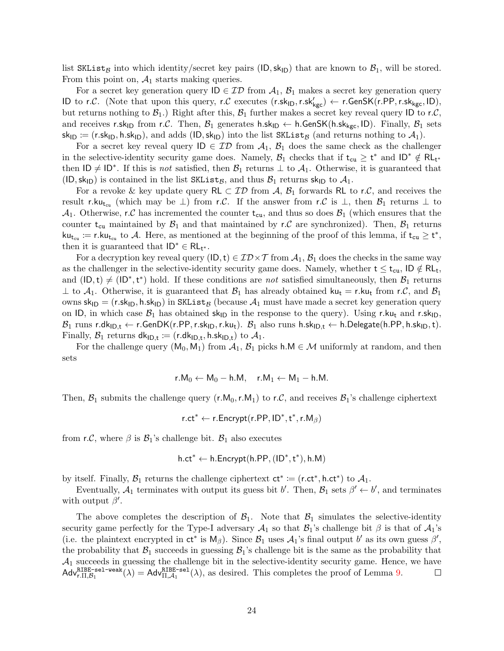list SKList<sub>*B*</sub> into which identity/secret key pairs (ID,  $\mathsf{sk}_{\mathsf{ID}}$ ) that are known to  $\mathcal{B}_1$ , will be stored. From this point on,  $A_1$  starts making queries.

For a secret key generation query  $ID \in ID$  from  $A_1$ ,  $B_1$  makes a secret key generation query ID to r*.C*. (Note that upon this query, r*.C* executes (r.sk<sub>ID</sub>, r.sk<sup>′</sup><sub>kgc</sub>) ← r.GenSK(r.PP, r.sk<sub>kgc</sub>, ID), but returns nothing to  $\mathcal{B}_1$ .) Right after this,  $\mathcal{B}_1$  further makes a secret key reveal query ID to r.*C*, and receives r.sk<sub>ID</sub> from r.C. Then,  $B_1$  generates h.sk<sub>ID</sub>  $\leftarrow$  h.GenSK(h.sk<sub>kgc</sub>, ID). Finally,  $B_1$  sets  $sk_{ID} := (r, sk_{ID}, h, sk_{ID})$ , and adds (ID,  $sk_{ID}$ ) into the list SKList<sub>B</sub> (and returns nothing to  $A_1$ ).

For a secret key reveal query  $ID \in ID$  from  $A_1$ ,  $B_1$  does the same check as the challenger in the selective-identity security game does. Namely,  $\mathcal{B}_1$  checks that if  $t_{cu} \geq t^*$  and  $ID^* \notin RL_{t^*}$ then  $ID \neq ID^*$ . If this is *not* satisfied, then  $B_1$  returns  $\perp$  to  $A_1$ . Otherwise, it is guaranteed that  $(D, sk_{1D})$  is contained in the list SKList<sub>B</sub>, and thus  $B_1$  returns sk<sub>ID</sub> to  $A_1$ .

For a revoke & key update query RL *⊂ ID* from *A*, *B*<sup>1</sup> forwards RL to r*.C*, and receives the result r.ku<sub>tcu</sub> (which may be  $\perp$ ) from r.*C*. If the answer from r.*C* is  $\perp$ , then  $\mathcal{B}_1$  returns  $\perp$  to  $\mathcal{A}_1$ . Otherwise, r.C has incremented the counter  $t_{cu}$ , and thus so does  $\mathcal{B}_1$  (which ensures that the counter  $t_{cu}$  maintained by  $\mathcal{B}_1$  and that maintained by  $r.C$  are synchronized). Then,  $\mathcal{B}_1$  returns  $ku_{t_{cu}} := r.ku_{t_{cu}}$  to A. Here, as mentioned at the beginning of the proof of this lemma, if  $t_{cu} \geq t^*$ , then it is guaranteed that  $ID^* \in RL_{t^*}$ .

For a decryption key reveal query  $(\mathsf{ID}, \mathsf{t}) \in \mathcal{ID} \times \mathcal{T}$  from  $\mathcal{A}_1, \mathcal{B}_1$  does the checks in the same way as the challenger in the selective-identity security game does. Namely, whether  $t \leq t_{cu}$ ,  $ID \notin RL_t$ , and  $(\mathsf{ID}, \mathsf{t}) \neq (\mathsf{ID}^*, \mathsf{t}^*)$  hold. If these conditions are *not* satisfied simultaneously, then  $\mathcal{B}_1$  returns *⊥* to  $A_1$ . Otherwise, it is guaranteed that  $B_1$  has already obtained ku<sub>t</sub> = r.ku<sub>t</sub> from r.C, and  $B_1$ owns  $\mathsf{sk}_{\mathsf{ID}} = (\mathsf{r}.\mathsf{sk}_{\mathsf{ID}},\mathsf{h}.\mathsf{sk}_{\mathsf{ID}})$  in  $\mathsf{SKList}_\mathcal{B}$  (because  $\mathcal{A}_1$  must have made a secret key generation query on ID, in which case  $B_1$  has obtained  $s_{\text{HD}}$  in the response to the query). Using r.ku<sub>t</sub> and r.sk<sub>ID</sub>,  $B_1$  runs r.dk<sub>ID,t</sub>  $\leftarrow$  r.GenDK(r.PP, r.sk<sub>ID</sub>, r.ku<sub>t</sub>).  $B_1$  also runs h.sk<sub>ID,t</sub>  $\leftarrow$  h.Delegate(h.PP, h.sk<sub>ID</sub>, t). Finally,  $\mathcal{B}_1$  returns  $d\mathsf{k}_{\mathsf{ID},\mathsf{t}} \coloneqq (\mathsf{r}.d\mathsf{k}_{\mathsf{ID},\mathsf{t}}, \mathsf{h}.\mathsf{sk}_{\mathsf{ID},\mathsf{t}})$  to  $\mathcal{A}_1$ .

For the challenge query  $(M_0, M_1)$  from  $A_1, B_1$  picks  $h.M \in M$  uniformly at random, and then sets

$$
r.M_0 \leftarrow M_0 - h.M, \quad r.M_1 \leftarrow M_1 - h.M.
$$

Then,  $\mathcal{B}_1$  submits the challenge query  $(r.M_0, r.M_1)$  to  $r.C$ , and receives  $\mathcal{B}_1$ 's challenge ciphertext

$$
r.ct^* \leftarrow r.Encrypt(r.PP, ID^*, t^*, r. M_\beta)
$$

from r.*C*, where  $\beta$  is  $\mathcal{B}_1$ 's challenge bit.  $\mathcal{B}_1$  also executes

$$
h.ct^* \leftarrow h. \text{Encrypt}(h. \text{PP}, (\text{ID}^*, t^*), h.M)
$$

by itself. Finally,  $\mathcal{B}_1$  returns the challenge ciphertext  $ct^* := (r.ct^*, h.ct^*)$  to  $\mathcal{A}_1$ .

Eventually,  $A_1$  terminates with output its guess bit *b'*. Then,  $B_1$  sets  $\beta' \leftarrow b'$ , and terminates with output  $\beta'$ .

The above completes the description of  $B_1$ . Note that  $B_1$  simulates the selective-identity security game perfectly for the Type-I adversary  $A_1$  so that  $B_1$ 's challenge bit  $\beta$  is that of  $A_1$ 's (i.e. the plaintext encrypted in  $ct^*$  is  $M_\beta$ ). Since  $\mathcal{B}_1$  uses  $\mathcal{A}_1$ 's final output  $b'$  as its own guess  $\beta'$ , the probability that  $B_1$  succeeds in guessing  $B_1$ 's challenge bit is the same as the probability that  $A_1$  succeeds in guessing the challenge bit in the selective-identity security game. Hence, we have  $\mathsf{Adv}_{r.\Pi,\beta_1}^{\text{RIEE-sel-weak}}(\lambda) = \mathsf{Adv}_{\Pi,\mathcal{A}_1}^{\text{RIEE-sel}}(\lambda)$ , as desired. This completes the proof of Lemma [9.](#page-22-1)  $\Box$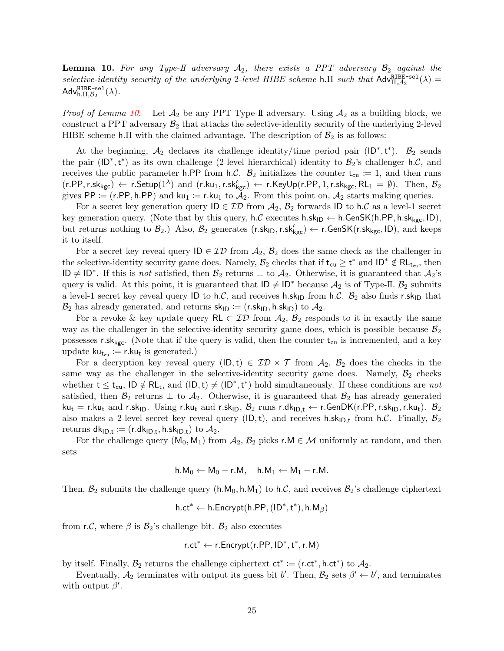<span id="page-24-0"></span>**Lemma 10.** For any Type-II adversary  $A_2$ , there exists a PPT adversary  $B_2$  against the  $selective-identity$  *security of the underlying* 2-level HIBE scheme **h**. $\Pi$  *such that*  $\mathsf{Adv}_{\Pi,\mathcal{A}_2}^{\text{RIEE-sel}}(\lambda)$  =  $\mathsf{Adv}_{\mathsf{h.}\Pi,\mathcal{B}_2}^{\mathsf{HIBE}-\mathbf{sel}}(\lambda)$ .

*Proof of Lemma [10](#page-24-0).* Let *A*<sup>2</sup> be any PPT Type-II adversary. Using *A*<sup>2</sup> as a building block, we construct a PPT adversary  $\mathcal{B}_2$  that attacks the selective-identity security of the underlying 2-level HIBE scheme h.II with the claimed advantage. The description of  $B_2$  is as follows:

At the beginning,  $A_2$  declares its challenge identity/time period pair  $(\text{ID}^*, t^*)$ .  $\mathcal{B}_2$  sends the pair  $(\text{ID}^*, t^*)$  as its own challenge (2-level hierarchical) identity to  $\mathcal{B}_2$ 's challenger h.*C*, and receives the public parameter h.PP from h.C.  $\mathcal{B}_2$  initializes the counter  $t_{cu} := 1$ , and then runs  $(r.PP, r.sk_{kgc}) \leftarrow r.Setup(1^{\lambda})$  and  $(r.ku_1, r.sk'_{kgc}) \leftarrow r.KeyUp(r.PP, 1, r.sk_{kgc}, RL_1 = \emptyset)$ . Then,  $B_2$ gives PP := (r.PP, h.PP) and ku<sub>1</sub> := r.ku<sub>1</sub> to  $A_2$ . From this point on,  $A_2$  starts making queries.

For a secret key generation query  $ID \in ID$  from  $A_2$ ,  $B_2$  forwards  $ID$  to  $h.C$  as a level-1 secret key generation query. (Note that by this query,  $h.C$  executes  $h.sk_{ID} \leftarrow h.GenSK(h.PP, h.sk_{sec}, ID),$  $\mathcal{L}_{2}$  but returns nothing to  $\mathcal{B}_{2}$ .) Also,  $\mathcal{B}_{2}$  generates  $(r.\mathsf{sk}_{\mathsf{ID}},\mathsf{r}.\mathsf{sk}'_{\mathsf{kgc}}) \leftarrow r.\mathsf{GenSK}(r.\mathsf{sk}_{\mathsf{kgc}}, \mathsf{ID}),$  and keeps it to itself.

For a secret key reveal query  $ID \in ID$  from  $A_2$ ,  $B_2$  does the same check as the challenger in the selective-identity security game does. Namely,  $B_2$  checks that if  $t_{cu} \geq t^*$  and  $ID^* \notin RL_{t_{cu}}$ , then ID  $\neq$  ID<sup>\*</sup>. If this is *not* satisfied, then  $\mathcal{B}_2$  returns ⊥ to  $\mathcal{A}_2$ . Otherwise, it is guaranteed that  $\mathcal{A}_2$ 's query is valid. At this point, it is guaranteed that  $ID \neq ID^*$  because  $A_2$  is of Type-II.  $B_2$  submits a level-1 secret key reveal query ID to h.*C*, and receives h.sk<sub>ID</sub> from h.*C*.  $B_2$  also finds r.sk<sub>ID</sub> that  $B_2$  has already generated, and returns  $sk_{\text{ID}} := (r, sk_{\text{ID}}, h, sk_{\text{ID}})$  to  $A_2$ .

For a revoke & key update query  $\mathsf{RL} \subset \mathcal{ID}$  from  $\mathcal{A}_2$ ,  $\mathcal{B}_2$  responds to it in exactly the same way as the challenger in the selective-identity security game does, which is possible because  $\mathcal{B}_2$ possesses r.sk<sub>kgc</sub>. (Note that if the query is valid, then the counter  $t_{cu}$  is incremented, and a key update  $ku_{t_{cu}} \coloneqq r.ku_t$  is generated.)

For a decryption key reveal query  $(ID, t) \in ID \times \mathcal{T}$  from  $\mathcal{A}_2$ ,  $\mathcal{B}_2$  does the checks in the same way as the challenger in the selective-identity security game does. Namely,  $\mathcal{B}_2$  checks whether  $t \leq t_{cu}$ ,  $ID \notin R_{t}$ , and  $(ID, t) \neq (ID^*, t^*)$  hold simultaneously. If these conditions are *not* satisfied, then  $\mathcal{B}_2$  returns  $\perp$  to  $\mathcal{A}_2$ . Otherwise, it is guaranteed that  $\mathcal{B}_2$  has already generated  $ku_t = r.ku_t$  and r*.sk*<sub>ID</sub>. Using r*.ku<sub>t</sub>* and r*.sk*<sub>ID</sub>,  $B_2$  runs r*.dk*<sub>ID*,t*</sub>  $\leftarrow$  r*.GenDK(r.PP,r.sk*<sub>ID</sub>,r*.ku<sub>t</sub>).*  $B_2$ also makes a 2-level secret key reveal query  $(\mathsf{ID}, \mathsf{t})$ , and receives  $\mathsf{h}.\mathsf{sk}_{\mathsf{ID},\mathsf{t}}$  from  $\mathsf{h}.\mathcal{C}$ . Finally,  $\mathcal{B}_2$ returns  $dk_{ID,t} \coloneqq (r.dk_{ID,t}, h.sk_{ID,t})$  to  $\mathcal{A}_2$ .

For the challenge query  $(M_0, M_1)$  from  $A_2, B_2$  picks  $r.M \in M$  uniformly at random, and then sets

$$
\mathsf{h}.\mathsf{M}_0 \leftarrow \mathsf{M}_0 - \mathsf{r}.\mathsf{M}, \quad \mathsf{h}.\mathsf{M}_1 \leftarrow \mathsf{M}_1 - \mathsf{r}.\mathsf{M}.
$$

Then,  $B_2$  submits the challenge query  $(h.M_0, h.M_1)$  to  $h.C$ , and receives  $B_2$ 's challenge ciphertext

$$
h.ct^* \leftarrow h. \text{Encrypt}(h. \text{PP}, (\text{ID}^*, t^*), h. M_\beta)
$$

from r.*C*, where  $\beta$  is  $\mathcal{B}_2$ 's challenge bit.  $\mathcal{B}_2$  also executes

$$
r.ct^* \leftarrow r.Encrypt(r.PP, ID^*, t^*, r.M)
$$

by itself. Finally,  $\mathcal{B}_2$  returns the challenge ciphertext  $ct^* := (r.ct^*, h.ct^*)$  to  $\mathcal{A}_2$ .

Eventually,  $A_2$  terminates with output its guess bit *b*'. Then,  $B_2$  sets  $\beta' \leftarrow b'$ , and terminates with output *β ′* .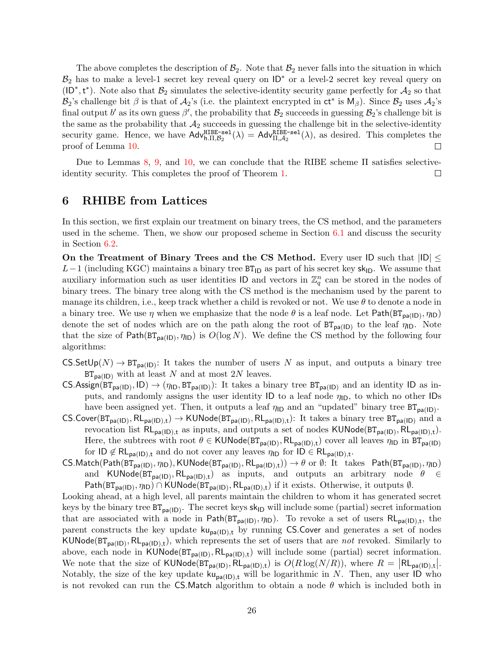The above completes the description of  $B_2$ . Note that  $B_2$  never falls into the situation in which *B*<sub>2</sub> has to make a level-1 secret key reveal query on  $ID<sup>∗</sup>$  or a level-2 secret key reveal query on (ID<sup>\*</sup>, t<sup>\*</sup>). Note also that  $B_2$  simulates the selective-identity security game perfectly for  $A_2$  so that  $B_2$ 's challenge bit *β* is that of  $A_2$ 's (i.e. the plaintext encrypted in  $ct^*$  is  $M_\beta$ ). Since  $B_2$  uses  $A_2$ 's final output *b'* as its own guess  $\beta'$ , the probability that  $B_2$  succeeds in guessing  $B_2$ 's challenge bit is the same as the probability that  $A_2$  succeeds in guessing the challenge bit in the selective-identity security game. Hence, we have  $\mathsf{Adv}_{h, \Pi, \mathcal{B}_2}^{\text{HIBE-sel}}(\lambda) = \mathsf{Adv}_{\Pi, \mathcal{A}_2}^{\text{RIBE-sel}}(\lambda)$ , as desired. This completes the proof of Lemma [10](#page-24-0). ⊔

Due to Lemmas [8](#page-19-0), [9](#page-22-1), and [10](#page-24-0), we can conclude that the RIBE scheme  $\Pi$  satisfies selectiveidentity security. This completes the proof of Theorem [1](#page-22-0).  $\Box$ 

### <span id="page-25-0"></span>**6 RHIBE from Lattices**

In this section, we first explain our treatment on binary trees, the CS method, and the parameters used in the scheme. Then, we show our proposed scheme in Section [6.1](#page-26-0) and discuss the security in Section [6.2](#page-30-1).

**On the Treatment of Binary Trees and the CS Method.** Every user ID such that *|*ID*| ≤ L*<sup>−1</sup> (including KGC) maintains a binary tree  $BT_{ID}$  as part of his secret key sk<sub>ID</sub>. We assume that auxiliary information such as user identities  $\mathsf{ID}$  and vectors in  $\mathbb{Z}_q^n$  can be stored in the nodes of binary trees. The binary tree along with the CS method is the mechanism used by the parent to manage its children, i.e., keep track whether a child is revoked or not. We use *θ* to denote a node in a binary tree. We use  $\eta$  when we emphasize that the node  $\theta$  is a leaf node. Let  $Path(BT_{pa(1D)}, \eta_{1D})$ denote the set of nodes which are on the path along the root of  $BT_{pa(1D)}$  to the leaf *η*<sub>ID</sub>. Note that the size of  $Path(BT_{pa(1D)}, \eta_{1D})$  is  $O(log N)$ . We define the CS method by the following four algorithms:

- $\mathsf{CS}.\mathsf{SetUp}(N) \to \mathsf{BT}_{\mathsf{pa}(\mathsf{ID})}$ : It takes the number of users *N* as input, and outputs a binary tree  $BT_{pa(1D)}$  with at least *N* and at most 2*N* leaves.
- CS.Assign( $BT_{pa(1D)}$ ,  $ID) \rightarrow (\eta_{ID}, BT_{pa(1D)})$ : It takes a binary tree  $BT_{pa(1D)}$  and an identity ID as inputs, and randomly assigns the user identity ID to a leaf node  $η$ <sub>ID</sub>, to which no other IDs have been assigned yet. Then, it outputs a leaf  $\eta_{\mathsf{ID}}$  and an "updated" binary tree  $BT_{\mathsf{pa}(\mathsf{ID})}$ .
- $\text{CS.Cover}(BT_{pa(1D)}, RL_{pa(1D),t}) \to \text{KUNode}(BT_{pa(1D)}, RL_{pa(1D),t})$ : It takes a binary tree  $BT_{pa(1D)}$  and a revocation list  $RL_{pa(ID),t}$  as inputs, and outputs a set of nodes  $KUNode(BT_{pa(ID)}, RL_{pa(ID),t}).$ Here, the subtrees with root  $\theta \in \text{KUNode}(\text{BT}_{pa(1D)}, \text{RL}_{pa(1D),t})$  cover all leaves  $\eta_{\text{ID}}$  in  $\text{BT}_{pa(1D)}$ for  $ID \notin \mathsf{RL}_{\mathsf{pa}(ID), \mathsf{t}}$  and do not cover any leaves  $\eta_{ID}$  for  $ID \in \mathsf{RL}_{\mathsf{pa}(ID), \mathsf{t}}$ .
- $\text{CS.Match}(\text{Path}(BT_{pa(1D)}, \eta_{1D}), \text{KUNode}(BT_{pa(1D)}, RL_{pa(1D),t})) \rightarrow \theta \text{ or } \emptyset$ : It takes  $\text{Path}(BT_{pa(1D)}, \eta_{1D})$ and  $KUNode(BT_{pa(1D)}, RL_{pa(1D),t})$  as inputs, and outputs an arbitrary node  $\theta \in$ Path(BTpa(ID) *, η*ID) *∩* KUNode(BTpa(ID) *,* RLpa(ID)*,*<sup>t</sup> ) if it exists. Otherwise, it outputs *∅*.

Looking ahead, at a high level, all parents maintain the children to whom it has generated secret keys by the binary tree  $BT_{pa(1D)}$ . The secret keys  $sk_{1D}$  will include some (partial) secret information that are associated with a node in  $Path(BT_{pa(1D)}, \eta_{1D})$ . To revoke a set of users  $RL_{pa(1D),t}$ , the parent constructs the key update  $ku_{pa(1D),t}$  by running CS.Cover and generates a set of nodes KUNode( $BT_{pa(1D)}$ ,  $RL_{pa(1D),t}$ ), which represents the set of users that are *not* revoked. Similarly to above, each node in KUNode( $BT_{pa(1D)}$ ,  $RL_{pa(1D),t}$ ) will include some (partial) secret information. We note that the size of  $KUNode(BT_{pa(ID)}, RL_{pa(ID),t})$  is  $O(R \log(N/R))$ , where  $R = |RL_{pa(ID),t}|$ . Notably, the size of the key update  $ku_{pa(1D),t}$  will be logarithmic in *N*. Then, any user ID who is not revoked can run the CS.Match algorithm to obtain a node *θ* which is included both in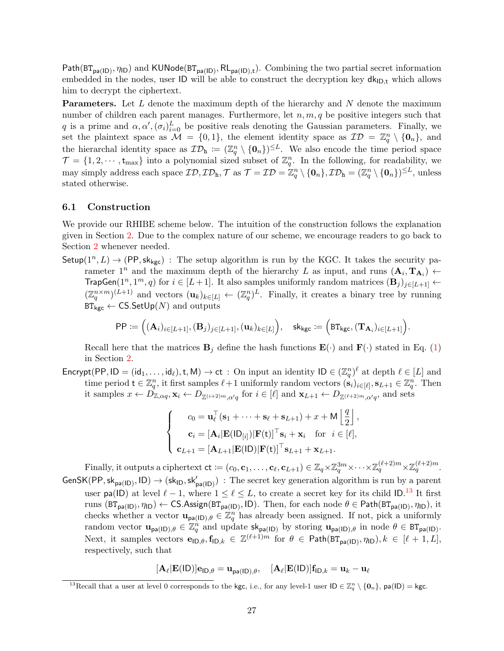Path(BT<sub>pa(ID)</sub>, η<sub>ID</sub>) and KUNode(BT<sub>pa(ID)</sub>, RL<sub>pa(ID),t</sub>). Combining the two partial secret information embedded in the nodes, user ID will be able to construct the decryption key  $d_{\mathsf{I}D,t}$  which allows him to decrypt the ciphertext.

**Parameters.** Let *L* denote the maximum depth of the hierarchy and *N* denote the maximum number of children each parent manages. Furthermore, let *n, m, q* be positive integers such that *q* is a prime and  $\alpha, \alpha', (\sigma_i)_{i=0}^L$  be positive reals denoting the Gaussian parameters. Finally, we set the plaintext space as  $\mathcal{M} = \{0, 1\}$ , the element identity space as  $\mathcal{ID} = \mathbb{Z}_q^n \setminus \{\mathbf{0}_n\}$ , and the hierarchal identity space as  $\mathcal{ID}_h := (\mathbb{Z}_q^n \setminus \{\mathbf{0}_n\})^{\leq L}$ . We also encode the time period space  $\mathcal{T} = \{1, 2, \dots, t_{\text{max}}\}$  into a polynomial sized subset of  $\mathbb{Z}_q^n$ . In the following, for readability, we may simply address each space  $\mathcal{ID}, \mathcal{ID}_h, \mathcal{T}$  as  $\mathcal{T} = \mathcal{ID} = \mathbb{Z}_q^n \setminus \{\mathbf{0}_n\}, \mathcal{ID}_h = (\mathbb{Z}_q^n \setminus \{\mathbf{0}_n\})^{\leq L}$ , unless stated otherwise.

#### <span id="page-26-0"></span>**6.1 Construction**

We provide our RHIBE scheme below. The intuition of the construction follows the explanation given in Section [2.](#page-5-0) Due to the complex nature of our scheme, we encourage readers to go back to Section [2](#page-5-0) whenever needed.

Setup $(1^n, L) \rightarrow (PP, sk_{\text{kgc}})$ : The setup algorithm is run by the KGC. It takes the security parameter  $1^n$  and the maximum depth of the hierarchy *L* as input, and runs  $(A_i, T_{A_i}) \leftarrow$ TrapGen( $1^n, 1^m, q$ ) for  $i \in [L+1]$ . It also samples uniformly random matrices  $(\mathbf{B}_j)_{j \in [L+1]}$   $\leftarrow$  $(\mathbb{Z}_q^{n \times m})^{(L+1)}$  and vectors  $(\mathbf{u}_k)_{k \in [L]} \leftarrow (\mathbb{Z}_q^n)^L$ . Finally, it creates a binary tree by running  $BT_{\text{kgc}} \leftarrow \text{CS.SetUp}(N)$  and outputs

$$
\mathsf{PP} \coloneqq \Big((\mathbf{A}_i)_{i \in [L+1]}, (\mathbf{B}_j)_{j \in [L+1]}, (\mathbf{u}_k)_{k \in [L]}\Big), \quad \mathsf{sk}_{\mathsf{kgc}} \coloneqq \Big(\texttt{BT}_{\mathsf{kgc}}, (\mathbf{T}_{\mathbf{A}_i})_{i \in [L+1]}\Big).
$$

Recall here that the matrices  $\mathbf{B}_j$  define the hash functions  $\mathbf{E}(\cdot)$  and  $\mathbf{F}(\cdot)$  stated in Eq. ([1](#page-5-3)) in Section [2](#page-5-0).

Encrypt(PP, ID =  $(id_1, \ldots, id_\ell), t, M$ )  $\to$  ct : On input an identity ID  $\in (\mathbb{Z}_q^n)^\ell$  at depth  $\ell \in [L]$  and time period  $\mathbf{t} \in \mathbb{Z}_q^n$ , it first samples  $\ell+1$  uniformly random vectors  $(\mathbf{s}_i)_{i \in [\ell]}, \mathbf{s}_{L+1} \in \mathbb{Z}_q^n$ . Then it samples  $x \leftarrow D_{\mathbb{Z},\alpha q}$ ,  $\mathbf{x}_i \leftarrow D_{\mathbb{Z}^{(i+2)m},\alpha'q}$  for  $i \in [\ell]$  and  $\mathbf{x}_{L+1} \leftarrow D_{\mathbb{Z}^{(\ell+2)m},\alpha'q}$ , and sets

$$
\begin{cases}\nc_0 = \mathbf{u}_\ell^\top (\mathbf{s}_1 + \dots + \mathbf{s}_\ell + \mathbf{s}_{L+1}) + x + \mathsf{M} \left\lfloor \frac{q}{2} \right\rfloor, \\
\mathbf{c}_i = [\mathbf{A}_i] \mathbf{E} (\mathsf{ID}_{[i]}) |\mathbf{F}(\mathbf{t})]^\top \mathbf{s}_i + \mathbf{x}_i \quad \text{for} \quad i \in [\ell], \\
\mathbf{c}_{L+1} = [\mathbf{A}_{L+1}] \mathbf{E} (\mathsf{ID}) |\mathbf{F}(\mathbf{t})]^\top \mathbf{s}_{L+1} + \mathbf{x}_{L+1}.\n\end{cases}
$$

Finally, it outputs a ciphertext  $\mathsf{ct}\coloneqq(c_0,\mathbf{c}_1,\ldots,\mathbf{c}_{\ell},\mathbf{c}_{L+1})\in\mathbb{Z}_q\times\mathbb{Z}_q^{3m}\times\cdots\times\mathbb{Z}_q^{(\ell+2)m}\times\mathbb{Z}_q^{(\ell+2)m}.$  $GenSK(PP, sk_{pa(ID)}, ID) \rightarrow (sk_{ID}, sk'_{pa(ID)})$ : The secret key generation algorithm is run by a parent user  $pa(ID)$  at level  $l-1$ , where  $1 \leq l \leq L$ , to create a secret key for its child  $ID.^{13}$  $ID.^{13}$  $ID.^{13}$  It first  $\text{runs } (\text{BT}_{\text{pa}(\text{ID})}, \eta_{\text{ID}}) \leftarrow \text{CS}.\text{Assign}(\text{BT}_{\text{pa}(\text{ID})}, \text{ID}). \text{ Then, for each node } \theta \in \text{Path}(\text{BT}_{\text{pa}(\text{ID})}, \eta_{\text{ID}}), \text{it}$ checks whether a vector  $\mathbf{u}_{pa(1D),\theta} \in \mathbb{Z}_q^n$  has already been assigned. If not, pick a uniformly random vector  $\mathbf{u}_{pa(ID),\theta} \in \mathbb{Z}_q^{\hat{n}}$  and update  $sk_{pa(ID)}$  by storing  $\mathbf{u}_{pa(ID),\theta}$  in node  $\theta \in BT_{pa(ID)}$ . Next, it samples vectors  $\mathbf{e}_{\mathsf{ID},\theta},\mathbf{f}_{\mathsf{ID},k} \in \mathbb{Z}^{(\ell+1)m}$  for  $\theta \in \mathsf{Path}(\mathsf{BT}_{\mathsf{pa}(\mathsf{ID})},\eta_{\mathsf{ID}}), k \in [\ell+1,L],$ respectively, such that

 $[\mathbf{A}_{\ell}|\mathbf{E}(\mathsf{ID})]\mathbf{e}_{\mathsf{ID},\theta}=\mathbf{u}_{\mathsf{pa}(\mathsf{ID}),\theta},\quad [\mathbf{A}_{\ell}|\mathbf{E}(\mathsf{ID})]\mathbf{f}_{\mathsf{ID},k}=\mathbf{u}_k-\mathbf{u}_{\ell}$ 

<span id="page-26-1"></span><sup>&</sup>lt;sup>13</sup>Recall that a user at level 0 corresponds to the kgc, i.e., for any level-1 user  $ID \in \mathbb{Z}_q^n \setminus \{0_n\}$ , pa(ID) = kgc.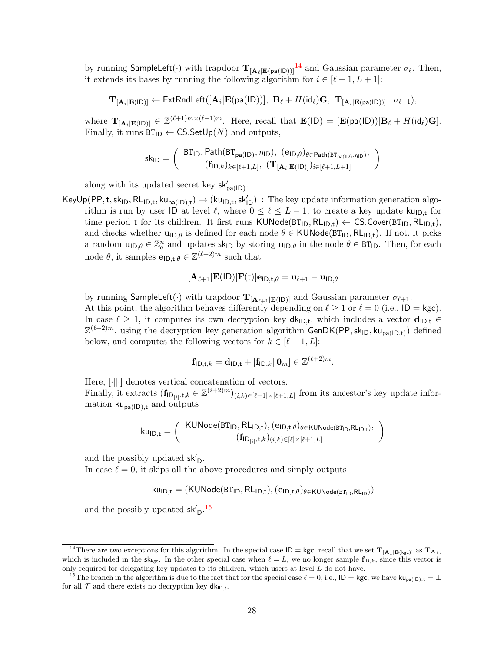by running SampleLeft $(\cdot)$  with trapdoor  $\mathbf{T}_{[\mathbf{A}_\ell|\mathbf{E}(\mathsf{pa}(\mathsf{ID}))]}^{14}$  $\mathbf{T}_{[\mathbf{A}_\ell|\mathbf{E}(\mathsf{pa}(\mathsf{ID}))]}^{14}$  $\mathbf{T}_{[\mathbf{A}_\ell|\mathbf{E}(\mathsf{pa}(\mathsf{ID}))]}^{14}$  and Gaussian parameter  $\sigma_\ell$ . Then, it extends its bases by running the following algorithm for  $i \in [\ell+1, L+1]$ :

 $\mathbf{T}_{[\mathbf{A}_i|\mathbf{E}(\mathsf{ID})]} \leftarrow \mathsf{ExtRndLeft}([\mathbf{A}_i|\mathbf{E}(\mathsf{pa}(\mathsf{ID}))],\ \mathbf{B}_\ell + H(\mathsf{id}_\ell)\mathbf{G},\ \mathbf{T}_{[\mathbf{A}_i|\mathbf{E}(\mathsf{pa}(\mathsf{ID}))]},\ \sigma_{\ell-1}),$ 

 $\text{where } \mathbf{T}_{[\mathbf{A}_i|\mathbf{E}(\mathbf{ID})]} \in \mathbb{Z}^{(\ell+1)m \times (\ell+1)m}$ . Here, recall that  $\mathbf{E}(\mathbf{ID}) = [\mathbf{E}(\mathsf{pa}(\mathbf{ID}))|\mathbf{B}_{\ell} + H(\mathsf{id}_{\ell})\mathbf{G}]$ . Finally, it runs  $BT_{ID} \leftarrow \mathsf{CS}.\mathsf{SetUp}(N)$  and outputs,

$$
\mathsf{sk}_{\mathsf{ID}} = \left(\begin{array}{c} \mathsf{BT}_{\mathsf{ID}}, \mathsf{Path}(\mathsf{BT}_{\mathsf{pa}(\mathsf{ID})}, \eta_{\mathsf{ID}}), \ (\mathbf{e}_{\mathsf{ID}, \theta})_{\theta \in \mathsf{Path}(\mathsf{BT}_{\mathsf{pa}(\mathsf{ID})}, \eta_{\mathsf{ID}})}, \\ (\mathbf{f}_{\mathsf{ID}, k})_{k \in [\ell+1, L]}, \ (\mathbf{T}_{[\mathbf{A}_i \mid \mathbf{E}(\mathsf{ID})]})_{i \in [\ell+1, L+1]} \end{array}\right)
$$

along with its updated secret key  $sk'_{pa(ID)}$ .

 $KeyUp(PP, t, sk_{ID}, RL_{ID,t}, ku_{pa(ID), t}) \rightarrow (ku_{ID,t}, sk'_{ID})$ : The key update information generation algorithm is run by user ID at level  $\ell$ , where  $0 \leq \ell \leq L-1$ , to create a key update ku<sub>ID,t</sub> for time period t for its children. It first runs  $KUNode(BT_{ID}, RL_{ID,t}) \leftarrow CS.Cover(BT_{ID}, RL_{ID,t}),$ and checks whether  $\mathbf{u}_{\mathsf{ID},\theta}$  is defined for each node  $\theta \in \mathsf{KUNode}(\mathsf{BT}_{\mathsf{ID}}, \mathsf{RL}_{\mathsf{ID},t})$ . If not, it picks a random  $\mathbf{u}_{\mathsf{ID},\theta} \in \mathbb{Z}_q^n$  and updates  $\mathsf{sk}_{\mathsf{ID}}$  by storing  $\mathbf{u}_{\mathsf{ID},\theta}$  in the node  $\theta \in \texttt{BT}_{\mathsf{ID}}$ . Then, for each node  $\theta$ , it samples  $\mathbf{e}_{\mathsf{ID},\mathsf{t},\theta} \in \mathbb{Z}^{(\ell+2)m}$  such that

$$
[\mathbf{A}_{\ell+1}|\mathbf{E}(\mathsf{ID})|\mathbf{F}(\mathsf{t})]\mathbf{e}_{\mathsf{ID},\mathsf{t},\theta} = \mathbf{u}_{\ell+1} - \mathbf{u}_{\mathsf{ID},\theta}
$$

by running SampleLeft(·) with trapdoor  $\mathbf{T}_{[\mathbf{A}_{\ell+1}|\mathbf{E}(|D)]}$  and Gaussian parameter  $\sigma_{\ell+1}$ . At this point, the algorithm behaves differently depending on  $\ell \geq 1$  or  $\ell = 0$  (i.e.,  $ID = \text{kgc}$ ). In case  $\ell \geq 1$ , it computes its own decryption key  $d_{\mathsf{ID},t}$ , which includes a vector  $\mathbf{d}_{\mathsf{ID},t} \in$  $\mathbb{Z}^{(\ell+2)m}$ , using the decryption key generation algorithm GenDK(PP, sk<sub>ID</sub>, ku<sub>pa(ID,t)</sub>) defined below, and computes the following vectors for  $k \in [\ell + 1, L]$ :

$$
\mathbf{f}_{\mathsf{ID},\mathsf{t},k} = \mathbf{d}_{\mathsf{ID},\mathsf{t}} + [\mathbf{f}_{\mathsf{ID},k} \| \mathbf{0}_m] \in \mathbb{Z}^{(\ell+2)m}.
$$

Here, [*⋅∥⋅*] denotes vertical concatenation of vectors. Finally, it extracts  $(\mathbf{f}_{\mathsf{ID}_{[i]},t,k} \in \mathbb{Z}^{(i+2)m})_{(i,k)\in[\ell-1]\times[\ell+1,L]}$  from its ancestor's key update information kupa(ID)*,*<sup>t</sup> and outputs

$$
ku_{ID,t} = \left(\begin{array}{c} KUNode(BT_{ID},RL_{ID,t}), (e_{ID,t,\theta})_{\theta \in KUNode(BT_{ID},RL_{ID,t})}, \\ (f_{ID_{[i]},t,k})_{(i,k) \in [\ell] \times [\ell+1,L]} \end{array}\right)
$$

and the possibly updated  $sk'_{ID}$ .

In case  $\ell = 0$ , it skips all the above procedures and simply outputs

 $k$ u<sub>ID,t</sub> =  $(KUNode(BT_{ID}, RL_{ID,t}), (e_{ID,t,\theta})_{\theta \in KUNode(BT_{ID},RL_{ID})})$ 

and the possibly updated  $sk'_{ID}.^{15}$  $sk'_{ID}.^{15}$  $sk'_{ID}.^{15}$ 

<span id="page-27-0"></span><sup>&</sup>lt;sup>14</sup>There are two exceptions for this algorithm. In the special case  $ID = kgc$ , recall that we set  $T_{[A_1|E(kgc)]}$  as  $T_{A_1}$ , which is included in the  $sk_{\text{sec}}$ . In the other special case when  $\ell = L$ , we no longer sample  $f_{\text{ID},k}$ , since this vector is only required for delegating key updates to its children, which users at level *L* do not have.

<span id="page-27-1"></span><sup>&</sup>lt;sup>15</sup>The branch in the algorithm is due to the fact that for the special case  $\ell = 0$ , i.e.,  $ID = \text{kgc}$ , we have  $\text{ku}_{\text{pa}(ID),t} = \bot$ for all  $T$  and there exists no decryption key  $dk_{ID,t}$ .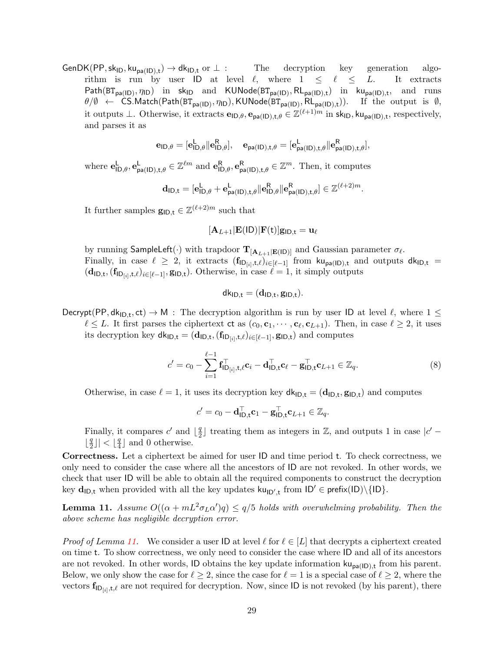$GenDK(PP, sk_{ID}, ku_{pa(ID), t}) \rightarrow dk_{ID, t}$  or  $\perp$  : The decryption key generation algorithm is run by user ID at level  $\ell$ , where  $1 \leq \ell \leq L$ . It extracts  $Path(BT_{pa(1D)}, \eta_{ID})$  in sk<sub>ID</sub> and KUNode( $BT_{pa(1D)}, RL_{pa(1D),t})$  in  $ku_{pa(1D),t}$ , and runs *θ* /Ø ← CS.Match(Path(BT<sub>pa(ID)</sub>, η<sub>ID</sub>), KUNode(BT<sub>pa(ID)</sub>, RL<sub>pa(ID),t</sub>)). If the output is *Ø*, it outputs  $\bot$ . Otherwise, it extracts  $\mathbf{e}_{\mathsf{ID},\theta},\mathbf{e}_{\mathsf{pa}(\mathsf{ID}),\mathsf{t},\theta} \in \mathbb{Z}^{(\ell+1)m}$  in  $\mathsf{sk}_{\mathsf{ID}},\mathsf{ku}_{\mathsf{pa}(\mathsf{ID}),\mathsf{t}}$ , respectively, and parses it as

$$
\mathbf{e}_{\mathsf{ID},\theta}=[\mathbf{e}_{\mathsf{ID},\theta}^\mathsf{L}\|\mathbf{e}_{\mathsf{ID},\theta}^\mathsf{R}],\quad \mathbf{e}_{\mathsf{pa}(\mathsf{ID}),\mathsf{t},\theta}=[\mathbf{e}_{\mathsf{pa}(\mathsf{ID}),\mathsf{t},\theta}^\mathsf{L}\|\mathbf{e}_{\mathsf{pa}(\mathsf{ID}),\mathsf{t},\theta}^\mathsf{R}],
$$

where  $\mathbf{e}_{\mathsf{ID},\theta}^{\mathsf{L}}, \mathbf{e}_{\mathsf{pa}(\mathsf{ID}),\mathsf{t},\theta}^{\mathsf{L}} \in \mathbb{Z}^{\ell m}$  and  $\mathbf{e}_{\mathsf{ID},\theta}^{\mathsf{R}}, \mathbf{e}_{\mathsf{pa}(\mathsf{ID}),\mathsf{t},\theta}^{\mathsf{R}} \in \mathbb{Z}^m$ . Then, it computes

$$
\mathbf{d}_{\mathsf{ID},\mathsf{t}}=[\mathbf{e}_{\mathsf{ID},\theta}^\mathsf{L}+\mathbf{e}_{\mathsf{pa}(\mathsf{ID}),\mathsf{t},\theta}^\mathsf{L} \|\mathbf{e}_{\mathsf{ID},\theta}^\mathsf{R}\|\mathbf{e}_{\mathsf{pa}(\mathsf{ID}),\mathsf{t},\theta}^\mathsf{R}] \in \mathbb{Z}^{(\ell+2)m}.
$$

It further samples  $\mathbf{g}_{\mathsf{ID},\mathsf{t}} \in \mathbb{Z}^{(\ell+2)m}$  such that

$$
[\mathbf{A}_{L+1}|\mathbf{E}(\mathsf{ID})|\mathbf{F}(\mathsf{t})]\mathbf{g}_{\mathsf{ID},\mathsf{t}} = \mathbf{u}_{\ell}
$$

by running  $\mathsf{SampleLeft}(\cdot)$  with trapdoor  $\mathbf{T}_{[\mathbf{A}_{L+1}|\mathbf{E}(\mathsf{ID})]}$  and  $\mathsf{Gaussian\ parameter}\ \sigma_\ell.$ Finally, in case  $\ell \geq 2$ , it extracts  $(f_{\text{ID}_{[i]},t,\ell})_{i \in [\ell-1]}$  from  $\text{ku}_{\text{pa}(\text{ID}),t}$  and outputs  $\text{dk}_{\text{ID},t}$  $(d_{ID,t}, (f_{ID_{[i]},t},\ell)_{i\in[\ell-1]}, g_{ID,t})$ . Otherwise, in case  $\ell = 1$ , it simply outputs

<span id="page-28-1"></span>
$$
\mathsf{d}k_{\mathsf{ID},t} = (\mathbf{d}_{\mathsf{ID},t},\mathbf{g}_{\mathsf{ID},t}).
$$

Decrypt(PP,  $dk_{ID,t}$ , ct)  $\rightarrow$  M : The decryption algorithm is run by user ID at level  $\ell$ , where  $1 \leq$  $\ell \leq L$ . It first parses the ciphertext ct as  $(c_0, \mathbf{c}_1, \cdots, \mathbf{c}_{\ell}, \mathbf{c}_{L+1})$ . Then, in case  $\ell \geq 2$ , it uses its decryption key  $d\mathbf{k}_{\mathsf{ID},\mathsf{t}} = (\mathbf{d}_{\mathsf{ID},\mathsf{t}},(\mathbf{f}_{\mathsf{ID}_{[i]},\mathsf{t},\ell})_{i\in[\ell-1]},\mathbf{g}_{\mathsf{ID},\mathsf{t}})$  and computes

$$
c' = c_0 - \sum_{i=1}^{\ell-1} \mathbf{f}_{\mathsf{ID}_{[i]},\mathsf{t},\ell}^{\top} \mathbf{c}_i - \mathbf{d}_{\mathsf{ID},\mathsf{t}}^{\top} \mathbf{c}_{\ell} - \mathbf{g}_{\mathsf{ID},\mathsf{t}}^{\top} \mathbf{c}_{L+1} \in \mathbb{Z}_q.
$$
 (8)

Otherwise, in case  $\ell = 1$ , it uses its decryption key  $d\mathbf{k}_{\text{ID},t} = (\mathbf{d}_{\text{ID},t}, \mathbf{g}_{\text{ID},t})$  and computes

$$
c' = c_0 - \mathbf{d}_{\mathsf{ID},\mathsf{t}}^{\top} \mathbf{c}_1 - \mathbf{g}_{\mathsf{ID},\mathsf{t}}^{\top} \mathbf{c}_{L+1} \in \mathbb{Z}_q.
$$

Finally, it compares  $c'$  and  $\frac{q}{2}$  $\frac{q}{2}$  treating them as integers in  $\mathbb{Z}$ , and outputs 1 in case *|c'* −  $\frac{q}{2}$  $\left| \frac{q}{2} \right|$ |  $<$   $\left\lfloor \frac{q}{4} \right\rfloor$  $\frac{q}{4}$  and 0 otherwise.

**Correctness.** Let a ciphertext be aimed for user ID and time period t. To check correctness, we only need to consider the case where all the ancestors of ID are not revoked. In other words, we check that user ID will be able to obtain all the required components to construct the decryption key  $\mathbf{d}_{\text{ID},t}$  when provided with all the key updates  $\mathsf{ku}_{\text{ID'},t}$  from  $\text{ID'} \in \text{prefix}(\text{ID}) \setminus \{\text{ID}\}.$ 

<span id="page-28-0"></span>**Lemma 11.** *Assume*  $O((\alpha + mL^2 \sigma_L \alpha')q) \le q/5$  *holds with overwhelming probability. Then the above scheme has negligible decryption error.*

*Proof of Lemma [11](#page-28-0).* We consider a user ID at level  $\ell$  for  $\ell \in [L]$  that decrypts a ciphertext created on time t. To show correctness, we only need to consider the case where ID and all of its ancestors are not revoked. In other words, ID obtains the key update information  $\mathsf{ku}_{\mathsf{pa}(\mathsf{ID}),\mathsf{t}}$  from his parent. Below, we only show the case for  $\ell \geq 2$ , since the case for  $\ell = 1$  is a special case of  $\ell \geq 2$ , where the vectors  $f_{|D_{[i]},t,\ell}$  are not required for decryption. Now, since ID is not revoked (by his parent), there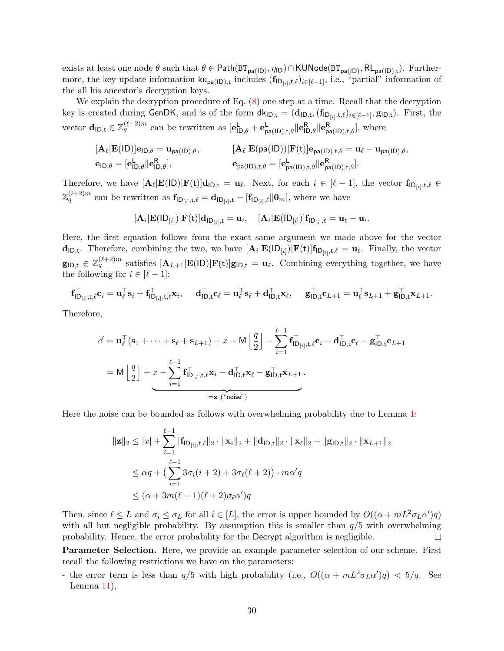exists at least one node  $\theta$  such that  $\theta \in \mathsf{Path}(\mathsf{BT}_{\mathsf{pa}(\mathsf{ID})},\eta_{\mathsf{ID}}) \cap \mathsf{KUNode}(\mathsf{BT}_{\mathsf{pa}(\mathsf{ID})},\mathsf{RL}_{\mathsf{pa}(\mathsf{ID}),\mathsf{t}})$ . Furthermore, the key update information  $ku_{pa(1D),t}$  includes  $(f_{ID_{[i]},t,\ell})_{i\in[\ell-1]},$  i.e., "partial" information of the all his ancestor's decryption keys.

We explain the decryption procedure of Eq.  $(8)$  one step at a time. Recall that the decryption key is created during GenDK, and is of the form  $dk_{ID,t} = (d_{ID,t}, (f_{ID_{[i]},t,\ell})_{i \in [\ell-1]}, g_{ID,t})$ . First, the vector  $\mathbf{d}_{\mathsf{ID},\mathsf{t}} \in \mathbb{Z}_q^{(\ell+2)m}$  can be rewritten as  $[\mathbf{e}_{\mathsf{ID},\theta}^{\mathsf{L}} + \mathbf{e}_{\mathsf{pa}(\mathsf{ID}),\mathsf{t},\theta}^{\mathsf{L}} || \mathbf{e}_{\mathsf{ID},\theta}^{\mathsf{R}} || \mathbf{e}_{\mathsf{pa}(\mathsf{ID}),\mathsf{t},\theta}^{\mathsf{R}}]$ , where

$$
\begin{aligned}[&[\mathbf{A}_\ell|\mathbf{E}(\mathsf{ID})]\mathbf{e}_{\mathsf{ID},\theta}=\mathbf{u}_{\mathsf{pa}(\mathsf{ID}),\theta}, \qquad &[\mathbf{A}_\ell|\mathbf{E}(\mathsf{pa}(\mathsf{ID}))|\mathbf{F}(\mathsf{t})]\mathbf{e}_{\mathsf{pa}(\mathsf{ID}),\mathsf{t},\theta}=\mathbf{u}_\ell-\mathbf{u}_{\mathsf{pa}(\mathsf{ID}),\theta},\\&\mathbf{e}_{\mathsf{ID},\theta}=[\mathbf{e}_{\mathsf{ID},\theta}^\mathsf{L}||\mathbf{e}_{\mathsf{Pa}(\mathsf{ID}),\mathsf{t},\theta}^\mathsf{R}]=[\mathbf{e}_{\mathsf{pa}(\mathsf{ID}),\mathsf{t},\theta}^\mathsf{L}||\mathbf{e}_{\mathsf{pa}(\mathsf{ID}),\mathsf{t},\theta}^\mathsf{R}].\end{aligned}
$$

Therefore, we have  $[\mathbf{A}_{\ell}|\mathbf{E}(\mathsf{ID})|\mathbf{F}(\mathsf{t})]\mathbf{d}_{\mathsf{ID},\mathsf{t}} = \mathbf{u}_{\ell}$ . Next, for each  $i \in [\ell-1]$ , the vector  $\mathbf{f}_{\mathsf{ID}_{[i]},\mathsf{t},\ell} \in$  $\mathbb{Z}_q^{(i+2)m}$  can be rewritten as  $\mathbf{f}_{|\mathsf{D}_{[i]},\mathsf{t},\ell} = \mathbf{d}_{|\mathsf{D}_{[i]},\mathsf{t}} + [\mathbf{f}_{|\mathsf{D}_{[i]},\ell}||\mathbf{0}_m]$ , where we have

$$
[\mathbf{A}_i|\mathbf{E}(\mathsf{ID}_{[i]})|\mathbf{F}(\mathsf{t})]\mathbf{d}_{\mathsf{ID}_{[i]},\mathsf{t}} = \mathbf{u}_i, \quad [\mathbf{A}_i|\mathbf{E}(\mathsf{ID}_{[i]})]\mathbf{f}_{\mathsf{ID}_{[i]},\ell} = \mathbf{u}_\ell - \mathbf{u}_i.
$$

Here, the first equation follows from the exact same argument we made above for the vector  $d_{\text{ID},t}$ . Therefore, combining the two, we have  $[\mathbf{A}_i | \mathbf{E}(\text{ID}_{[i]}) | \mathbf{F}(t)] \mathbf{f}_{\text{ID}_{[i]},t,\ell} = \mathbf{u}_{\ell}$ . Finally, the vector  $\mathbf{g}_{\mathsf{ID},t} \in \mathbb{Z}_q^{(\ell+2)m}$  satisfies  $[\mathbf{A}_{L+1}|\mathbf{E}(\mathsf{ID})|\mathbf{F}(t)]\mathbf{g}_{\mathsf{ID},t} = \mathbf{u}_{\ell}$ . Combining everything together, we have the following for  $i \in [\ell - 1]$ :

$$
\mathbf{f}_{\mathsf{ID}_{[i]},\mathsf{t},\ell}^{\top}\mathbf{c}_i=\mathbf{u}_{\ell}^{\top}\mathbf{s}_i+\mathbf{f}_{\mathsf{ID}_{[i]},\mathsf{t},\ell}^{\top}\mathbf{x}_i,\quad \ \mathbf{d}_{\mathsf{ID},\mathsf{t}}^{\top}\mathbf{c}_{\ell}=\mathbf{u}_{\ell}^{\top}\mathbf{s}_{\ell}+\mathbf{d}_{\mathsf{ID},\mathsf{t}}^{\top}\mathbf{x}_{\ell},\quad \ \mathbf{g}_{\mathsf{ID},\mathsf{t}}^{\top}\mathbf{c}_{L+1}=\mathbf{u}_{\ell}^{\top}\mathbf{s}_{L+1}+\mathbf{g}_{\mathsf{ID},\mathsf{t}}^{\top}\mathbf{x}_{L+1}.
$$

Therefore,

$$
c' = \mathbf{u}_{\ell}^{\top}(\mathbf{s}_{1} + \dots + \mathbf{s}_{\ell} + \mathbf{s}_{L+1}) + x + M \left\lfloor \frac{q}{2} \right\rfloor - \sum_{i=1}^{\ell-1} \mathbf{f}_{\mathsf{ID}_{[i]},\mathsf{t},\ell}^{\top} \mathbf{c}_{i} - \mathbf{d}_{\mathsf{ID},\mathsf{t}}^{\top} \mathbf{c}_{\ell} - \mathbf{g}_{\mathsf{ID},\mathsf{t}}^{\top} \mathbf{c}_{L+1}
$$

$$
= M \left\lfloor \frac{q}{2} \right\rfloor + x - \sum_{i=1}^{\ell-1} \mathbf{f}_{\mathsf{ID}_{[i]},\mathsf{t},\ell}^{\top} \mathbf{x}_{i} - \mathbf{d}_{\mathsf{ID},\mathsf{t}}^{\top} \mathbf{x}_{\ell} - \mathbf{g}_{\mathsf{ID},\mathsf{t}}^{\top} \mathbf{x}_{L+1}.
$$

$$
= x \xrightarrow{\text{``noise''}}
$$

Here the noise can be bounded as follows with overwhelming probability due to Lemma [1:](#page-13-0)

$$
\|\mathbf{z}\|_2 \le |x| + \sum_{i=1}^{\ell-1} \|\mathbf{f}_{\mathsf{ID}_{[i]},\mathsf{t},\ell}\|_2 \cdot \|\mathbf{x}_i\|_2 + \|\mathbf{d}_{\mathsf{ID},\mathsf{t}}\|_2 \cdot \|\mathbf{x}_\ell\|_2 + \|\mathbf{g}_{\mathsf{ID},\mathsf{t}}\|_2 \cdot \|\mathbf{x}_{L+1}\|_2
$$
  
\n
$$
\le \alpha q + \left(\sum_{i=1}^{\ell-1} 3\sigma_i(i+2) + 3\sigma_\ell(\ell+2)\right) \cdot m\alpha' q
$$
  
\n
$$
\le (\alpha + 3m(\ell+1)(\ell+2)\sigma_\ell\alpha')q
$$

Then, since  $\ell \leq L$  and  $\sigma_i \leq \sigma_L$  for all  $i \in [L]$ , the error is upper bounded by  $O((\alpha + mL^2 \sigma_L \alpha')q)$ with all but negligible probability. By assumption this is smaller than *q/*5 with overwhelming probability. Hence, the error probability for the Decrypt algorithm is negligible.  $\Box$ 

**Parameter Selection.** Here, we provide an example parameter selection of our scheme. First recall the following restrictions we have on the parameters:

- the error term is less than  $q/5$  with high probability (i.e.,  $O((\alpha + mL^2 \sigma_L \alpha')q) < 5/q$ . See Lemma [11\)](#page-28-0),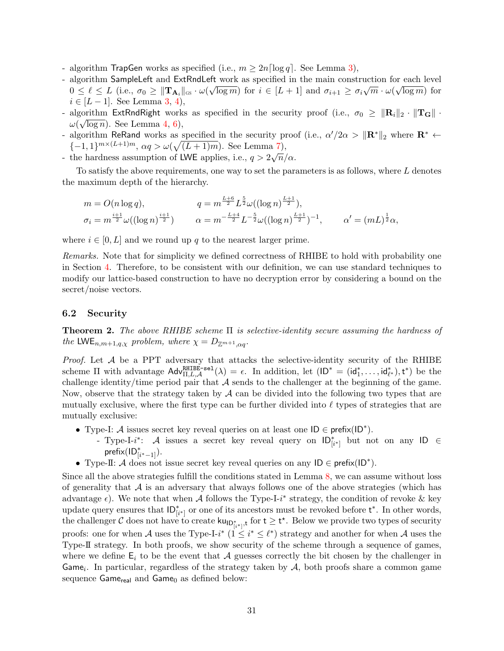- algorithm TrapGen works as specified (i.e.,  $m \geq 2n \lceil \log q \rceil$ . See Lemma [3\)](#page-13-1),
- algorithm SampleLeft and ExtRndLeft work as specified in the main construction for each level  $0 \le \ell \le L$  (i.e.,  $\sigma_0 \ge ||\mathbf{T}_{\mathbf{A}_i}||_{\text{cs}} \cdot \omega(\sqrt{\log m})$  for  $i \in [L+1]$  and  $\sigma_{i+1} \ge \sigma_i\sqrt{m} \cdot \omega(\sqrt{\log m})$  for *i* ∈ [*L* − 1]. See Lemma [3,](#page-13-1) [4\)](#page-13-2),
- algorithm ExtRndRight works as specified in the security proof (i.e.,  $\sigma_0 \geq ||\mathbf{R}_i||_2 \cdot ||\mathbf{T_G}||$  ·  $\omega(\sqrt{\log n})$ . See Lemma [4,](#page-13-2) [6\)](#page-14-2),
- $\sim$  algorithm ReRand works as specified in the security proof (i.e.,  $\alpha'/2\alpha > \|\mathbf{R}^*\|_2$  where  $\mathbf{R}^* \leftarrow$  $\frac{(-1,1)^m \times (L+1)^m}{(L+1)^m}$ ,  $\alpha q > \omega(\sqrt{(L+1)m})$ . See Lemma [7](#page-14-3)),
- the hardness assumption of LWE applies, i.e.,  $q > 2\sqrt{n}/\alpha$ .

To satisfy the above requirements, one way to set the parameters is as follows, where *L* denotes the maximum depth of the hierarchy.

$$
m = O(n \log q), \qquad q = m^{\frac{L+6}{2}} L^{\frac{5}{2}} \omega((\log n)^{\frac{L+1}{2}}),
$$
  

$$
\sigma_i = m^{\frac{i+1}{2}} \omega((\log n)^{\frac{i+1}{2}}) \qquad \alpha = m^{-\frac{L+4}{2}} L^{-\frac{5}{2}} \omega((\log n)^{\frac{L+1}{2}})^{-1}, \qquad \alpha' = (mL)^{\frac{1}{2}} \alpha,
$$

where  $i \in [0, L]$  and we round up q to the nearest larger prime.

*Remarks.* Note that for simplicity we defined correctness of RHIBE to hold with probability one in Section [4.](#page-14-0) Therefore, to be consistent with our definition, we can use standard techniques to modify our lattice-based construction to have no decryption error by considering a bound on the secret/noise vectors.

#### <span id="page-30-1"></span>**6.2 Security**

<span id="page-30-0"></span>**Theorem 2.** *The above RHIBE scheme* Π *is selective-identity secure assuming the hardness of the* LWE<sub>n,m+1,q, $\chi$  *problem, where*  $\chi = D_{\mathbb{Z}^{m+1},\alpha q}$ *.*</sub>

*Proof.* Let A be a PPT adversary that attacks the selective-identity security of the RHIBE scheme  $\Pi$  with advantage  $\mathsf{Adv}_{\Pi,L,\mathcal{A}}^{\text{RHIBE-seel}}(\lambda) = \epsilon$ . In addition, let  $(\mathsf{ID}^* = (\mathsf{id}_1^*, \ldots, \mathsf{id}_{\ell^*}^*), \mathsf{t}^*)$  be the challenge identity/time period pair that *A* sends to the challenger at the beginning of the game. Now, observe that the strategy taken by *A* can be divided into the following two types that are mutually exclusive, where the first type can be further divided into *ℓ* types of strategies that are mutually exclusive:

- *•* Type-I: *A* issues secret key reveal queries on at least one ID *∈* prefix(ID*<sup>∗</sup>* ).
	- Type-I-*i ∗* : *A* issues a secret key reveal query on ID*<sup>∗</sup>* [*i ∗*] but not on any ID *∈* prefix(ID*<sup>∗</sup>* [*i <sup>∗</sup>−*1]).
- *•* Type-II: *A* does not issue secret key reveal queries on any ID *∈* prefix(ID*<sup>∗</sup>* ).

Since all the above strategies fulfill the conditions stated in Lemma [8,](#page-19-0) we can assume without loss of generality that *A* is an adversary that always follows one of the above strategies (which has advantage  $\epsilon$ ). We note that when *A* follows the Type-I-*i*<sup>\*</sup> strategy, the condition of revoke & key update query ensures that ID*<sup>∗</sup>* [*i ∗*] or one of its ancestors must be revoked before t *∗* . In other words, the challenger  $C$  does not have to create  $\kappa u_{\mid D^*_{[i^*]}, \mathbf{t}}$  for  $\mathbf{t} \geq \mathbf{t}^*$ . Below we provide two types of security proofs: one for when *A* uses the Type-I-*i*<sup>\*</sup> ( $1 \leq i^* \leq \ell^*$ ) strategy and another for when *A* uses the Type-II strategy. In both proofs, we show security of the scheme through a sequence of games, where we define  $E_i$  to be the event that A guesses correctly the bit chosen by the challenger in Game<sub>i</sub>. In particular, regardless of the strategy taken by  $A$ , both proofs share a common game sequence  $Game_{real}$  and  $Game_{0}$  as defined below: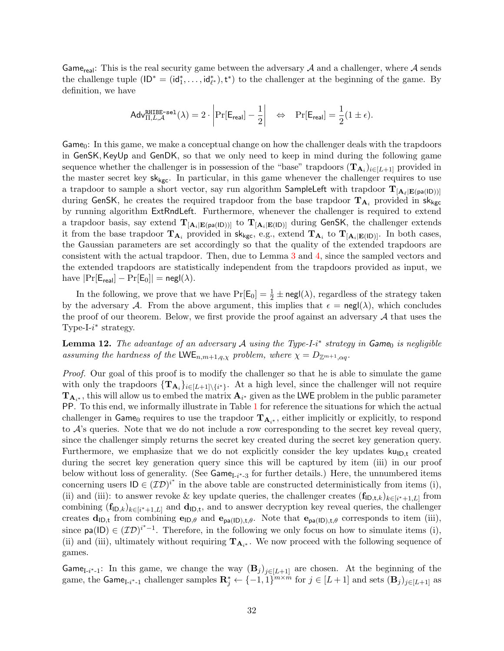Game<sub>real</sub>: This is the real security game between the adversary  $A$  and a challenger, where  $A$  sends the challenge tuple  $(\text{ID}^* = (\text{id}^*_1, \ldots, \text{id}^*_{\ell^*}), t^*)$  to the challenger at the beginning of the game. By definition, we have

$$
\mathsf{Adv}_{\Pi,L,\mathcal{A}}^{\mathsf{RHIBE-sel}}(\lambda) = 2 \cdot \left| \Pr[\mathsf{E}_{\mathsf{real}}] - \frac{1}{2} \right| \quad \Leftrightarrow \quad \Pr[\mathsf{E}_{\mathsf{real}}] = \frac{1}{2} (1 \pm \epsilon).
$$

Game<sub>0</sub>: In this game, we make a conceptual change on how the challenger deals with the trapdoors in GenSK*,*KeyUp and GenDK, so that we only need to keep in mind during the following game sequence whether the challenger is in possession of the "base" trapdoors  $({\bf T}_{\mathbf{A}_i})_{i \in [L+1]}$  provided in the master secret key  $sk_{\text{kgc}}$ . In particular, in this game whenever the challenger requires to use a trapdoor to sample a short vector, say run algorithm SampleLeft with trapdoor  $T_{[A_\ell]E(p_a([D))]}$ during GenSK, he creates the required trapdoor from the base trapdoor  $\mathbf{T}_{\mathbf{A}_i}$  provided in  $\mathsf{sk}_{\mathsf{kc}}$ by running algorithm ExtRndLeft. Furthermore, whenever the challenger is required to extend a trapdoor basis, say extend  $T_{[A_i]E(pa(ID))]}$  to  $T_{[A_i]E(ID)]}$  during GenSK, the challenger extends it from the base trapdoor  $\mathbf{T}_{\mathbf{A}_i}$  provided in sk<sub>kgc</sub>, e.g., extend  $\mathbf{T}_{\mathbf{A}_i}$  to  $\mathbf{T}_{[\mathbf{A}_i|\mathbf{E}(\mathsf{ID})]}$ . In both cases, the Gaussian parameters are set accordingly so that the quality of the extended trapdoors are consistent with the actual trapdoor. Then, due to Lemma [3](#page-13-1) and [4,](#page-13-2) since the sampled vectors and the extended trapdoors are statistically independent from the trapdoors provided as input, we  $\text{have } |\Pr[\mathsf{E}_{\mathsf{real}}| - \Pr[\mathsf{E}_0]| = \mathsf{negl}(\lambda).$ 

In the following, we prove that we have  $Pr[E_0] = \frac{1}{2} \pm \text{negl}(\lambda)$ , regardless of the strategy taken by the adversary A. From the above argument, this implies that  $\epsilon = \text{negl}(\lambda)$ , which concludes the proof of our theorem. Below, we first provide the proof against an adversary *A* that uses the Type-I-*i ∗* strategy.

<span id="page-31-0"></span>**Lemma 12.** *The advantage of an adversary*  $A$  *using the Type-I-i*<sup>\*</sup> *strategy in*  $\mathsf{Game}_0$  *is negligible assuming the hardness of the* LWE<sub>*n,m*+1*,q,χ problem, where*  $\chi = D_{\mathbb{Z}^{m+1},\alpha q}$ *.*</sub>

*Proof.* Our goal of this proof is to modify the challenger so that he is able to simulate the game with only the trapdoors  ${\bf T}_{A_i}$ <sub>*i*</sub> $\in$ [*L*+1] $\{i^*\}$ . At a high level, since the challenger will not require  $\mathbf{T}_{\mathbf{A}_{i^*}}$ , this will allow us to embed the matrix  $\mathbf{A}_{i^*}$  given as the LWE problem in the public parameter PP. To this end, we informally illustrate in Table [1](#page-32-0) for reference the situations for which the actual challenger in Game<sub>0</sub> requires to use the trapdoor  $\mathbf{T}_{\mathbf{A}_{i^*}}$ , either implicitly or explicitly, to respond to *A*'s queries. Note that we do not include a row corresponding to the secret key reveal query, since the challenger simply returns the secret key created during the secret key generation query. Furthermore, we emphasize that we do not explicitly consider the key updates  $ku<sub>1D,t</sub>$  created during the secret key generation query since this will be captured by item (iii) in our proof below without loss of generality. (See Game<sub>Li<sup>\*</sup>-3</sub> for further details.) Here, the unnumbered items concerning users  $ID \in (ID)^{i^*}$  in the above table are constructed deterministically from items (i), (ii) and (iii): to answer revoke & key update queries, the challenger creates  $(f_{\text{ID},t,k})_{k \in [i^*+1,L]}$  from combining  $(f_{\text{ID},k})_{k\in[i^*+1,L]}$  and  $d_{\text{ID},t}$ , and to answer decryption key reveal queries, the challenger creates  $d_{\text{ID},t}$  from combining  $e_{\text{ID},\theta}$  and  $e_{\text{pa}(\text{ID}),t,\theta}$ . Note that  $e_{\text{pa}(\text{ID}),t,\theta}$  corresponds to item (iii), since  $\mathsf{pa}(\mathsf{ID}) \in (\mathcal{ID})^{i^*-1}$ . Therefore, in the following we only focus on how to simulate items (i), (ii) and (iii), ultimately without requiring  $\mathbf{T}_{\mathbf{A}_{i^*}}$ . We now proceed with the following sequence of games.

Game<sub>I-i<sup>\*</sup>-1</sub>: In this game, we change the way  $(\mathbf{B}_j)_{j\in[L+1]}$  are chosen. At the beginning of the game, the Game<sub>Li\*-1</sub> challenger samples  $\mathbf{R}_j^* \leftarrow \{-1,1\}^{m \times m}$  for  $j \in [L+1]$  and sets  $(\mathbf{B}_j)_{j \in [L+1]}$  as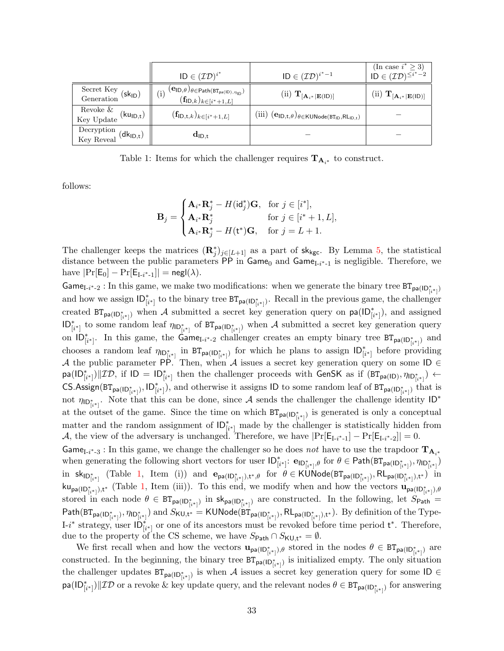<span id="page-32-0"></span>

|                                                               | ID $\in (\mathcal{ID})^{i^*}$                                                                                                                                                                       | ID $\in (\mathcal{ID})^{i^*-1}$                                                                                                                     | (In case $i^* \ge 3$ )<br>ID $\in (\mathcal{ID})^{\le i^*-2}$              |
|---------------------------------------------------------------|-----------------------------------------------------------------------------------------------------------------------------------------------------------------------------------------------------|-----------------------------------------------------------------------------------------------------------------------------------------------------|----------------------------------------------------------------------------|
| Secret Key ( $skID$ )<br>Generation ( $skID$ )                | $(\mathbf{e}_{\mathsf{ID}, \theta})_{\theta \in \mathsf{Path}(\mathtt{BT}_{\mathsf{pa}(\mathsf{ID}), \eta_{\mathsf{ID}})}} \ (\mathbf{f}_{\mathsf{ID}, k})_{k \in [i^*+1, L]}$<br>$\left( i\right)$ | $(i)$ $\mathbf{T}_{\left[\mathbf{A}_{i^*}\middle \mathbf{E}\left(\mathsf{ID}\right)\right]}$                                                        | $(i)$ $\mathbf{T}_{\left[\mathbf{A}_{i^*} \mathbf{E}(\mathsf{ID})\right]}$ |
| Revoke $\&$ $_{\rm Key}$ $_{\rm Update}$ $_{\rm (ku_{ID,t})}$ | $({\bf f}_{\mathsf{ID}, {\sf t}, k})_{k \in [i^*+1, L]}$                                                                                                                                            | $(iii)$ $(\mathbf{e}_{\mathsf{ID},\mathsf{t},\theta})_{\theta \in \mathsf{KUNode}(\mathsf{BT}_{\mathsf{ID}},\mathsf{RL}_{\mathsf{ID},\mathsf{t}})}$ |                                                                            |
| Decryption $(dk_{ID,t})$<br>Key Reveal $(dk_{ID,t})$          | $\mathbf{d}_{\mathsf{ID},\mathsf{t}}$                                                                                                                                                               |                                                                                                                                                     |                                                                            |

Table 1: Items for which the challenger requires  $\mathbf{T}_{\mathbf{A}_{i^*}}$  to construct.

follows:

$$
\mathbf{B}_{j} = \begin{cases} \mathbf{A}_{i^{*}} \mathbf{R}_{j}^{*} - H(\mathrm{id}_{j}^{*}) \mathbf{G}, & \text{for } j \in [i^{*}], \\ \mathbf{A}_{i^{*}} \mathbf{R}_{j}^{*} & \text{for } j \in [i^{*} + 1, L], \\ \mathbf{A}_{i^{*}} \mathbf{R}_{j}^{*} - H(\mathrm{t}^{*}) \mathbf{G}, & \text{for } j = L + 1. \end{cases}
$$

The challenger keeps the matrices  $(\mathbf{R}^*_j)_{j\in[L+1]}$  as a part of  $sk_{\text{kgc}}$ . By Lemma [5,](#page-14-4) the statistical distance between the public parameters PP in Game<sub>0</sub> and Game<sub>I-*i*<sup>\*</sup>-1</sub> is negligible. Therefore, we  $\text{have } |\Pr[\mathsf{E}_0] - \Pr[\mathsf{E}_{\mathrm{I-}i^*\text{-}1}]| = \mathsf{negl}(\lambda).$ 

Game<sub>I-*i*<sup>\*</sup>-2</sub>: In this game, we make two modifications: when we generate the binary tree  $BT_{pa(ID_{[i^*]}^*)}$ and how we assign  $ID^*_{[i^*]}$  to the binary tree  $BT_{pa(ID^*_{[i^*]})}$ . Recall in the previous game, the challenger created  $BT_{pa(ID^*_{[i^*]})}$  when *A* submitted a secret key generation query on  $pa(ID^*_{[i^*]})$ , and assigned  $\text{ID}_{[i^*]}^*$  to some random leaf  $\eta_{\text{ID}_{[i^*]}^*}$  of  $\text{BT}_{\text{pa}(\text{ID}_{[i^*]}^*)}$  when *A* submitted a secret key generation query on  $ID^*_{[i^*]}$ . In this game, the Game<sub>I-*i*<sup>\*</sup>-2</sub> challenger creates an empty binary tree  $BT_{pa(ID^*_{[i^*]})}$  and chooses a random leaf  $\eta_{\mathsf{ID}^*_{[i^*]}}$  in  $\text{BT}_{\mathsf{pa}(\mathsf{ID}^*_{[i^*]})}$  for which he plans to assign  $\mathsf{ID}^*_{[i^*]}$  before providing *A* the public parameter PP. Then, when *A* issues a secret key generation query on some ID ∈  $p_{\mathbf{a}}(I\mathsf{D}_{[i^*]}^*)\parallel$ *ID*, if  $I\mathsf{D} = I\mathsf{D}_{[i^*]}^*$  then the challenger proceeds with GenSK as if  $(BT_{pa(I\mathsf{D})}, \eta_{I\mathsf{D}_{[i^*]}^*}) \leftarrow$  $\text{CS.Assign(BT}_{pa(ID^*_{[i^*]})}, ID^*_{[i^*]}),$  and otherwise it assigns ID to some random leaf of  $\text{BT}_{pa(ID^*_{[i^*]})}$  that is not  $\eta_{\mathsf{ID}^*_{[i^*]}}$ . Note that this can be done, since *A* sends the challenger the challenge identity  $\mathsf{ID}^*$ at the outset of the game. Since the time on which  $BT_{pa(ID_{[i^*]}^*)}$  is generated is only a conceptual matter and the random assignment of ID*<sup>∗</sup>* [*i <sup>∗</sup>*] made by the challenger is statistically hidden from *A*, the view of the adversary is unchanged. Therefore, we have  $|Pr[E_{i,i^*-1}] - Pr[E_{i^*-2}]| = 0$ . Game<sub>I-i<sup>\*</sup>-3</sub> : In this game, we change the challenger so he does *not* have to use the trapdoor  $\mathbf{T}_{\mathbf{A}_{i^*}}$ when generating the following short vectors for user  $ID_{[i^*]}^*$ :  $e_{ID_{[i^*]}^*,\theta}$  for  $\theta \in \text{Path}(BT_{pa(ID_{[i^*]}^*)}, \eta_{ID_{[i^*]}^*})$  $\text{in}\ \ \mathsf{sk}_{\mathsf{ID}^*_{[i^*]}} \ \ (\text{Table 1}, \ \ \text{Item}\ \ (\text{i}))\ \ \text{and}\ \ \mathbf{e}_{\mathsf{pa}(\mathsf{ID}^*_{[i^*]}), \mathsf{t}^*, \theta} \ \ \text{for}\ \ \theta\in\mathsf{KUNode}(\text{BT}_{\mathsf{pa}(\mathsf{ID}^*_{[i^*]}), \mathsf{RL}_{\mathsf{pa}(\mathsf{ID}^*_{[i^*]}), \mathsf{t}^*})\ \ \text{in}\ \ \mathsf{M}$  $\mathsf{ku}_{\mathsf{pa}(\mathsf{ID}_{\{i^*\}}^*)},\mathsf{t}^*$  (Table [1](#page-32-0), Item (iii)). To this end, we modify when and how the vectors  $\mathbf{u}_{\mathsf{pa}(\mathsf{ID}_{\{i^*\}}^*)},\theta$ stored in each node  $\theta \in BT_{pa(ID_{[i^*]}^*)}$  in  $sk_{pa(ID_{[i^*]}^*)}$  are constructed. In the following, let  $S_{Path}$  =  ${\sf Path}({\sf BT}_{\sf pa}({\sf ID}^*_{[i^*]}),\eta_{{\sf ID}^*_{[i^*]}}) \text{ and } S_{{\sf KU},\mathsf{t}^*} = {\sf KUNode}({\sf BT}_{\sf pa}({\sf ID}^*_{[i^*]}), {\sf RL}_{\sf pa}({\sf ID}^*_{[i^*]}),\mathsf{t}^*). \ \text{By definition of the Type-}$ I-*i ∗* strategy, user ID*<sup>∗</sup>* [*i ∗*] or one of its ancestors must be revoked before time period t *∗* . Therefore, due to the property of the CS scheme, we have  $S_{\text{Path}} \cap S_{\text{KU,t}}^* = \emptyset$ .

We first recall when and how the vectors  $\mathbf{u}_{pa(ID_{[i^*]}^*),\theta}$  stored in the nodes  $\theta \in BT_{pa(ID_{[i^*]}^*)}$  are constructed. In the beginning, the binary tree  $BT_{pa(ID_{[i^*]}^*)}$  is initialized empty. The only situation the challenger updates  $BT_{pa(ID^*_{[i^*]})}$  is when *A* issues a secret key generation query for some ID  $\in$  $p_{\mathbf{a}}(I\mathsf{D}_{[i^*]}^*)$  *||ID* or a revoke & key update query, and the relevant nodes  $\theta \in \texttt{BT}_{p_{\mathbf{a}}(I\mathsf{D}_{[i^*]}^*)}$  for answering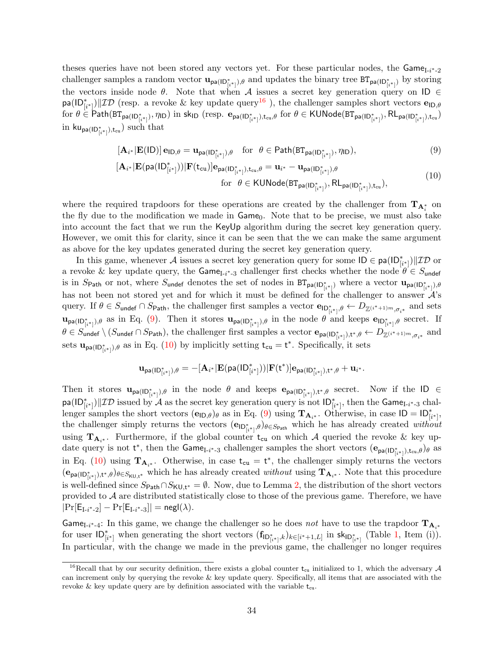theses queries have not been stored any vectors yet. For these particular nodes, the Game<sub>Li<sup>\*</sup>-2</sub> challenger samples a random vector  $\mathbf{u}_{pa(ID_{[i^*]}^*)},$ *e* and updates the binary tree  $BT_{pa(ID_{[i^*]}^*)}$  by storing the vectors inside node  $\theta$ . Note that when  $\mathcal A$  issues a secret key generation query on ID  $\in$ pa(ID<sub><sup>†</sup><sub>*i*</sub><sup>∗</sup>)<sup>*∥ID*</sup> (resp. a revoke & key update query<sup>[16](#page-33-0)</sup>), the challenger samples short vectors  $e$ <sub>ID,</sub> $\theta$ </sub>  ${\rm for\,\,}\theta\in{\sf Path}({\sf BT}_{{\sf pa}({\sf ID}^*_{[i^*]})},\eta$ ı ${\sf D})\;{\rm in\,\,sk}_{\sf ID}\;({\rm resp.\,\,}{\bf e}_{{\sf pa}({\sf ID}^*_{[i^*]}),{\bf t}_{\rm cu},\theta}\;{\rm for\,\,}\theta\in{\sf KUNode}({\sf BT}_{{\sf pa}({\sf ID}^*_{[i^*]})}, {\sf RL}_{{\sf pa}({\sf ID}^*_{[i^*]}),{\bf t}_{\rm cu}})$ in kupa(ID*<sup>∗</sup>* [*i∗*] )*,*tcu ) such that

<span id="page-33-2"></span><span id="page-33-1"></span>
$$
[\mathbf{A}_{i^*}|\mathbf{E}(\mathsf{ID})] \mathbf{e}_{\mathsf{ID},\theta} = \mathbf{u}_{\mathsf{pa}(\mathsf{ID}^*_{[i^*]}),\theta} \quad \text{for} \ \theta \in \mathsf{Path}(\mathsf{BT}_{\mathsf{pa}(\mathsf{ID}^*_{[i^*]})},\eta_{\mathsf{ID}}),\tag{9}
$$

$$
[\mathbf{A}_{i^*}|\mathbf{E}(\mathsf{pa}(\mathsf{ID}_{[i^*]}^*))|\mathbf{F}(\mathsf{t}_{\text{cu}})]\mathbf{e}_{\mathsf{pa}(\mathsf{ID}_{[i^*]}^*),\mathsf{t}_{\text{cu}},\theta} = \mathbf{u}_{i^*} - \mathbf{u}_{\mathsf{pa}(\mathsf{ID}_{[i^*]}^*),\theta}
$$
  
for  $\theta \in \mathsf{KUNode}(\mathsf{BT}_{\mathsf{pa}(\mathsf{ID}_{[i^*]}^*)}, \mathsf{RL}_{\mathsf{pa}(\mathsf{ID}_{[i^*]}^*),\mathsf{t}_{\text{cu}}}),$  (10)

where the required trapdoors for these operations are created by the challenger from  $\mathbf{T}_{\mathbf{A}^*_{i}}$  on the fly due to the modification we made in Game<sub>0</sub>. Note that to be precise, we must also take into account the fact that we run the KeyUp algorithm during the secret key generation query. However, we omit this for clarity, since it can be seen that the we can make the same argument as above for the key updates generated during the secret key generation query.

In this game, whenever *A* issues a secret key generation query for some  $ID \in pa(ID_{[i^*]}^*)||\mathcal{ID}$  or a revoke & key update query, the  $\textsf{Game}_{I-i^*-3}$  challenger first checks whether the node  $\theta \in S_{\textsf{under}}$ is in  $S_{\text{Path}}$  or not, where  $S_{\text{under}}$  denotes the set of nodes in  $BT_{\text{pa}(\text{ID}_{[i^*]}^*)}$  where a vector  $\mathbf{u}_{\text{pa}(\text{ID}_{[i^*]}^*)}$ , $\theta$ has not been not stored yet and for which it must be defined for the challenger to answer *A*'s query. If  $\theta \in S_{\text{under}} \cap S_{\text{Path}}$ , the challenger first samples a vector  $\mathbf{e}_{\textsf{ID}_{[i^*]}^*,\theta} \leftarrow D_{\mathbb{Z}^{(i^*+1)m},\sigma_{i^*}}$  and sets  $\mathbf{u}_{\mathsf{pa}(\mathsf{ID}^*_{[i^*]}),\theta}$  as in Eq. ([9\)](#page-33-1). Then it stores  $\mathbf{u}_{\mathsf{pa}(\mathsf{ID}^*_{[i^*]}),\theta}$  in the node  $\theta$  and keeps  $\mathbf{e}_{\mathsf{ID}^*_{[i^*]}},\theta$  secret. If  $\theta\in S$ undef  $\setminus (S$ undef  $\cap$   $S$ Path), the challenger first samples a vector  $\mathbf{e}_{\mathsf{pa}(\mathsf{ID}^*_{[i^*]}),\mathsf{t}^*,\theta} \leftarrow D_{\mathbb{Z}^{(i^*+1)m},\sigma_{i^*}}$  and sets  $\mathbf{u}_{pa(ID_{[i^*]}^*),\theta}$  as in Eq. ([10\)](#page-33-2) by implicitly setting  $t_{cu} = t^*$ . Specifically, it sets

$$
\mathbf{u}_{\mathsf{pa}(\mathsf{ID}^*_{[i^*])},\theta} = -[\mathbf{A}_{i^*}|\mathbf{E}(\mathsf{pa}(\mathsf{ID}^*_{[i^*]}))|\mathbf{F}(\mathsf{t}^*)]\mathbf{e}_{\mathsf{pa}(\mathsf{ID}^*_{[i^*]}),\mathsf{t}^*,\theta} + \mathbf{u}_{i^*}.
$$

Then it stores  $\mathbf{u}_{pa(ID_{[i^*]}^*)}, \theta$  in the node  $\theta$  and keeps  $\mathbf{e}_{pa(ID_{[i^*]}^*)}, t^*, \theta$  secret. Now if the ID  $\in$  $p_a(\text{ID}^*_{[i^*]}) \|\mathcal{ID}$  issued by  $\mathcal A$  as the secret key generation query is not  $\text{ID}^*_{[i^*]}$ , then the Game<sub>I-*i*<sup>\*</sup>-3</sub> challenger samples the short vectors  $(e_{\text{ID},\theta})_\theta$  as in Eq. [\(9\)](#page-33-1) using  $\mathbf{T}_{\mathbf{A}_{i^*}}$ . Otherwise, in case  $\mathsf{ID} = \mathsf{ID}^*_{[i^*]}$ , the challenger simply returns the vectors  $(e_{ID_{[i^*]}^*,\theta})_{\theta \in S_{Path}}$  which he has already created *without* using  $\mathbf{T}_{\mathbf{A}_{i^*}}$ . Furthermore, if the global counter  $t_{cu}$  on which A queried the revoke & key update query is not  $t^*$ , then the Game<sub>I-*i*<sup>\*</sup>-3</sub> challenger samples the short vectors  $(e_{pa(ID_{[i^*]}^*),te_u,\theta})_{\theta}$  as in Eq. [\(10](#page-33-2)) using  $\mathbf{T}_{\mathbf{A}_{i^*}}$ . Otherwise, in case  $t_{cu} = t^*$ , the challenger simply returns the vectors  $(e_{pa(ID_{[i^*]}^*),t^*,\theta})_{\theta \in S_{KU,t^*}}$  which he has already created *without* using  $\mathbf{T}_{\mathbf{A}_{i^*}}$ . Note that this procedure is well-defined since *S*Path*∩S*KU*,*<sup>t</sup> *<sup>∗</sup>* = *∅*. Now, due to Lemma [2](#page-13-3), the distribution of the short vectors provided to *A* are distributed statistically close to those of the previous game. Therefore, we have  $|Pr[E_{I-i^*-2}] - Pr[E_{I-i^*-3}]| = negl(\lambda)$ *.* 

Game<sub>I-i<sup>\*</sup>-4</sub>: In this game, we change the challenger so he does *not* have to use the trapdoor  $\mathbf{T}_{\mathbf{A}_{i^*}}$ for user  $\mathsf{ID}_{[i^*]}^*$  when generating the short vectors  $(\mathbf{f}_{\mathsf{ID}_{[i^*]}^*,k})_{k\in[i^*+1,L]}$  $(\mathbf{f}_{\mathsf{ID}_{[i^*]}^*,k})_{k\in[i^*+1,L]}$  $(\mathbf{f}_{\mathsf{ID}_{[i^*]}^*,k})_{k\in[i^*+1,L]}$  in  $\mathsf{sk}_{\mathsf{ID}_{[i^*]}^*}$  (Table 1, Item (i)). In particular, with the change we made in the previous game, the challenger no longer requires

<span id="page-33-0"></span><sup>&</sup>lt;sup>16</sup>Recall that by our security definition, there exists a global counter  $t_{cu}$  initialized to 1, which the adversary  $A$ can increment only by querying the revoke & key update query. Specifically, all items that are associated with the revoke & key update query are by definition associated with the variable  $t_{cu}$ .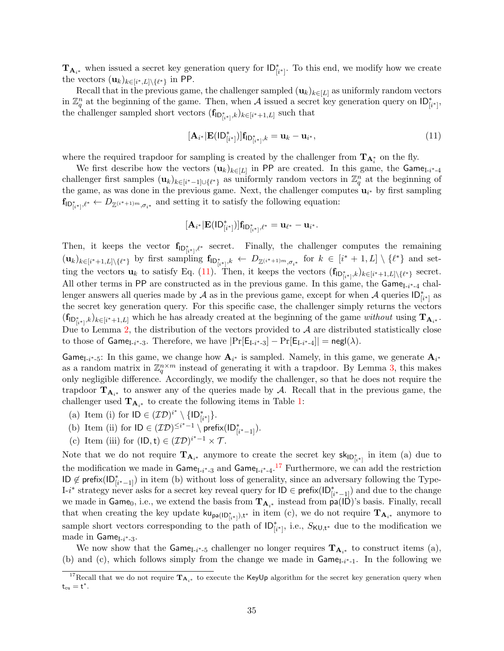$\mathbf{T}_{\mathbf{A}_{i^*}}$  when issued a secret key generation query for  $\mathsf{ID}^*_{[i^*]}$ . To this end, we modify how we create the vectors  $(\mathbf{u}_k)_{k \in [i^*,L] \setminus \{\ell^*\}}$  in PP.

Recall that in the previous game, the challenger sampled  $(\mathbf{u}_k)_{k\in[L]}$  as uniformly random vectors in  $\mathbb{Z}_q^n$  at the beginning of the game. Then, when *A* issued a secret key generation query on  $\text{ID}^*_{[i^*]}$ , the challenger sampled short vectors  $(\mathbf{f}_{\mathsf{ID}^*_{[i^*]},k})_{k\in [i^*+1,L]}$  such that

<span id="page-34-0"></span>
$$
[\mathbf{A}_{i^*}|\mathbf{E}(\mathsf{ID}_{[i^*]}^*)]\mathbf{f}_{\mathsf{ID}_{[i^*]}^*,k} = \mathbf{u}_k - \mathbf{u}_{i^*},
$$
\n(11)

where the required trapdoor for sampling is created by the challenger from  $\mathbf{T}_{\mathbf{A}^*_{i}}$  on the fly.

We first describe how the vectors  $(\mathbf{u}_k)_{k \in [L]}$  in PP are created. In this game, the Game<sub>Li<sup>\*</sup>-4</sub> challenger first samples  $(\mathbf{u}_k)_{k \in [i^*-1] \cup \{\ell^*\}}$  as uniformly random vectors in  $\mathbb{Z}_q^n$  at the beginning of the game, as was done in the previous game. Next, the challenger computes **u***<sup>i</sup> <sup>∗</sup>* by first sampling  $f_{\text{ID}^*_{[i^*]}}, \ell^* \leftarrow D_{\mathbb{Z}^{(i^*+1)m}, \sigma_{i^*}}$  and setting it to satisfy the following equation:

$$
[{\bf A}_{i^*} | {\bf E} ({\sf ID}^*_{[i^*]}) ] {\bf f}_{{\sf ID}^*_{[i^*]} , \ell^*} = {\bf u}_{\ell^*} - {\bf u}_{i^*}.
$$

Then, it keeps the vector  $f_{\|D^*_{[i^*]}, \ell^*}$  secret. Finally, the challenger computes the remaining  $(\mathbf{u}_k)_{k\in[i^*+1,L]\setminus\{\ell^*\}}$  by first sampling  $\mathbf{f}_{\mathsf{ID}_{[i^*]}^*,k} \leftarrow D_{\mathbb{Z}(i^*+1,m,\sigma_{i^*}]}$  for  $k \in [i^*+1,L] \setminus \{\ell^*\}$  and setting the vectors  $\mathbf{u}_k$  to satisfy Eq. ([11\)](#page-34-0). Then, it keeps the vectors  $(\mathbf{f}_{\vert \mathbf{D}_{[i^* \vert}^*,k})_{k \in [i^*+1,L] \setminus \{ \ell^* \}}$  secret. All other terms in PP are constructed as in the previous game. In this game, the Game<sub>I-i<sup>\*</sup>-4</sub> challenger answers all queries made by  $A$  as in the previous game, except for when  $A$  queries  $ID^*_{[i^*]}$  as the secret key generation query. For this specific case, the challenger simply returns the vectors  $(\mathbf{f}_{\mathsf{ID}^*_{[i^*]},k})_{k \in [i^*+1,L]}$  which he has already created at the beginning of the game *without* using  $\mathbf{T}_{\mathbf{A}_{i^*}}$ . Due to Lemma [2](#page-13-3), the distribution of the vectors provided to  $A$  are distributed statistically close to those of  $\mathsf{Game}_{1-i^*-3}$ . Therefore, we have  $|\Pr[\mathsf{E}_{1-i^*-3}] - \Pr[\mathsf{E}_{1-i^*-4}]| = \mathsf{negl}(\lambda)$ .

Game<sub>Li<sup>\*</sup>-5</sub>: In this game, we change how  $A_{i^*}$  is sampled. Namely, in this game, we generate  $A_{i^*}$ as a random matrix in  $\mathbb{Z}_q^{n \times m}$  instead of generating it with a trapdoor. By Lemma [3,](#page-13-1) this makes only negligible difference. Accordingly, we modify the challenger, so that he does not require the trapdoor  $\mathbf{T}_{\mathbf{A}_{i^*}}$  to answer any of the queries made by  $A$ . Recall that in the previous game, the challenger used  $\mathbf{T}_{\mathbf{A}_{i^*}}$  to create the following items in Table [1](#page-32-0):

- (a) Item (i) for  $ID \in (\mathcal{ID})^{i^*} \setminus \{ID^*_{[i^*]} \}.$
- (b) Item (ii) for  $ID \in (\mathcal{ID})^{\leq i^* 1} \setminus \text{prefix}(ID^*_{[i^* 1]})$ .
- (c) Item (iii) for  $(\text{ID}, \text{t}) \in (\mathcal{ID})^{i^* 1} \times \mathcal{T}$ .

Note that we do not require  $T_{A_{i^*}}$  anymore to create the secret key  $sk_{|D^*_{|i^*|}}$  in item (a) due to the modification we made in Game<sub>I-*i*<sup>\*</sup>-3</sub> and Game<sub>I-*i*<sup>\*</sup>-4</sub>.<sup>[17](#page-34-1)</sup> Furthermore, we can add the restriction ID *̸∈* prefix(ID*<sup>∗</sup>* [*i ∗−*1]) in item (b) without loss of generality, since an adversary following the Type-I-*i ∗* strategy never asks for a secret key reveal query for ID *∈* prefix(ID*<sup>∗</sup>* [*i <sup>∗</sup>−*1]) and due to the change we made in Game<sub>0</sub>, i.e., we extend the basis from  $\mathbf{T}_{\mathbf{A}_{i^*}}$  instead from  $\mathbf{p}(\mathbf{D})$ 's basis. Finally, recall that when creating the key update  $ku_{pa(ID_{[i^*]}^*)$ , *t*<sup>\*</sup> in item (c), we do not require  $T_{A_{i^*}}$  anymore to sample short vectors corresponding to the path of  $\mathsf{ID}^*_{[i^*]}$ , i.e.,  $S_{\mathsf{KU},t^*}$  due to the modification we made in **Game**<sub>I-*i*\*-3</sub>.

We now show that the  $\mathsf{Game}_{I-i^*-5}$  challenger no longer requires  $\mathbf{T}_{\mathbf{A}_{i^*}}$  to construct items (a), (b) and (c), which follows simply from the change we made in  $\mathsf{Game}_{I-i^*-1}$ . In the following we

<span id="page-34-1"></span><sup>17</sup>Recall that we do not require **T<sup>A</sup>***i<sup>∗</sup>* to execute the KeyUp algorithm for the secret key generation query when  $t_{\text{cu}}=t^*.$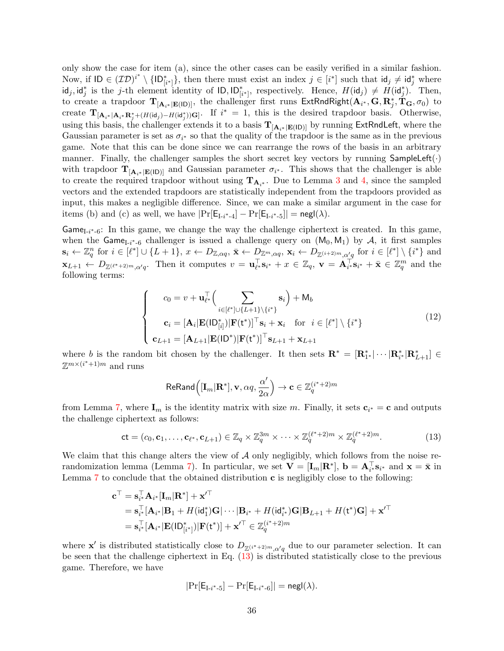only show the case for item (a), since the other cases can be easily verified in a similar fashion. Now, if  $\mathsf{ID} \in (\mathcal{ID})^{i^*} \setminus {\{\mathsf{ID}^*_{[i^*]}\}}$ , then there must exist an index  $j \in [i^*]$  such that  $\mathsf{id}_j \neq \mathsf{id}_j^*$  where  $\mathsf{id}_j, \mathsf{id}_j^*$  is the *j*-th element identity of  $\mathsf{ID}, \mathsf{ID}_{[i^*]}^*$ , respectively. Hence,  $H(\mathsf{id}_j) \neq H(\mathsf{id}_j^*)$ . Then, to create a trapdoor  $T_{[A_{i^*}|E(ID)]}$ , the challenger first runs  $ExtRndRight(A_{i^*}, G, R_j^*, T_G, \sigma_0)$  to create  $\mathbf{T}_{[\mathbf{A}_{i^*}|\mathbf{A}_{i^*}\mathbf{R}_{j}^*+(H(\text{id}_j)-H(\text{id}_j^*))\mathbf{G}]}.$  If  $i^*=1$ , this is the desired trapdoor basis. Otherwise, using this basis, the challenger extends it to a basis  $T_{[A_{i*} | E(D)]}$  by running ExtRndLeft, where the Gaussian parameter is set as  $\sigma_{i^*}$  so that the quality of the trapdoor is the same as in the previous game. Note that this can be done since we can rearrange the rows of the basis in an arbitrary manner. Finally, the challenger samples the short secret key vectors by running  $SampleLeft(\cdot)$ with trapdoor  $\mathbf{T}_{[\mathbf{A}_{i^*}|\mathbf{E}(\mathsf{ID})]}$  and Gaussian parameter  $\sigma_{i^*}$ . This shows that the challenger is able to create the required trapdoor without using  $\mathbf{T}_{\mathbf{A}^*}$ . Due to Lemma [3](#page-13-1) and [4](#page-13-2), since the sampled vectors and the extended trapdoors are statistically independent from the trapdoors provided as input, this makes a negligible difference. Since, we can make a similar argument in the case for items (b) and (c) as well, we have  $|\Pr[\mathsf{E}_{\mathrm{I-}i^*\text{-}4}] - \Pr[\mathsf{E}_{\mathrm{I-}i^*\text{-}5}]| = \mathsf{negl}(\lambda)$ *.* 

Game<sub>I-i<sup>\*</sup>-6</sub>: In this game, we change the way the challenge ciphertext is created. In this game, when the Game<sub>I-i<sup>\*</sup>-6</sup> challenger is issued a challenge query on  $(M_0, M_1)$  by A, it first samples</sub>  $\mathbf{s}_i \leftarrow \mathbb{Z}_q^n$  for  $i \in [\ell^*] \cup \{L+1\}, x \leftarrow D_{\mathbb{Z},\alpha q}, \ \bar{\mathbf{x}} \leftarrow D_{\mathbb{Z}^m,\alpha q}, \ \mathbf{x}_i \leftarrow D_{\mathbb{Z}^{(i+2)m},\alpha' q}$  for  $i \in [\ell^*] \setminus \{i^*\}$  and  $\mathbf{x}_{L+1} \leftarrow D_{\mathbb{Z}(\ell^*+2)m, \alpha'q}$ . Then it computes  $v = \mathbf{u}_{\ell^*}^{\top} \mathbf{s}_{i^*} + x \in \mathbb{Z}_q$ ,  $\mathbf{v} = \mathbf{A}_{i^*}^{\top} \mathbf{s}_{i^*} + \bar{\mathbf{x}} \in \mathbb{Z}_q^m$  and the following terms:

<span id="page-35-1"></span>
$$
\begin{cases}\nc_0 = v + \mathbf{u}_{\ell^*}^\top \Big( \sum_{i \in [\ell^*] \cup \{L+1\} \setminus \{i^*\}} \mathbf{s}_i \Big) + \mathsf{M}_b \\
\mathbf{c}_i = [\mathbf{A}_i] \mathbf{E} (\mathsf{ID}_{[i]}^*) |\mathbf{F}(\mathbf{t}^*)^\top \mathbf{s}_i + \mathbf{x}_i \quad \text{for} \quad i \in [\ell^*] \setminus \{i^*\} \\
\mathbf{c}_{L+1} = [\mathbf{A}_{L+1}] \mathbf{E} (\mathsf{ID}^*) |\mathbf{F}(\mathbf{t}^*)]^\top \mathbf{s}_{L+1} + \mathbf{x}_{L+1}\n\end{cases} (12)
$$

where *b* is the random bit chosen by the challenger. It then sets  $\mathbf{R}^* = [\mathbf{R}^*_{1*} | \cdots | \mathbf{R}^*_{i*} | \mathbf{R}^*_{L+1}] \in$  $\mathbb{Z}^{m \times (i^*+1)m}$  and runs

<span id="page-35-0"></span>
$$
\mathsf{ReRand}\Big([\mathbf{I}_m|\mathbf{R}^*],\mathbf{v},\alpha q,\frac{\alpha'}{2\alpha}\Big)\rightarrow \mathbf{c}\in\mathbb{Z}_q^{(i^*+2)m}
$$

from Lemma [7,](#page-14-3) where  $\mathbf{I}_m$  is the identity matrix with size m. Finally, it sets  $\mathbf{c}_{i^*} = \mathbf{c}$  and outputs the challenge ciphertext as follows:

$$
\mathsf{ct} = (c_0, \mathbf{c}_1, \dots, \mathbf{c}_{\ell^*}, \mathbf{c}_{L+1}) \in \mathbb{Z}_q \times \mathbb{Z}_q^{3m} \times \dots \times \mathbb{Z}_q^{(\ell^*+2)m} \times \mathbb{Z}_q^{(\ell^*+2)m}.\tag{13}
$$

We claim that this change alters the view of *A* only negligibly, which follows from the noise re-randomization lemma (Lemma [7\)](#page-14-3). In particular, we set  $\mathbf{V} = [\mathbf{I}_m | \mathbf{R}^*], \mathbf{b} = \mathbf{A}_{i^*}^{\top} \mathbf{s}_{i^*}$  and  $\mathbf{x} = \bar{\mathbf{x}}$  in Lemma [7](#page-14-3) to conclude that the obtained distribution **c** is negligibly close to the following:

$$
\begin{aligned} \mathbf{c}^{\top} &= \mathbf{s}_{i^*}^{\top} \mathbf{A}_{i^*} [\mathbf{I}_m | \mathbf{R}^*] + \mathbf{x}'^{\top} \\ &= \mathbf{s}_{i^*}^{\top} [\mathbf{A}_{i^*} | \mathbf{B}_1 + H(\mathrm{id}_1^*) \mathbf{G} | \cdots | \mathbf{B}_{i^*} + H(\mathrm{id}_{i^*}^*) \mathbf{G} | \mathbf{B}_{L+1} + H(\mathrm{t}^*) \mathbf{G} ] + \mathbf{x}'^{\top} \\ &= \mathbf{s}_{i^*}^{\top} [\mathbf{A}_{i^*} | \mathbf{E}(\mathrm{ID}_{[i^*]}^*) | \mathbf{F}(\mathrm{t}^*)] + \mathbf{x}'^{\top} \in \mathbb{Z}_q^{(i^*+2)m} \end{aligned}
$$

where  $\mathbf{x}'$  is distributed statistically close to  $D_{\mathbb{Z}^{(i^*+2)m},\alpha'q}$  due to our parameter selection. It can be seen that the challenge ciphertext in Eq. [\(13](#page-35-0)) is distributed statistically close to the previous game. Therefore, we have

$$
|\Pr[\mathsf{E}_{\mathrm{I}-i^*-5}] - \Pr[\mathsf{E}_{\mathrm{I}-i^*-6}]| = \mathsf{negl}(\lambda).
$$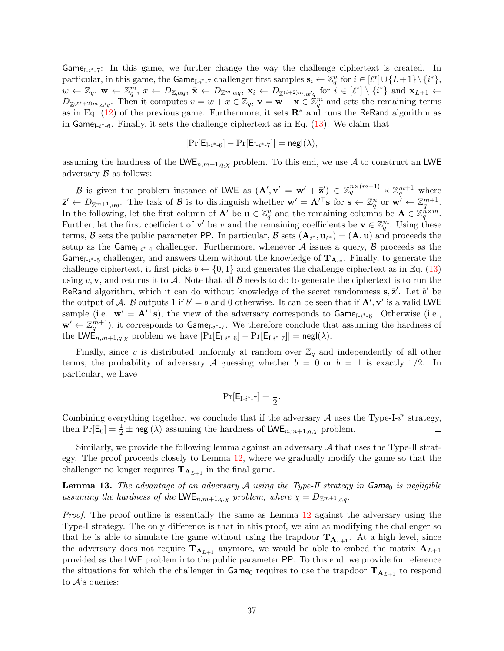Game<sub>Li<sup>\*</sup>-7</sub>: In this game, we further change the way the challenge ciphertext is created. In particular, in this game, the Game<sub>I-i\*-7</sub> challenger first samples  $\mathbf{s}_i \leftarrow \mathbb{Z}_q^n$  for  $i \in [\ell^*] \cup \{L+1\} \setminus \{i^*\},$  $w \leftarrow \mathbb{Z}_q$ ,  $\mathbf{w} \leftarrow \mathbb{Z}_q^m$ ,  $x \leftarrow D_{\mathbb{Z},\alpha q}$ ,  $\bar{\mathbf{x}} \leftarrow D_{\mathbb{Z}^m,\alpha q}$ ,  $\mathbf{x}_i \leftarrow D_{\mathbb{Z}^{(i+2)m},\alpha'q}$  for  $i \in [\ell^*] \setminus \{i^*\}$  and  $\mathbf{x}_{L+1} \leftarrow$  $D_{\mathbb{Z}(\ell^*+2)m,\alpha'q}$ . Then it computes  $v = w + x \in \mathbb{Z}_q$ ,  $\mathbf{v} = \mathbf{w} + \bar{\mathbf{x}} \in \mathbb{Z}_q^m$  and sets the remaining terms as in Eq.  $(12)$  $(12)$  of the previous game. Furthermore, it sets  $\mathbb{R}^*$  and runs the ReRand algorithm as in Game<sub>Li<sup>∗</sup>-6</sub>. Finally, it sets the challenge ciphertext as in Eq. ([13](#page-35-0)). We claim that

$$
|\Pr[\mathsf{E}_{\mathrm{I-}i^*\text{-}6}]-\Pr[\mathsf{E}_{\mathrm{I-}i^*\text{-}7}]|=\mathsf{negl}(\lambda),
$$

assuming the hardness of the LWE<sub>n,m+1</sub>,<sub>q,*x*</sub> problem. To this end, we use A to construct an LWE adversary *B* as follows:

*B* is given the problem instance of LWE as  $(\mathbf{A}', \mathbf{v}' = \mathbf{w}' + \bar{\mathbf{z}}') \in \mathbb{Z}_q^{n \times (m+1)} \times \mathbb{Z}_q^{m+1}$  where  $\bar{\mathbf{z}}' \leftarrow D_{\mathbb{Z}^{m+1},\alpha q}$ . The task of  $\beta$  is to distinguish whether  $\mathbf{w}' = \mathbf{A}'^{\top} \mathbf{s}$  for  $\mathbf{s} \leftarrow \mathbb{Z}_q^n$  or  $\mathbf{w}' \leftarrow \mathbb{Z}_q^{m+1}$ . In the following, let the first column of  $\mathbf{A}'$  be  $\mathbf{u} \in \mathbb{Z}_q^n$  and the remaining columns be  $\mathbf{A} \in \mathbb{Z}_q^{n \times m}$ . Further, let the first coefficient of **v**' be *v* and the remaining coefficients be  $\mathbf{v} \in \mathbb{Z}_q^m$ . Using these terms,  $\beta$  sets the public parameter PP. In particular,  $\beta$  sets  $(\mathbf{A}_{i^*}, \mathbf{u}_{\ell^*}) = (\mathbf{A}, \mathbf{u})$  and proceeds the setup as the  $\mathsf{Game}_{I-i^*\text{-}4}$  challenger. Furthermore, whenever  $\mathcal A$  issues a query,  $\mathcal B$  proceeds as the Game<sub>I-i<sup>∗</sup>-5</sub> challenger, and answers them without the knowledge of  ${\bf T}_{\mathbf{A}_{i}^{*}}$ . Finally, to generate the challenge ciphertext, it first picks  $b \leftarrow \{0, 1\}$  and generates the challenge ciphertext as in Eq. ([13](#page-35-0)) using  $v, \mathbf{v}$ , and returns it to A. Note that all  $\beta$  needs to do to generate the ciphertext is to run the ReRand algorithm, which it can do without knowledge of the secret randomness  $s, \bar{z}'$ . Let  $b'$  be the output of A. B outputs 1 if  $b' = b$  and 0 otherwise. It can be seen that if  $\mathbf{A}', \mathbf{v}'$  is a valid LWE sample (i.e.,  $\mathbf{w}' = \mathbf{A}'^{\top} \mathbf{s}$ ), the view of the adversary corresponds to  $\mathsf{Game}_{I-i^*\text{-}6}$ . Otherwise (i.e.,  $\mathbf{w}' \leftarrow \mathbb{Z}_q^{m+1}$ , it corresponds to Game<sub>I-*i*<sup>\*</sup>-7</sub>. We therefore conclude that assuming the hardness of the  $LWE_{n,m+1,q,\chi}$  problem we have  $|Pr[E_{L_i^*-\delta}] - Pr[E_{L_i^*-\zeta}]| = \mathsf{negl}(\lambda)$ .

Finally, since *v* is distributed uniformly at random over  $\mathbb{Z}_q$  and independently of all other terms, the probability of adversary *A* guessing whether  $b = 0$  or  $b = 1$  is exactly 1/2. In particular, we have

$$
\Pr[\mathsf{E}_{\mathrm{I-}i^*\text{-}7}] = \frac{1}{2}.
$$

Combining everything together, we conclude that if the adversary  $A$  uses the Type-I- $i^*$  strategy, then  $Pr[E_0] = \frac{1}{2} \pm \text{negl}(\lambda)$  assuming the hardness of  $LWE_{n,m+1,q,\chi}$  problem.  $\Box$ 

Similarly, we provide the following lemma against an adversary A that uses the Type-II strategy. The proof proceeds closely to Lemma [12](#page-31-0), where we gradually modify the game so that the challenger no longer requires  $\mathbf{T}_{\mathbf{A}_{L+1}}$  in the final game.

<span id="page-36-0"></span>**Lemma 13.** *The advantage of an adversary*  $A$  *using the Type-II strategy in Game*<sup>0</sup> *is negligible assuming the hardness of the* LWE<sub>*n,m+1,q,x problem, where*  $\chi = D_{\mathbb{Z}^{m+1},\alpha q}$ .</sub>

*Proof.* The proof outline is essentially the same as Lemma [12](#page-31-0) against the adversary using the Type-I strategy. The only difference is that in this proof, we aim at modifying the challenger so that he is able to simulate the game without using the trapdoor  $\mathbf{T}_{\mathbf{A}_{L+1}}$ . At a high level, since the adversary does not require  $\mathbf{T}_{\mathbf{A}_{L+1}}$  anymore, we would be able to embed the matrix  $\mathbf{A}_{L+1}$ provided as the LWE problem into the public parameter PP. To this end, we provide for reference the situations for which the challenger in  $\mathsf{Game}_0$  requires to use the trapdoor  $\mathbf{T}_{\mathbf{A}_{L+1}}$  to respond to *A*'s queries: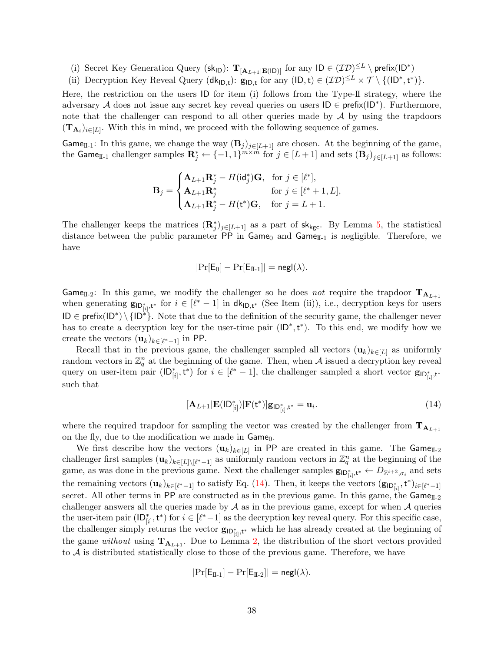- (i) Secret Key Generation Query ( $sk_{ID}$ ):  $T_{[A_{L+1}|E(ID)]}$  for any  $ID \in (ID)^{\leq L} \setminus prefix(ID^*)$
- (ii) Decryption Key Reveal Query  $(dk_{ID,t})$ :  $g_{ID,t}$  for any  $(ID, t) \in (ID)^{\leq L} \times T \setminus \{(ID^*, t^*)\}.$

Here, the restriction on the users ID for item (i) follows from the Type-II strategy, where the adversary *A* does not issue any secret key reveal queries on users ID *∈* prefix(ID*<sup>∗</sup>* ). Furthermore, note that the challenger can respond to all other queries made by *A* by using the trapdoors  $({\bf T}_{\mathbf{A}_i})_{i \in [L]}$ . With this in mind, we proceed with the following sequence of games.

Game<sub>II-1</sub>: In this game, we change the way  $(\mathbf{B}_j)_{j\in[L+1]}$  are chosen. At the beginning of the game, the Game<sub>II-1</sub> challenger samples  $\mathbf{R}^*_j \leftarrow \{-1,1\}^{m \times m}$  for  $j \in [L+1]$  and sets  $(\mathbf{B}_j)_{j \in [L+1]}$  as follows:

$$
\mathbf{B}_{j} = \begin{cases} \mathbf{A}_{L+1} \mathbf{R}_{j}^{*} - H(\mathrm{id}_{j}^{*}) \mathbf{G}, & \text{for } j \in [\ell^{*}], \\ \mathbf{A}_{L+1} \mathbf{R}_{j}^{*} & \text{for } j \in [\ell^{*}+1, L], \\ \mathbf{A}_{L+1} \mathbf{R}_{j}^{*} - H(\mathrm{t}^{*}) \mathbf{G}, & \text{for } j = L+1. \end{cases}
$$

The challenger keeps the matrices  $(\mathbf{R}^*_j)_{j\in[L+1]}$  as a part of  $sk_{\text{kgc}}$ . By Lemma [5,](#page-14-4) the statistical distance between the public parameter PP in Game<sub>0</sub> and Game $_{II-1}$  is negligible. Therefore, we have

$$
|\Pr[\mathsf{E}_0]-\Pr[\mathsf{E}_{\mathrm{II-1}}]|=\mathsf{negl}(\lambda).
$$

Game<sub>II-2</sub>: In this game, we modify the challenger so he does *not* require the trapdoor  $\mathbf{T}_{\mathbf{A}_{L+1}}$ when generating  $\mathbf{g}_{\text{ID}_{[i]}^*,t^*}$  for  $i \in [\ell^*-1]$  in  $d\mathsf{k}_{\text{ID},t^*}$  (See Item (ii)), i.e., decryption keys for users ID *∈* prefix(ID*<sup>∗</sup>* ) *\ {*ID*<sup>∗</sup> }*. Note that due to the definition of the security game, the challenger never has to create a decryption key for the user-time pair  $(\mathsf{ID}^*, \mathsf{t}^*)$ . To this end, we modify how we create the vectors  $(\mathbf{u}_k)_{k \in [\ell^*-1]}$  in PP.

Recall that in the previous game, the challenger sampled all vectors  $(\mathbf{u}_k)_{k \in [L]}$  as uniformly random vectors in  $\mathbb{Z}_q^n$  at the beginning of the game. Then, when A issued a decryption key reveal query on user-item pair  $(\text{ID}^*_{[i]}, t^*)$  for  $i \in [\ell^* - 1]$ , the challenger sampled a short vector  $\mathbf{g}_{\text{ID}^*_{[i]}, t^*}$ such that

<span id="page-37-0"></span>
$$
[\mathbf{A}_{L+1}|\mathbf{E}(\mathsf{ID}_{[i]}^{*})|\mathbf{F}(t^{*})]g_{\mathsf{ID}_{[i]}^{*},t^{*}} = \mathbf{u}_{i}.
$$
\n(14)

where the required trapdoor for sampling the vector was created by the challenger from  $T_{A_{L+1}}$ on the fly, due to the modification we made in  $Game_0$ .

We first describe how the vectors  $(\mathbf{u}_k)_{k \in [L]}$  in PP are created in this game. The Game<sub>II-2</sub> challenger first samples  $(\mathbf{u}_k)_{k \in [L] \setminus [\ell^* - 1]}$  as uniformly random vectors in  $\mathbb{Z}_q^n$  at the beginning of the game, as was done in the previous game. Next the challenger samples  $\mathbf{g}_{\text{ID}_{[i]}^*,t^*} \leftarrow D_{\mathbb{Z}^{i+2},\sigma_i}$  and sets the remaining vectors  $(\mathbf{u}_k)_{k \in [\ell^*-1]}$  to satisfy Eq. [\(14](#page-37-0)). Then, it keeps the vectors  $(\mathbf{g}_{\mathsf{ID}^*_{[i]}}, \mathsf{t}^*)_{i \in [\ell^*-1]}$ secret. All other terms in PP are constructed as in the previous game. In this game, the  $Game_{I-2}$ challenger answers all the queries made by  $A$  as in the previous game, except for when  $A$  queries the user-item pair  $(\mathsf{ID}^*_{[i]}, \mathsf{t}^*)$  for  $i \in [\ell^*-1]$  as the decryption key reveal query. For this specific case, the challenger simply returns the vector  $\mathbf{g}_{\textsf{ID}^*_{[i]},t^*}$  which he has already created at the beginning of the game *without* using  $\mathbf{T}_{\mathbf{A}_{L+1}}$ . Due to Lemma [2,](#page-13-3) the distribution of the short vectors provided to *A* is distributed statistically close to those of the previous game. Therefore, we have

$$
|\Pr[\mathsf{E}_{\mathrm{II}\text{-}1}] - \Pr[\mathsf{E}_{\mathrm{II}\text{-}2}]| = \mathsf{negl}(\lambda).
$$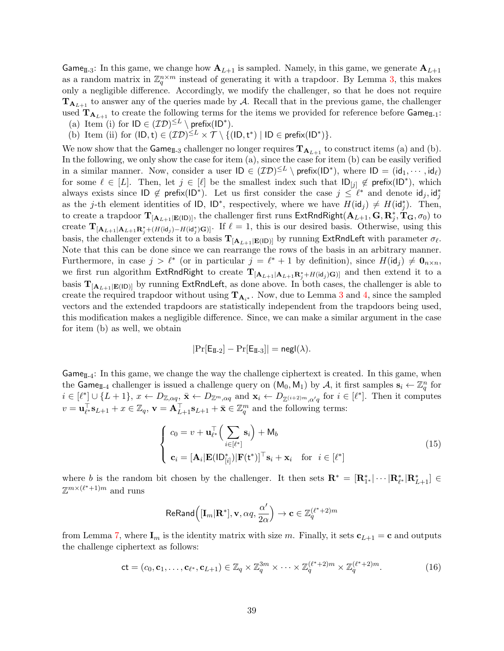Game<sub>II-3</sub>: In this game, we change how  $A_{L+1}$  is sampled. Namely, in this game, we generate  $A_{L+1}$ as a random matrix in  $\mathbb{Z}_q^{n \times m}$  instead of generating it with a trapdoor. By Lemma [3,](#page-13-1) this makes only a negligible difference. Accordingly, we modify the challenger, so that he does not require  $\mathbf{T}_{\mathbf{A}_{L+1}}$  to answer any of the queries made by *A*. Recall that in the previous game, the challenger used  $\mathbf{T}_{\mathbf{A}_{L+1}}$  to create the following terms for the items we provided for reference before Game<sub>II-1</sub>: (a) Item (i) for  $ID \in (\mathcal{ID})^{\leq L} \setminus prefix(ID^*)$ .

(b) Item (ii) for  $(ID, t) \in (ID)^{\leq L} \times T \setminus \{ (ID, t^*) | ID \in prefix(ID^*) \}.$ 

We now show that the Game<sub>II-3</sub> challenger no longer requires  $\mathbf{T}_{\mathbf{A}_{L+1}}$  to construct items (a) and (b). In the following, we only show the case for item (a), since the case for item (b) can be easily verified in a similar manner. Now, consider a user  $ID \in (ID)^{\leq L} \setminus prefix(ID^*)$ , where  $ID = (id_1, \dots, id_\ell)$ for some  $\ell \in [L]$ . Then, let  $j \in [\ell]$  be the smallest index such that  $\mathsf{ID}_{[j]} \notin \mathsf{prefix}(\mathsf{ID}^*)$ , which always exists since  $ID \notin prefix(ID^*)$ . Let us first consider the case  $j \leq \ell^*$  and denote  $id_j, id_j^*$ as the *j*-th element identities of ID, ID<sup>\*</sup>, respectively, where we have  $H(\mathsf{id}_j) \neq H(\mathsf{id}_j^*)$ . Then, to create a trapdoor  $\mathbf{T}_{[\mathbf{A}_{L+1}|\mathbf{E}(\mathsf{ID})]},$  the challenger first runs  $\mathsf{ExtRndRight}(\mathbf{A}_{L+1}, \mathbf{G}, \mathbf{R}^*_j, \mathbf{\tilde{T}_G}, \sigma_0)$  to create  $\mathbf{T}_{[\mathbf{A}_{L+1}|\mathbf{A}_{L+1}\mathbf{R}_{j}^{*}+(H(\mathsf{id}_{j})-H(\mathsf{id}_{j}^{*})\mathbf{G})]}$ . If  $\ell=1$ , this is our desired basis. Otherwise, using this basis, the challenger extends it to a basis  $T_{[A_{L+1}|E(|D)]}$  by running ExtRndLeft with parameter  $\sigma_{\ell}$ . Note that this can be done since we can rearrange the rows of the basis in an arbitrary manner. Furthermore, in case  $j > l^*$  (or in particular  $j = l^* + 1$  by definition), since  $H(\mathsf{id}_j) \neq \mathbf{0}_{n \times n}$ , we first run algorithm ExtRndRight to create  $T_{[{\bf A}_{L+1}|{\bf A}_{L+1}{\bf R}_j^* + H(\mathrm{id}_j){\bf G})]}$  and then extend it to a basis  $\mathbf{T}_{[\mathbf{A}_{L+1}|\mathbf{E}(\mathbf{D})]}$  by running ExtRndLeft, as done above. In both cases, the challenger is able to create the required trapdoor without using  $\mathbf{T}_{\mathbf{A}_{i^*}}$ . Now, due to Lemma [3](#page-13-1) and [4,](#page-13-2) since the sampled vectors and the extended trapdoors are statistically independent from the trapdoors being used, this modification makes a negligible difference. Since, we can make a similar argument in the case for item (b) as well, we obtain

$$
|\Pr[\mathsf{E}_{\mathrm{II}\text{-}2}] - \Pr[\mathsf{E}_{\mathrm{II}\text{-}3}]| = \mathsf{negl}(\lambda).
$$

 $Game_{II-4}$ : In this game, we change the way the challenge ciphertext is created. In this game, when the Game<sub>II-4</sub> challenger is issued a challenge query on  $(M_0, M_1)$  by  $A$ , it first samples  $s_i \leftarrow \mathbb{Z}_q^n$  for  $i \in [\ell^*] \cup \{L+1\}, x \leftarrow D_{\mathbb{Z},\alpha q}, \ \bar{\mathbf{x}} \leftarrow D_{\mathbb{Z}^m,\alpha q} \text{ and } \mathbf{x}_i \leftarrow D_{\mathbb{Z}^{(i+2)m},\alpha' q} \text{ for } i \in [\ell^*]. \text{ Then it computes }$  $v = \mathbf{u}_{\ell^*}^{\top} \mathbf{s}_{L+1} + x \in \mathbb{Z}_q$ ,  $\mathbf{v} = \mathbf{A}_{L+1}^{\top} \mathbf{s}_{L+1} + \bar{\mathbf{x}} \in \mathbb{Z}_q^m$  and the following terms:

<span id="page-38-1"></span>
$$
\begin{cases}\nc_0 = v + \mathbf{u}_{\ell^*}^\top \Big( \sum_{i \in [\ell^*]} \mathbf{s}_i \Big) + \mathsf{M}_b \\
\mathbf{c}_i = [\mathbf{A}_i] \mathbf{E} (\mathsf{ID}_{[i]}^*) |\mathbf{F}(\mathbf{t}^*)]^\top \mathbf{s}_i + \mathbf{x}_i \quad \text{for} \quad i \in [\ell^*]\n\end{cases} \tag{15}
$$

where *b* is the random bit chosen by the challenger. It then sets  $\mathbf{R}^* = [\mathbf{R}^*_{1*} | \cdots | \mathbf{R}^*_{\ell^*} | \mathbf{R}^*_{L+1}] \in$  $\mathbb{Z}^{m \times (\ell^*+1)m}$  and runs

<span id="page-38-0"></span>
$$
\mathsf{ReRand}\Big([\mathbf{I}_m|\mathbf{R}^\ast],\mathbf{v},\alpha q,\frac{\alpha'}{2\alpha}\Big)\rightarrow \mathbf{c}\in\mathbb{Z}_q^{(\ell^\ast+2)m}
$$

from Lemma [7,](#page-14-3) where  $I_m$  is the identity matrix with size m. Finally, it sets  $c_{L+1} = c$  and outputs the challenge ciphertext as follows:

$$
\mathsf{ct} = (c_0, \mathbf{c}_1, \dots, \mathbf{c}_{\ell^*}, \mathbf{c}_{L+1}) \in \mathbb{Z}_q \times \mathbb{Z}_q^{3m} \times \dots \times \mathbb{Z}_q^{(\ell^*+2)m} \times \mathbb{Z}_q^{(\ell^*+2)m}.\tag{16}
$$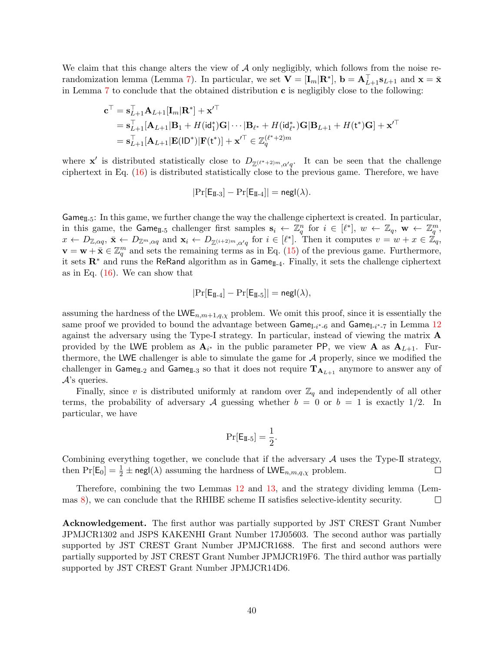We claim that this change alters the view of *A* only negligibly, which follows from the noise re-randomization lemma (Lemma [7\)](#page-14-3). In particular, we set  $\mathbf{V} = [\mathbf{I}_m | \mathbf{R}^*]$ ,  $\mathbf{b} = \mathbf{A}_{L+1}^{\top} \mathbf{s}_{L+1}$  and  $\mathbf{x} = \bar{\mathbf{x}}$ in Lemma [7](#page-14-3) to conclude that the obtained distribution **c** is negligibly close to the following:

$$
\begin{aligned} \mathbf{c}^{\top} &= \mathbf{s}_{L+1}^{\top} \mathbf{A}_{L+1}[\mathbf{I}_{m}|\mathbf{R}^{*}] + \mathbf{x}'^{\top} \\ &= \mathbf{s}_{L+1}^{\top}[\mathbf{A}_{L+1}|\mathbf{B}_{1} + H(\mathrm{id}_{1}^{*})\mathbf{G}| \cdots |\mathbf{B}_{\ell^{*}} + H(\mathrm{id}_{\ell^{*}}^{*})\mathbf{G}|\mathbf{B}_{L+1} + H(\mathrm{t}^{*})\mathbf{G}] + \mathbf{x}'^{\top} \\ &= \mathbf{s}_{L+1}^{\top}[\mathbf{A}_{L+1}|\mathbf{E}(\mathbf{I}\mathbf{D}^{*})|\mathbf{F}(\mathrm{t}^{*})] + \mathbf{x}'^{\top} \in \mathbb{Z}_{q}^{(\ell^{*}+2)m} \end{aligned}
$$

where **x'** is distributed statistically close to  $D_{\mathbb{Z}(\ell^*+2)m,\alpha'q}$ . It can be seen that the challenge ciphertext in Eq. [\(16](#page-38-0)) is distributed statistically close to the previous game. Therefore, we have

$$
|\Pr[\mathsf{E}_{\mathrm{II}\text{-}3}] - \Pr[\mathsf{E}_{\mathrm{II}\text{-}4}]| = \mathsf{negl}(\lambda).
$$

Game $_{\text{II-5}}$ : In this game, we further change the way the challenge ciphertext is created. In particular, in this game, the Game<sub>II-5</sub> challenger first samples  $\mathbf{s}_i \leftarrow \mathbb{Z}_q^n$  for  $i \in [\ell^*], w \leftarrow \mathbb{Z}_q, \mathbf{w} \leftarrow \mathbb{Z}_q^m$ ,  $x \leftarrow D_{\mathbb{Z},\alpha q}, \ \bar{\mathbf{x}} \leftarrow D_{\mathbb{Z}^m,\alpha q} \text{ and } \mathbf{x}_i \leftarrow D_{\mathbb{Z}^{(i+2)m},\alpha' q} \text{ for } i \in [\ell^*].$  Then it computes  $v = w + x \in \mathbb{Z}_q$ ,  $\mathbf{v} = \mathbf{w} + \bar{\mathbf{x}} \in \mathbb{Z}_q^m$  and sets the remaining terms as in Eq. [\(15](#page-38-1)) of the previous game. Furthermore, it sets  $\mathbb{R}^*$  and runs the ReRand algorithm as in Game<sub>II-4</sub>. Finally, it sets the challenge ciphertext as in Eq. ([16\)](#page-38-0). We can show that

$$
|\Pr[\mathsf{E}_{\mathrm{II}\text{-}4}] - \Pr[\mathsf{E}_{\mathrm{II}\text{-}5}]| = \mathsf{negl}(\lambda),
$$

assuming the hardness of the  $LWE_{n,m+1,q,\chi}$  problem. We omit this proof, since it is essentially the same proof we provided to bound the advantage between Game<sub>I-*i*<sup>\*</sup>-6</sub> and Game<sub>I-*i*<sup>\*</sup>-7</sub> in Lemma [12](#page-31-0) against the adversary using the Type-I strategy. In particular, instead of viewing the matrix **A** provided by the LWE problem as  $A_i^*$  in the public parameter PP, we view A as  $A_{L+1}$ . Furthermore, the LWE challenger is able to simulate the game for *A* properly, since we modified the challenger in Game<sub>II-2</sub> and Game<sub>II-3</sub> so that it does not require  $T_{A_{L+1}}$  anymore to answer any of *A*'s queries.

Finally, since *v* is distributed uniformly at random over  $\mathbb{Z}_q$  and independently of all other terms, the probability of adversary *A* guessing whether  $b = 0$  or  $b = 1$  is exactly 1/2. In particular, we have

$$
\Pr[\mathsf{E}_{\mathrm{II}\text{-}5}]=\frac{1}{2}.
$$

Combining everything together, we conclude that if the adversary *A* uses the Type-II strategy, then  $Pr[E_0] = \frac{1}{2} \pm \text{negl}(\lambda)$  assuming the hardness of  $LWE_{n,m,q,\chi}$  problem.  $\Box$ 

Therefore, combining the two Lemmas [12](#page-31-0) and [13,](#page-36-0) and the strategy dividing lemma (Lem-mas [8\)](#page-19-0), we can conclude that the RHIBE scheme  $\Pi$  satisfies selective-identity security.  $\Box$ 

**Acknowledgement.** The first author was partially supported by JST CREST Grant Number JPMJCR1302 and JSPS KAKENHI Grant Number 17J05603. The second author was partially supported by JST CREST Grant Number JPMJCR1688. The first and second authors were partially supported by JST CREST Grant Number JPMJCR19F6. The third author was partially supported by JST CREST Grant Number JPMJCR14D6.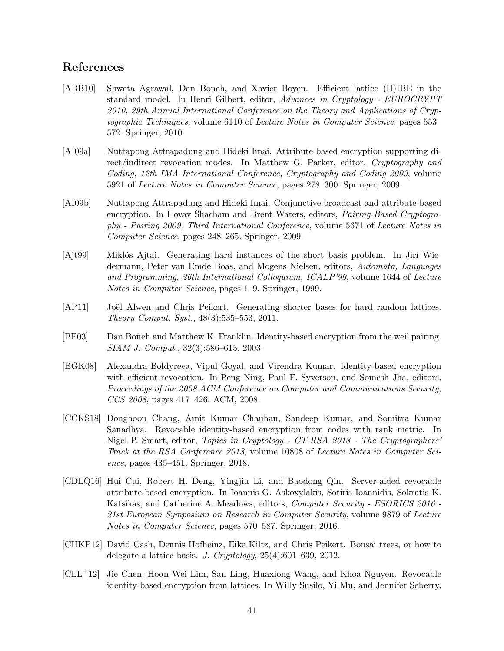### **References**

- <span id="page-40-3"></span>[ABB10] Shweta Agrawal, Dan Boneh, and Xavier Boyen. Efficient lattice (H)IBE in the standard model. In Henri Gilbert, editor, *Advances in Cryptology - EUROCRYPT 2010, 29th Annual International Conference on the Theory and Applications of Cryptographic Techniques*, volume 6110 of *Lecture Notes in Computer Science*, pages 553– 572. Springer, 2010.
- <span id="page-40-6"></span>[AI09a] Nuttapong Attrapadung and Hideki Imai. Attribute-based encryption supporting direct/indirect revocation modes. In Matthew G. Parker, editor, *Cryptography and Coding, 12th IMA International Conference, Cryptography and Coding 2009*, volume 5921 of *Lecture Notes in Computer Science*, pages 278–300. Springer, 2009.
- <span id="page-40-7"></span>[AI09b] Nuttapong Attrapadung and Hideki Imai. Conjunctive broadcast and attribute-based encryption. In Hovav Shacham and Brent Waters, editors, *Pairing-Based Cryptography - Pairing 2009, Third International Conference*, volume 5671 of *Lecture Notes in Computer Science*, pages 248–265. Springer, 2009.
- <span id="page-40-9"></span>[Ajt99] Miklós Ajtai. Generating hard instances of the short basis problem. In Jirí Wiedermann, Peter van Emde Boas, and Mogens Nielsen, editors, *Automata, Languages and Programming, 26th International Colloquium, ICALP'99*, volume 1644 of *Lecture Notes in Computer Science*, pages 1–9. Springer, 1999.
- <span id="page-40-10"></span>[AP11] Joël Alwen and Chris Peikert. Generating shorter bases for hard random lattices. *Theory Comput. Syst.*, 48(3):535–553, 2011.
- <span id="page-40-0"></span>[BF03] Dan Boneh and Matthew K. Franklin. Identity-based encryption from the weil pairing. *SIAM J. Comput.*, 32(3):586–615, 2003.
- <span id="page-40-1"></span>[BGK08] Alexandra Boldyreva, Vipul Goyal, and Virendra Kumar. Identity-based encryption with efficient revocation. In Peng Ning, Paul F. Syverson, and Somesh Jha, editors, *Proceedings of the 2008 ACM Conference on Computer and Communications Security, CCS 2008*, pages 417–426. ACM, 2008.
- <span id="page-40-5"></span>[CCKS18] Donghoon Chang, Amit Kumar Chauhan, Sandeep Kumar, and Somitra Kumar Sanadhya. Revocable identity-based encryption from codes with rank metric. In Nigel P. Smart, editor, *Topics in Cryptology - CT-RSA 2018 - The Cryptographers' Track at the RSA Conference 2018*, volume 10808 of *Lecture Notes in Computer Science*, pages 435–451. Springer, 2018.
- <span id="page-40-8"></span>[CDLQ16] Hui Cui, Robert H. Deng, Yingjiu Li, and Baodong Qin. Server-aided revocable attribute-based encryption. In Ioannis G. Askoxylakis, Sotiris Ioannidis, Sokratis K. Katsikas, and Catherine A. Meadows, editors, *Computer Security - ESORICS 2016 - 21st European Symposium on Research in Computer Security*, volume 9879 of *Lecture Notes in Computer Science*, pages 570–587. Springer, 2016.
- <span id="page-40-4"></span>[CHKP12] David Cash, Dennis Hofheinz, Eike Kiltz, and Chris Peikert. Bonsai trees, or how to delegate a lattice basis. *J. Cryptology*, 25(4):601–639, 2012.
- <span id="page-40-2"></span>[CLL+12] Jie Chen, Hoon Wei Lim, San Ling, Huaxiong Wang, and Khoa Nguyen. Revocable identity-based encryption from lattices. In Willy Susilo, Yi Mu, and Jennifer Seberry,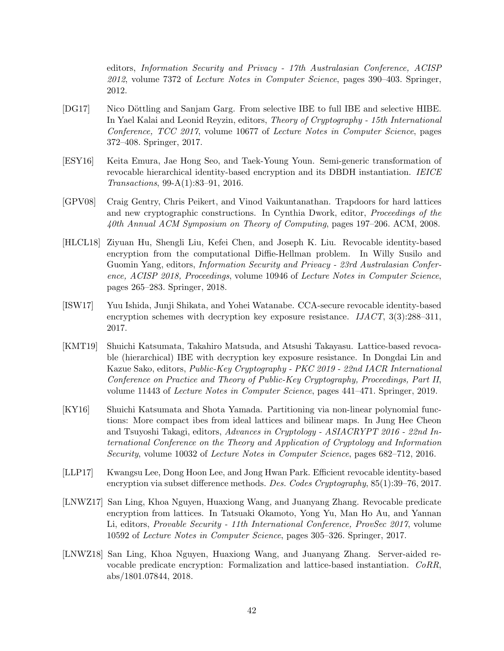editors, *Information Security and Privacy - 17th Australasian Conference, ACISP 2012*, volume 7372 of *Lecture Notes in Computer Science*, pages 390–403. Springer, 2012.

- <span id="page-41-4"></span>[DG17] Nico Döttling and Sanjam Garg. From selective IBE to full IBE and selective HIBE. In Yael Kalai and Leonid Reyzin, editors, *Theory of Cryptography - 15th International Conference, TCC 2017*, volume 10677 of *Lecture Notes in Computer Science*, pages 372–408. Springer, 2017.
- <span id="page-41-3"></span>[ESY16] Keita Emura, Jae Hong Seo, and Taek-Young Youn. Semi-generic transformation of revocable hierarchical identity-based encryption and its DBDH instantiation. *IEICE Transactions*, 99-A(1):83–91, 2016.
- <span id="page-41-8"></span>[GPV08] Craig Gentry, Chris Peikert, and Vinod Vaikuntanathan. Trapdoors for hard lattices and new cryptographic constructions. In Cynthia Dwork, editor, *Proceedings of the 40th Annual ACM Symposium on Theory of Computing*, pages 197–206. ACM, 2008.
- <span id="page-41-5"></span>[HLCL18] Ziyuan Hu, Shengli Liu, Kefei Chen, and Joseph K. Liu. Revocable identity-based encryption from the computational Diffie-Hellman problem. In Willy Susilo and Guomin Yang, editors, *Information Security and Privacy - 23rd Australasian Conference, ACISP 2018, Proceedings*, volume 10946 of *Lecture Notes in Computer Science*, pages 265–283. Springer, 2018.
- <span id="page-41-1"></span>[ISW17] Yuu Ishida, Junji Shikata, and Yohei Watanabe. CCA-secure revocable identity-based encryption schemes with decryption key exposure resistance. *IJACT*, 3(3):288–311, 2017.
- <span id="page-41-0"></span>[KMT19] Shuichi Katsumata, Takahiro Matsuda, and Atsushi Takayasu. Lattice-based revocable (hierarchical) IBE with decryption key exposure resistance. In Dongdai Lin and Kazue Sako, editors, *Public-Key Cryptography - PKC 2019 - 22nd IACR International Conference on Practice and Theory of Public-Key Cryptography, Proceedings, Part II*, volume 11443 of *Lecture Notes in Computer Science*, pages 441–471. Springer, 2019.
- <span id="page-41-9"></span>[KY16] Shuichi Katsumata and Shota Yamada. Partitioning via non-linear polynomial functions: More compact ibes from ideal lattices and bilinear maps. In Jung Hee Cheon and Tsuyoshi Takagi, editors, *Advances in Cryptology - ASIACRYPT 2016 - 22nd International Conference on the Theory and Application of Cryptology and Information Security*, volume 10032 of *Lecture Notes in Computer Science*, pages 682–712, 2016.
- <span id="page-41-2"></span>[LLP17] Kwangsu Lee, Dong Hoon Lee, and Jong Hwan Park. Efficient revocable identity-based encryption via subset difference methods. *Des. Codes Cryptography*, 85(1):39–76, 2017.
- <span id="page-41-6"></span>[LNWZ17] San Ling, Khoa Nguyen, Huaxiong Wang, and Juanyang Zhang. Revocable predicate encryption from lattices. In Tatsuaki Okamoto, Yong Yu, Man Ho Au, and Yannan Li, editors, *Provable Security - 11th International Conference, ProvSec 2017*, volume 10592 of *Lecture Notes in Computer Science*, pages 305–326. Springer, 2017.
- <span id="page-41-7"></span>[LNWZ18] San Ling, Khoa Nguyen, Huaxiong Wang, and Juanyang Zhang. Server-aided revocable predicate encryption: Formalization and lattice-based instantiation. *CoRR*, abs/1801.07844, 2018.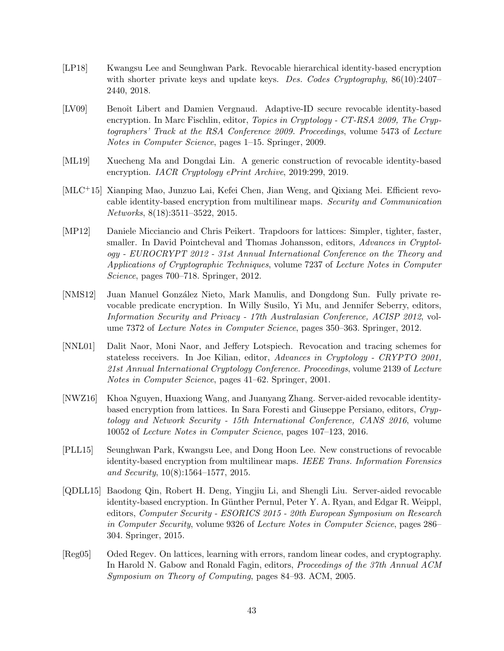- <span id="page-42-2"></span>[LP18] Kwangsu Lee and Seunghwan Park. Revocable hierarchical identity-based encryption with shorter private keys and update keys. *Des. Codes Cryptography*, 86(10):2407– 2440, 2018.
- <span id="page-42-1"></span>[LV09] Benoît Libert and Damien Vergnaud. Adaptive-ID secure revocable identity-based encryption. In Marc Fischlin, editor, *Topics in Cryptology - CT-RSA 2009, The Cryptographers' Track at the RSA Conference 2009. Proceedings*, volume 5473 of *Lecture Notes in Computer Science*, pages 1–15. Springer, 2009.
- <span id="page-42-5"></span>[ML19] Xuecheng Ma and Dongdai Lin. A generic construction of revocable identity-based encryption. *IACR Cryptology ePrint Archive*, 2019:299, 2019.
- <span id="page-42-3"></span>[MLC+15] Xianping Mao, Junzuo Lai, Kefei Chen, Jian Weng, and Qixiang Mei. Efficient revocable identity-based encryption from multilinear maps. *Security and Communication Networks*, 8(18):3511–3522, 2015.
- <span id="page-42-9"></span>[MP12] Daniele Micciancio and Chris Peikert. Trapdoors for lattices: Simpler, tighter, faster, smaller. In David Pointcheval and Thomas Johansson, editors, *Advances in Cryptology - EUROCRYPT 2012 - 31st Annual International Conference on the Theory and Applications of Cryptographic Techniques*, volume 7237 of *Lecture Notes in Computer Science*, pages 700–718. Springer, 2012.
- <span id="page-42-6"></span>[NMS12] Juan Manuel González Nieto, Mark Manulis, and Dongdong Sun. Fully private revocable predicate encryption. In Willy Susilo, Yi Mu, and Jennifer Seberry, editors, *Information Security and Privacy - 17th Australasian Conference, ACISP 2012*, volume 7372 of *Lecture Notes in Computer Science*, pages 350–363. Springer, 2012.
- <span id="page-42-0"></span>[NNL01] Dalit Naor, Moni Naor, and Jeffery Lotspiech. Revocation and tracing schemes for stateless receivers. In Joe Kilian, editor, *Advances in Cryptology - CRYPTO 2001, 21st Annual International Cryptology Conference. Proceedings*, volume 2139 of *Lecture Notes in Computer Science*, pages 41–62. Springer, 2001.
- <span id="page-42-8"></span>[NWZ16] Khoa Nguyen, Huaxiong Wang, and Juanyang Zhang. Server-aided revocable identitybased encryption from lattices. In Sara Foresti and Giuseppe Persiano, editors, *Cryptology and Network Security - 15th International Conference, CANS 2016*, volume 10052 of *Lecture Notes in Computer Science*, pages 107–123, 2016.
- <span id="page-42-4"></span>[PLL15] Seunghwan Park, Kwangsu Lee, and Dong Hoon Lee. New constructions of revocable identity-based encryption from multilinear maps. *IEEE Trans. Information Forensics and Security*, 10(8):1564–1577, 2015.
- <span id="page-42-7"></span>[QDLL15] Baodong Qin, Robert H. Deng, Yingjiu Li, and Shengli Liu. Server-aided revocable identity-based encryption. In Günther Pernul, Peter Y. A. Ryan, and Edgar R. Weippl, editors, *Computer Security - ESORICS 2015 - 20th European Symposium on Research in Computer Security*, volume 9326 of *Lecture Notes in Computer Science*, pages 286– 304. Springer, 2015.
- <span id="page-42-10"></span>[Reg05] Oded Regev. On lattices, learning with errors, random linear codes, and cryptography. In Harold N. Gabow and Ronald Fagin, editors, *Proceedings of the 37th Annual ACM Symposium on Theory of Computing*, pages 84–93. ACM, 2005.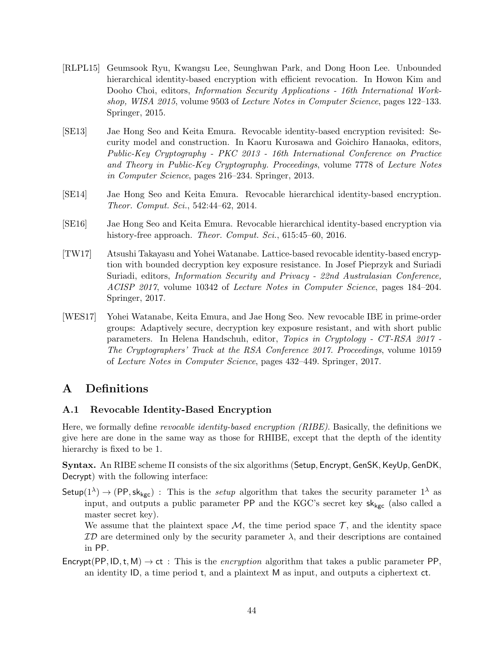- <span id="page-43-2"></span>[RLPL15] Geumsook Ryu, Kwangsu Lee, Seunghwan Park, and Dong Hoon Lee. Unbounded hierarchical identity-based encryption with efficient revocation. In Howon Kim and Dooho Choi, editors, *Information Security Applications - 16th International Workshop, WISA 2015*, volume 9503 of *Lecture Notes in Computer Science*, pages 122–133. Springer, 2015.
- <span id="page-43-0"></span>[SE13] Jae Hong Seo and Keita Emura. Revocable identity-based encryption revisited: Security model and construction. In Kaoru Kurosawa and Goichiro Hanaoka, editors, *Public-Key Cryptography - PKC 2013 - 16th International Conference on Practice and Theory in Public-Key Cryptography. Proceedings*, volume 7778 of *Lecture Notes in Computer Science*, pages 216–234. Springer, 2013.
- <span id="page-43-5"></span>[SE14] Jae Hong Seo and Keita Emura. Revocable hierarchical identity-based encryption. *Theor. Comput. Sci.*, 542:44–62, 2014.
- <span id="page-43-3"></span>[SE16] Jae Hong Seo and Keita Emura. Revocable hierarchical identity-based encryption via history-free approach. *Theor. Comput. Sci.*, 615:45–60, 2016.
- <span id="page-43-4"></span>[TW17] Atsushi Takayasu and Yohei Watanabe. Lattice-based revocable identity-based encryption with bounded decryption key exposure resistance. In Josef Pieprzyk and Suriadi Suriadi, editors, *Information Security and Privacy - 22nd Australasian Conference, ACISP 2017*, volume 10342 of *Lecture Notes in Computer Science*, pages 184–204. Springer, 2017.
- <span id="page-43-1"></span>[WES17] Yohei Watanabe, Keita Emura, and Jae Hong Seo. New revocable IBE in prime-order groups: Adaptively secure, decryption key exposure resistant, and with short public parameters. In Helena Handschuh, editor, *Topics in Cryptology - CT-RSA 2017 - The Cryptographers' Track at the RSA Conference 2017. Proceedings*, volume 10159 of *Lecture Notes in Computer Science*, pages 432–449. Springer, 2017.

### <span id="page-43-7"></span>**A Definitions**

### <span id="page-43-6"></span>**A.1 Revocable Identity-Based Encryption**

Here, we formally define *revocable identity-based encryption (RIBE)*. Basically, the definitions we give here are done in the same way as those for RHIBE, except that the depth of the identity hierarchy is fixed to be 1.

**Syntax.** An RIBE scheme Π consists of the six algorithms (Setup*,* Encrypt*,* GenSK*,*KeyUp*,* GenDK*,* Decrypt) with the following interface:

Setup( $1^{\lambda}$ )  $\rightarrow$  (PP, sk<sub>kgc</sub>) : This is the *setup* algorithm that takes the security parameter  $1^{\lambda}$  as input, and outputs a public parameter  $PP$  and the KGC's secret key  $sk_{\text{kgC}}$  (also called a master secret key).

We assume that the plaintext space  $M$ , the time period space  $T$ , and the identity space  $ID$  are determined only by the security parameter  $\lambda$ , and their descriptions are contained in PP.

Encrypt(PP, ID, t, M)  $\rightarrow$  ct : This is the *encryption* algorithm that takes a public parameter PP, an identity ID, a time period t, and a plaintext M as input, and outputs a ciphertext ct.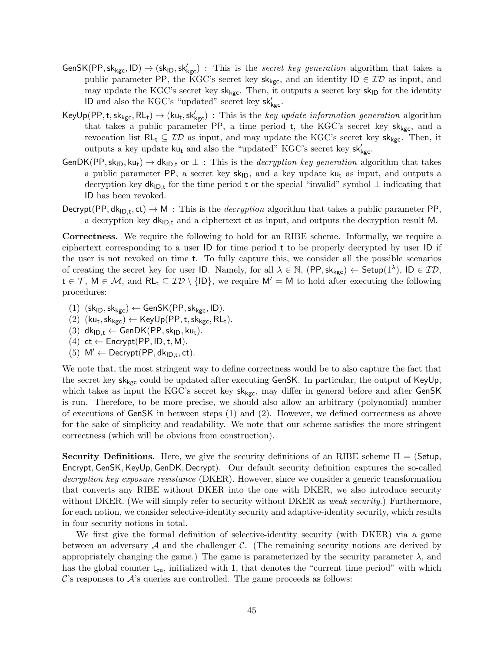- $GenSK(PP, sk_{\text{kgc}}, ID) \rightarrow (sk_{ID}, sk'_{\text{kgc}})$ : This is the *secret key generation* algorithm that takes a public parameter PP, the KGC's secret key  $sk_{\text{kgc}}$ , and an identity  $ID \in \mathcal{ID}$  as input, and may update the KGC's secret key  $sk_{\text{kgc}}$ . Then, it outputs a secret key  $sk_{\text{ID}}$  for the identity ID and also the KGC's "updated" secret key  $sk'_{\text{kgc}}$ .
- $KeyUp(PP, t, sk_{kgc}, RL_t) \rightarrow (ku_t, sk'_{kgc})$ : This is the *key update information generation* algorithm that takes a public parameter  $PP$ , a time period t, the KGC's secret key  $sk_{\text{kgc}}$ , and a revocation list  $\mathsf{RL}_{\mathsf{t}} \subseteq \mathcal{ID}$  as input, and may update the KGC's secret key sk<sub>kgc</sub>. Then, it outputs a key update  $ku_t$  and also the "updated" KGC's secret key  $sk'_{\text{kgc}}$ .
- GenDK(PP,  $sk_{ID}$ ,  $ku_t$ )  $\rightarrow$   $dk_{ID,t}$  or  $\perp$ : This is the *decryption key generation* algorithm that takes a public parameter PP, a secret key  $sk_{ID}$ , and a key update ku<sub>t</sub> as input, and outputs a decryption key **dk**<sub>ID,t</sub> for the time period **t** or the special "invalid" symbol ⊥ indicating that ID has been revoked.
- Decrypt(PP,  $dk_{ID,t}$ , ct)  $\rightarrow$  M : This is the *decryption* algorithm that takes a public parameter PP, a decryption key  $d\mathsf{k}_{\mathsf{ID},t}$  and a ciphertext  $ct$  as input, and outputs the decryption result M.

**Correctness.** We require the following to hold for an RIBE scheme. Informally, we require a ciphertext corresponding to a user ID for time period t to be properly decrypted by user ID if the user is not revoked on time t. To fully capture this, we consider all the possible scenarios of creating the secret key for user ID. Namely, for all  $\lambda \in \mathbb{N}$ ,  $(PP, sk_{kgc}) \leftarrow$  Setup $(1^{\lambda})$ , ID  $\in \mathcal{ID}$ , t  $\in \mathcal{T}$ , M  $\in \mathcal{M}$ , and RL<sub>t</sub>  $\subseteq \mathcal{ID} \setminus \{\mathsf{ID}\}\$ , we require M' = M to hold after executing the following procedures:

- $(1)$  (sk<sub>ID</sub>, sk<sub>kgc</sub>) ← GenSK(PP, sk<sub>kgc</sub>, ID).
- $(2)$   $(ku_t, sk_{\text{kgc}}) \leftarrow \text{KeyUp}(\text{PP}, t, sk_{\text{kgc}}, \text{RL}_t).$
- $(3)$  dk<sub>ID,t</sub>  $\leftarrow$  GenDK(PP, sk<sub>ID</sub>, ku<sub>t</sub>).
- $(4)$  ct  $\leftarrow$  Encrypt(PP, ID, t, M).
- $(5)$   $M' \leftarrow$  Decrypt(PP, dk<sub>ID,t</sub>, ct).

We note that, the most stringent way to define correctness would be to also capture the fact that the secret key  $sk_{\text{kgc}}$  could be updated after executing GenSK. In particular, the output of KeyUp, which takes as input the KGC's secret key  $sk_{\text{kgc}}$ , may differ in general before and after GenSK is run. Therefore, to be more precise, we should also allow an arbitrary (polynomial) number of executions of GenSK in between steps (1) and (2). However, we defined correctness as above for the sake of simplicity and readability. We note that our scheme satisfies the more stringent correctness (which will be obvious from construction).

**Security Definitions.** Here, we give the security definitions of an RIBE scheme  $\Pi = (\mathsf{Setup}, \mathsf{Output})$ Encrypt*,* GenSK*,*KeyUp*,* GenDK*,* Decrypt). Our default security definition captures the so-called *decryption key exposure resistance* (DKER). However, since we consider a generic transformation that converts any RIBE without DKER into the one with DKER, we also introduce security without DKER. (We will simply refer to security without DKER as *weak security*.) Furthermore, for each notion, we consider selective-identity security and adaptive-identity security, which results in four security notions in total.

We first give the formal definition of selective-identity security (with DKER) via a game between an adversary  $A$  and the challenger  $C$ . (The remaining security notions are derived by appropriately changing the game.) The game is parameterized by the security parameter  $\lambda$ , and has the global counter  $t_{cu}$ , initialized with 1, that denotes the "current time period" with which *C*'s responses to *A*'s queries are controlled. The game proceeds as follows: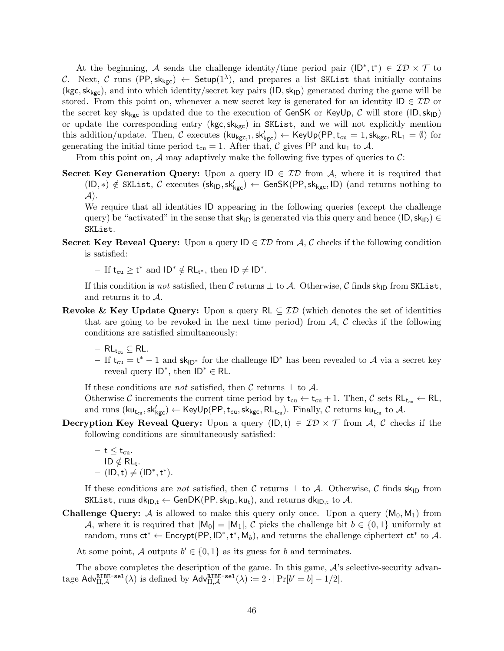At the beginning, A sends the challenge identity/time period pair  $(\mathsf{ID}^*, \mathsf{t}^*) \in \mathcal{ID} \times \mathcal{T}$  to *C*. Next, *C* runs (PP,  $sk_{\text{kgc}}$ )  $\leftarrow$  Setup(1<sup> $\lambda$ </sup>), and prepares a list SKList that initially contains (kgc,  $sk_{kgc}$ ), and into which identity/secret key pairs (ID,  $sk_{ID}$ ) generated during the game will be stored. From this point on, whenever a new secret key is generated for an identity  $ID \in \mathcal{ID}$  or the secret key sk<sub>kgc</sub> is updated due to the execution of GenSK or KeyUp,  $C$  will store (ID, sk<sub>ID</sub>) or update the corresponding entry (kgc*,*skkgc) in SKList, and we will not explicitly mention this addition/update. Then,  $C$  executes  $(ku_{\text{kgc},1}, s k'_{\text{kgc}}) \leftarrow \text{KeyUp}(\text{PP}, t_{cu} = 1, sk_{\text{kgc}}, \text{RL}_1 = \emptyset)$  for generating the initial time period  $t_{cu} = 1$ . After that, *C* gives PP and ku<sub>1</sub> to *A*.

From this point on, *A* may adaptively make the following five types of queries to *C*:

**Secret Key Generation Query:** Upon a query  $ID \in ID$  from A, where it is required that  $(ID, *)$  ∉ SKList,  $C$  executes  $(sk_{ID}, sk'_{kgc})$  ← GenSK(PP,s $k_{kgc}, ID$ ) (and returns nothing to *A*).

We require that all identities **ID** appearing in the following queries (except the challenge query) be "activated" in the sense that  $\mathsf{sk}_{\mathsf{ID}}$  is generated via this query and hence (ID,  $\mathsf{sk}_{\mathsf{ID}}$ )  $\in$ SKList.

**Secret Key Reveal Query:** Upon a query  $\mathsf{ID} \in \mathcal{ID}$  from A, C checks if the following condition is satisfied:

 $-$  If  $t_{cu} \ge t^*$  and  $ID^* \notin RL_{t^*}$ , then  $ID \ne ID^*$ .

If this condition is *not* satisfied, then  $C$  returns  $\perp$  to  $\Lambda$ . Otherwise,  $C$  finds sk<sub>ID</sub> from SKList, and returns it to *A*.

- **Revoke & Key Update Query:** Upon a query  $\mathsf{RL} \subseteq \mathcal{ID}$  (which denotes the set of identities that are going to be revoked in the next time period) from  $A$ ,  $C$  checks if the following conditions are satisfied simultaneously:
	- **–** RLtcu *⊆* RL.
	- *−* If  $t_{cu} = t^* 1$  and  $sk_{ID}^*$  for the challenge  $ID^*$  has been revealed to *A* via a secret key reveal query ID*<sup>∗</sup>* , then ID*<sup>∗</sup> ∈* RL.

If these conditions are *not* satisfied, then *C* returns *⊥* to *A*.

Otherwise *C* increments the current time period by  $t_{cu} \leftarrow t_{cu} + 1$ . Then, *C* sets RL<sub>t<sub>cu</sub>  $\leftarrow$  RL,</sub>  $\alpha$  and runs  $(\mathsf{ku}_{\mathsf{t}_{\mathsf{cu}}},\mathsf{sk}'_{\mathsf{kg}\mathsf{c}}) \leftarrow \mathsf{KeyUp}(\mathsf{PP},\mathsf{t}_{\mathsf{cu}},\mathsf{sk}_{\mathsf{kg}\mathsf{c}},\mathsf{RL}_{\mathsf{t}_{\mathsf{cu}}}).$  Finally,  $\mathcal C$  returns  $\mathsf{ku}_{\mathsf{t}_{\mathsf{cu}}}$  to  $\mathcal A$ .

- **Decryption Key Reveal Query:** Upon a query  $(\mathsf{ID}, \mathsf{t}) \in \mathcal{ID} \times \mathcal{T}$  from A, C checks if the following conditions are simultaneously satisfied:
	- $− t ≤ t<sub>cu</sub>.$ **–** ID *∈/* RL<sup>t</sup> .  $-$  (ID, t)  $\neq$  (ID<sup>\*</sup>, t<sup>\*</sup>).

If these conditions are *not* satisfied, then  $C$  returns  $\perp$  to  $\Lambda$ . Otherwise,  $C$  finds sk<sub>ID</sub> from SKList, runs  $dk_{ID,t} \leftarrow$  GenDK(PP, sk<sub>ID</sub>, ku<sub>t</sub>), and returns  $dk_{ID,t}$  to  $A$ .

**Challenge Query:** A is allowed to make this query only once. Upon a query  $(M_0, M_1)$  from *A*, where it is required that  $|M_0| = |M_1|$ , *C* picks the challenge bit  $b \in \{0, 1\}$  uniformly at random, runs  $ct^* \leftarrow$  Encrypt(PP, ID<sup>\*</sup>,  $t^*$ , M<sub>b</sub>), and returns the challenge ciphertext  $ct^*$  to A.

At some point, *A* outputs  $b' \in \{0, 1\}$  as its guess for *b* and terminates.

The above completes the description of the game. In this game,  $\mathcal{A}$ 's selective-security advan- $\text{tage} \text{ Adv}_{\Pi, \mathcal{A}}^{\text{RIBE-sel}}(\lambda)$  is defined by  $\text{Adv}_{\Pi, \mathcal{A}}^{\text{RIBE-sel}}(\lambda) \coloneqq 2 \cdot |\Pr[b' = b] - 1/2|$ .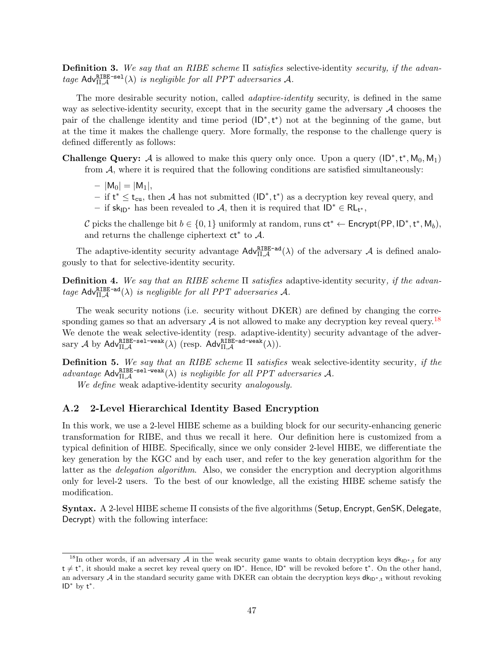**Definition 3.** *We say that an RIBE scheme* Π *satisfies* selective-identity *security, if the advantage*  $\text{Adv}_{\Pi,\mathcal{A}}^{\text{RIBE}-\text{sel}}(\lambda)$  *is negligible for all PPT adversaries*  $\mathcal{A}$ *.* 

The more desirable security notion, called *adaptive-identity* security, is defined in the same way as selective-identity security, except that in the security game the adversary *A* chooses the pair of the challenge identity and time period  $(\text{ID}^*, t^*)$  not at the beginning of the game, but at the time it makes the challenge query. More formally, the response to the challenge query is defined differently as follows:

**Challenge Query:** *A* is allowed to make this query only once. Upon a query  $(\text{ID}^*, t^*, M_0, M_1)$ from *A*, where it is required that the following conditions are satisfied simultaneously:

 $|M_0| = |M_1|$ ,

- **–** if t *<sup>∗</sup> ≤* tcu, then *A* has not submitted (ID*<sup>∗</sup> ,*t *∗* ) as a decryption key reveal query, and
- if  $sk_{ID}^*$  has been revealed to *A*, then it is required that  $ID^* \in RL_{t^*}$ ,

*C* picks the challenge bit  $b \in \{0, 1\}$  uniformly at random, runs  $ct^* \leftarrow$  Encrypt(PP, ID<sup>\*</sup>, t<sup>\*</sup>, M<sub>*b*</sub>), and returns the challenge ciphertext ct*<sup>∗</sup>* to *A*.

The adaptive-identity security advantage  $\text{Adv}_{\Pi,\mathcal{A}}^{\text{RIEE-ad}}(\lambda)$  of the adversary  $\mathcal{A}$  is defined analogously to that for selective-identity security.

**Definition 4.** *We say that an RIBE scheme* Π *satisfies* adaptive-identity security*, if the advantage*  $\text{Adv}_{\Pi,\mathcal{A}}^{\text{RIBE-ad}}(\lambda)$  *is negligible for all PPT adversaries*  $\mathcal{A}$ *.* 

The weak security notions (i.e. security without DKER) are defined by changing the corresponding games so that an adversary  $A$  is not allowed to make any decryption key reveal query.<sup>[18](#page-46-1)</sup> We denote the weak selective-identity (resp. adaptive-identity) security advantage of the adversary *A* by  $\mathsf{Adv}_{\Pi,\mathcal{A}}^{\texttt{RIBE-sel-weak}}(\lambda)$  (resp.  $\mathsf{Adv}_{\Pi,\mathcal{A}}^{\texttt{RIBE-ad-weak}}(\lambda)$ ).

**Definition 5.** *We say that an RIBE scheme* Π *satisfies* weak selective-identity security*, if the advantage*  $\mathsf{Adv}_{\Pi,\mathcal{A}}^{\text{RIBE-sel-weak}}(\lambda)$  *is negligible for all PPT adversaries*  $\mathcal{A}$ *.* 

*We define* weak adaptive-identity security *analogously.*

### <span id="page-46-0"></span>**A.2 2-Level Hierarchical Identity Based Encryption**

In this work, we use a 2-level HIBE scheme as a building block for our security-enhancing generic transformation for RIBE, and thus we recall it here. Our definition here is customized from a typical definition of HIBE. Specifically, since we only consider 2-level HIBE, we differentiate the key generation by the KGC and by each user, and refer to the key generation algorithm for the latter as the *delegation algorithm*. Also, we consider the encryption and decryption algorithms only for level-2 users. To the best of our knowledge, all the existing HIBE scheme satisfy the modification.

**Syntax.** A 2-level HIBE scheme Π consists of the five algorithms (Setup*,* Encrypt*,* GenSK*,* Delegate*,* Decrypt) with the following interface:

<span id="page-46-1"></span><sup>&</sup>lt;sup>18</sup>In other words, if an adversary  $\mathcal A$  in the weak security game wants to obtain decryption keys dk<sub>ID<sup>*∗*</sup>,t</sub> for any t *̸*= t *∗* , it should make a secret key reveal query on ID*<sup>∗</sup>* . Hence, ID*<sup>∗</sup>* will be revoked before t *∗* . On the other hand, an adversary  $A$  in the standard security game with DKER can obtain the decryption keys  $dk_{ID^*,t}$  without revoking ID*<sup>∗</sup>* by t *∗* .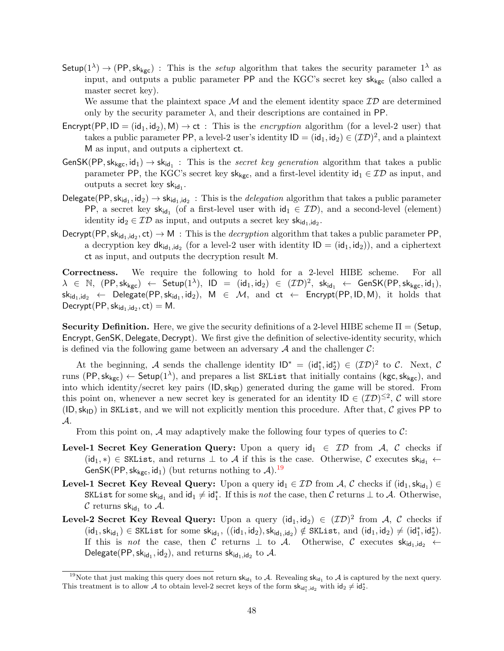Setup( $1^{\lambda}$ )  $\rightarrow$  (PP, sk<sub>kgc</sub>) : This is the *setup* algorithm that takes the security parameter  $1^{\lambda}$  as input, and outputs a public parameter PP and the KGC's secret key  $sk_{\text{sec}}$  (also called a master secret key).

We assume that the plaintext space *M* and the element identity space *ID* are determined only by the security parameter  $\lambda$ , and their descriptions are contained in PP.

- Encrypt(PP, ID =  $(id_1, id_2)$ , M)  $\rightarrow$  ct : This is the *encryption* algorithm (for a level-2 user) that takes a public parameter PP, a level-2 user's identity  $ID = (id_1, id_2) \in (ID)^2$ , and a plaintext M as input, and outputs a ciphertext ct.
- $GenSK(PP, sk_{\text{kgc}}, id_1) \rightarrow sk_{id_1}$ : This is the *secret key generation* algorithm that takes a public parameter PP, the KGC's secret key  $sk_{\text{kgc}}$ , and a first-level identity  $id_1 \in \mathcal{ID}$  as input, and outputs a secret key  $\mathsf{sk}_{\mathsf{id}_1}.$
- $Delegate(PP, sk_{id_1}, id_2) \rightarrow sk_{id_1, id_2}$ : This is the *delegation* algorithm that takes a public parameter PP, a secret key  $sk_{id_1}$  (of a first-level user with  $id_1 \in \mathcal{ID}$ ), and a second-level (element) identity  $\mathsf{id}_2 \in \mathcal{ID}$  as input, and outputs a secret key  $\mathsf{sk}_{\mathsf{id}_1, \mathsf{id}_2}$ .
- Decrypt(PP,  $sk_{id_1, id_2}$ ,  $ct)$   $\rightarrow$  M : This is the *decryption* algorithm that takes a public parameter PP, a decryption key  $dk_{id_1, id_2}$  (for a level-2 user with identity  $ID = (id_1, id_2)$ ), and a ciphertext ct as input, and outputs the decryption result M.

**Correctness.** We require the following to hold for a 2-level HIBE scheme. For all  $\lambda$   $\in$  N, (PP, sk<sub>kgc</sub>)  $\leftarrow$  Setup $(1^{\lambda})$ , ID =  $(\mathsf{id}_1, \mathsf{id}_2)$   $\in$   $(\mathcal{ID})^2$ , sk $_{\mathsf{id}_1}$   $\leftarrow$  GenSK(PP, sk<sub>kgc</sub>, id<sub>1</sub>),  $\mathsf{sk}_{\mathsf{id}_1,\mathsf{id}_2} \leftarrow \mathsf{Delete}(\mathsf{PP},\mathsf{sk}_{\mathsf{id}_1},\mathsf{id}_2), \enspace \mathsf{M} \enspace\in \enspace \mathcal{M}, \enspace \text{and} \enspace \mathsf{ct} \enspace \leftarrow \enspace \mathsf{Encrypt}(\mathsf{PP},\mathsf{ID},\mathsf{M}), \enspace \text{it holds that}$  $\text{Decrypt}(\text{PP}, \text{sk}_{\text{id}_1, \text{id}_2}, \text{ct}) = \text{M}.$ 

**Security Definition.** Here, we give the security definitions of a 2-level HIBE scheme  $\Pi = (\mathsf{Setup}, \mathsf{Output})$ Encrypt*,* GenSK*,* Delegate*,* Decrypt). We first give the definition of selective-identity security, which is defined via the following game between an adversary *A* and the challenger *C*:

At the beginning, *A* sends the challenge identity  $ID^* = (id_1^*, id_2^*) \in (ID)^2$  to *C*. Next, *C* runs (PP*,*skkgc) *←* Setup(1*<sup>λ</sup>* ), and prepares a list SKList that initially contains (kgc*,*skkgc), and into which identity/secret key pairs (ID,  $\mathsf{sk}_{\mathsf{ID}}$ ) generated during the game will be stored. From this point on, whenever a new secret key is generated for an identity  $\mathsf{ID} \in (\mathcal{ID})^{\leq 2}$ ,  $\mathcal C$  will store (ID,  $sk_{ID}$ ) in SKList, and we will not explicitly mention this procedure. After that,  $C$  gives PP to *A*.

From this point on, *A* may adaptively make the following four types of queries to *C*:

- **Level-1 Secret Key Generation Query:** Upon a query  $\mathsf{id}_1 \in \mathcal{ID}$  from A, C checks if  $(id_1, *)$  ∈ SKList, and returns  $⊥$  to  $A$  if this is the case. Otherwise,  $C$  executes  $sk_{id_1}$   $\leftarrow$ GenSK(PP, sk<sub>kgc</sub>, id<sub>1</sub>) (but returns nothing to A).<sup>[19](#page-47-0)</sup>
- Level-1 Secret Key Reveal Query: Upon a query  $id_1 \in \mathcal{ID}$  from  $\mathcal{A}, \mathcal{C}$  checks if  $(id_1, sk_{id_1}) \in$ SKList for some  $sk_{id_1}$  and  $id_1 \neq id_1^*$ . If this is *not* the case, then  $C$  returns  $\perp$  to  $\mathcal A$ . Otherwise,  $\cal C$  returns  ${\sf sk}_{{\sf id}_1}$  to  ${\cal A}.$
- **Level-2 Secret Key Reveal Query:** Upon a query  $(id_1, id_2) \in (ID)^2$  from *A*, *C* checks if  $(\mathsf{id}_1, \mathsf{sk}_{\mathsf{id}_1}) \in \mathtt{SKList}$  for some  $\mathsf{sk}_{\mathsf{id}_1}, ((\mathsf{id}_1, \mathsf{id}_2), \mathsf{sk}_{\mathsf{id}_1, \mathsf{id}_2}) \notin \mathtt{SKList}, \text{ and } (\mathsf{id}_1, \mathsf{id}_2) \neq (\mathsf{id}_1^*, \mathsf{id}_2^*).$ If this is *not* the case, then *C* returns  $\perp$  to *A*. Otherwise, *C* executes sk<sub>id<sub>1</sub>,id<sub>2</sub> ←</sub> Delegate(PP, sk<sub>id1</sub>, id<sub>2</sub>), and returns sk<sub>id1, id2</sub> to  $\mathcal{A}$ .

<span id="page-47-0"></span><sup>&</sup>lt;sup>19</sup>Note that just making this query does not return  $sk_{id_1}$  to *A*. Revealing  $sk_{id_1}$  to *A* is captured by the next query. This treatment is to allow *A* to obtain level-2 secret keys of the form  $\mathsf{sk}_{\mathsf{id}_1^*,\mathsf{id}_2}$  with  $\mathsf{id}_2 \neq \mathsf{id}_2^*$ .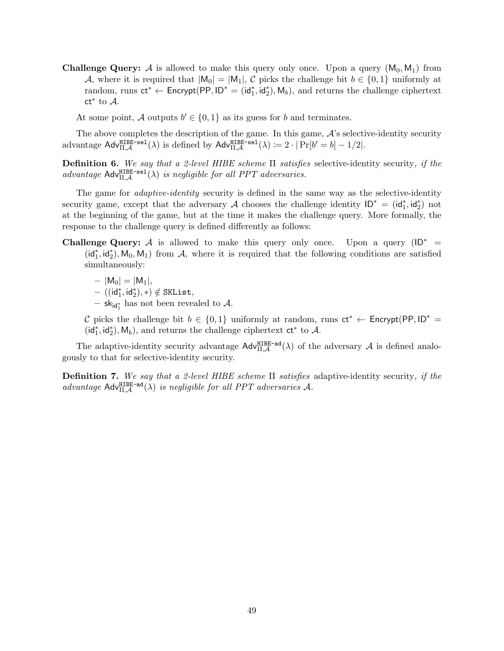**Challenge Query:** *A* is allowed to make this query only once. Upon a query  $(M_0, M_1)$  from *A*, where it is required that  $|M_0| = |M_1|$ , *C* picks the challenge bit  $b \in \{0, 1\}$  uniformly at random, runs  $ct^* \leftarrow$  Encrypt(PP, ID<sup>\*</sup> = ( $id_1^*$ ,  $id_2^*$ ), M<sub>b</sub>), and returns the challenge ciphertext ct*<sup>∗</sup>* to *A*.

At some point, *A* outputs  $b' \in \{0, 1\}$  as its guess for *b* and terminates.

The above completes the description of the game. In this game, *A*'s selective-identity security advantage  $\mathsf{Adv}_{\Pi,\mathcal{A}}^{\mathsf{HIBE-sel}}(\lambda)$  is defined by  $\mathsf{Adv}_{\Pi,\mathcal{A}}^{\mathsf{HIBE-sel}}(\lambda) \coloneqq 2 \cdot |\Pr[b' = b] - 1/2|$ .

**Definition 6.** *We say that a 2-level HIBE scheme* Π *satisfies* selective-identity security*, if the advantage*  $\mathsf{Adv}_{\Pi,\mathcal{A}}^{\mathsf{HIBE-sel}}(\lambda)$  *is negligible for all PPT adversaries.* 

The game for *adaptive-identity* security is defined in the same way as the selective-identity security game, except that the adversary *A* chooses the challenge identity  $ID^* = (id_1^*, id_2^*)$  not at the beginning of the game, but at the time it makes the challenge query. More formally, the response to the challenge query is defined differently as follows:

**Challenge Query:** *A* is allowed to make this query only once. Upon a query  $(ID^* =$ (id<sup>\*</sup><sub>1</sub>, id<sup>\*</sup><sub>2</sub>), M<sub>0</sub>, M<sub>1</sub>) from *A*, where it is required that the following conditions are satisfied simultaneously:

$$
-|M_0|=|M_1|,
$$

- **–** ((id*<sup>∗</sup>* 1 *,* id*<sup>∗</sup>* 2 )*, ∗*) *∈/* SKList,
- **–** skid*<sup>∗</sup>* 1 has not been revealed to *A*.

*C* picks the challenge bit  $b \in \{0,1\}$  uniformly at random, runs  $ct^* \leftarrow$  Encrypt(PP, ID<sup>\*</sup> =  $(id_1^*, id_2^*), M_b$ , and returns the challenge ciphertext  $ct^*$  to  $A$ .

The adaptive-identity security advantage  $\text{Adv}_{\Pi,\mathcal{A}}^{\text{HIBE-ad}}(\lambda)$  of the adversary  $\mathcal{A}$  is defined analogously to that for selective-identity security.

**Definition 7.** *We say that a 2-level HIBE scheme* Π *satisfies* adaptive-identity security*, if the advantage*  $\text{Adv}_{\Pi,\mathcal{A}}^{\text{HIBE-ad}}(\lambda)$  *is negligible for all PPT adversaries*  $\mathcal{A}$ *.*